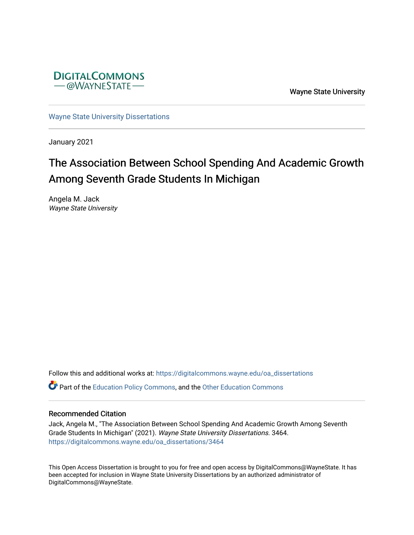

Wayne State University

[Wayne State University Dissertations](https://digitalcommons.wayne.edu/oa_dissertations) 

January 2021

# The Association Between School Spending And Academic Growth Among Seventh Grade Students In Michigan

Angela M. Jack Wayne State University

Follow this and additional works at: [https://digitalcommons.wayne.edu/oa\\_dissertations](https://digitalcommons.wayne.edu/oa_dissertations?utm_source=digitalcommons.wayne.edu%2Foa_dissertations%2F3464&utm_medium=PDF&utm_campaign=PDFCoverPages) **C** Part of the [Education Policy Commons](http://network.bepress.com/hgg/discipline/1026?utm_source=digitalcommons.wayne.edu%2Foa_dissertations%2F3464&utm_medium=PDF&utm_campaign=PDFCoverPages), and the [Other Education Commons](http://network.bepress.com/hgg/discipline/811?utm_source=digitalcommons.wayne.edu%2Foa_dissertations%2F3464&utm_medium=PDF&utm_campaign=PDFCoverPages)

#### Recommended Citation

Jack, Angela M., "The Association Between School Spending And Academic Growth Among Seventh Grade Students In Michigan" (2021). Wayne State University Dissertations. 3464. [https://digitalcommons.wayne.edu/oa\\_dissertations/3464](https://digitalcommons.wayne.edu/oa_dissertations/3464?utm_source=digitalcommons.wayne.edu%2Foa_dissertations%2F3464&utm_medium=PDF&utm_campaign=PDFCoverPages) 

This Open Access Dissertation is brought to you for free and open access by DigitalCommons@WayneState. It has been accepted for inclusion in Wayne State University Dissertations by an authorized administrator of DigitalCommons@WayneState.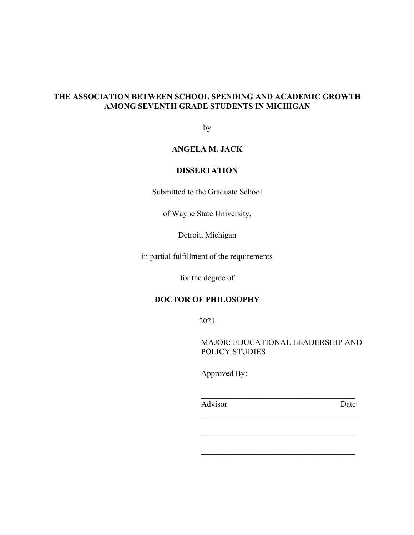# **THE ASSOCIATION BETWEEN SCHOOL SPENDING AND ACADEMIC GROWTH AMONG SEVENTH GRADE STUDENTS IN MICHIGAN**

by

# **ANGELA M. JACK**

# **DISSERTATION**

Submitted to the Graduate School

of Wayne State University,

Detroit, Michigan

in partial fulfillment of the requirements

for the degree of

# **DOCTOR OF PHILOSOPHY**

2021

MAJOR: EDUCATIONAL LEADERSHIP AND POLICY STUDIES

Approved By:

Advisor Date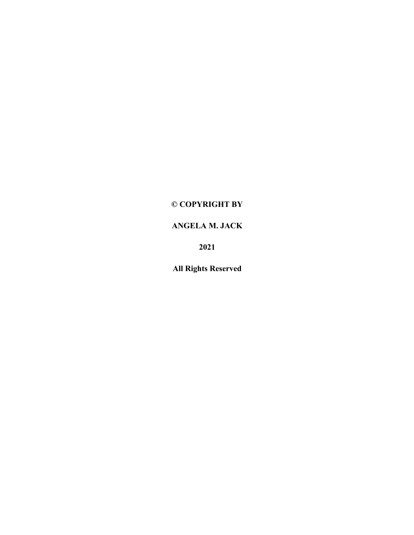# **© COPYRIGHT BY**

# **ANGELA M. JACK**

**2021**

**All Rights Reserved**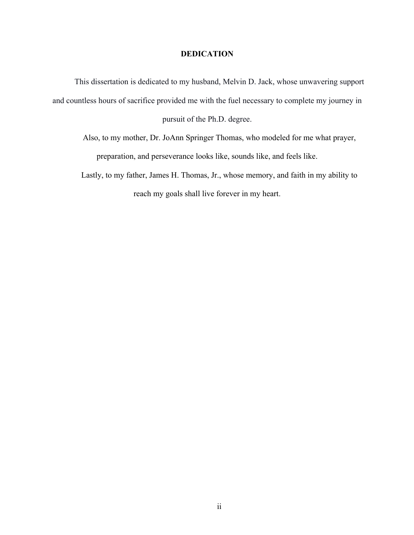### **DEDICATION**

This dissertation is dedicated to my husband, Melvin D. Jack, whose unwavering support and countless hours of sacrifice provided me with the fuel necessary to complete my journey in pursuit of the Ph.D. degree.

Also, to my mother, Dr. JoAnn Springer Thomas, who modeled for me what prayer, preparation, and perseverance looks like, sounds like, and feels like.

Lastly, to my father, James H. Thomas, Jr., whose memory, and faith in my ability to reach my goals shall live forever in my heart.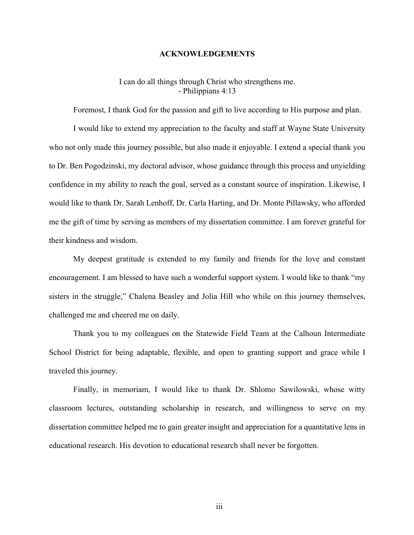#### **ACKNOWLEDGEMENTS**

### I can do all things through Christ who strengthens me. - Philippians 4:13

Foremost, I thank God for the passion and gift to live according to His purpose and plan.

I would like to extend my appreciation to the faculty and staff at Wayne State University who not only made this journey possible, but also made it enjoyable. I extend a special thank you to Dr. Ben Pogodzinski, my doctoral advisor, whose guidance through this process and unyielding confidence in my ability to reach the goal, served as a constant source of inspiration. Likewise, I would like to thank Dr. Sarah Lenhoff, Dr. Carla Harting, and Dr. Monte Pillawsky, who afforded me the gift of time by serving as members of my dissertation committee. I am forever grateful for their kindness and wisdom.

My deepest gratitude is extended to my family and friends for the love and constant encouragement. I am blessed to have such a wonderful support system. I would like to thank "my sisters in the struggle," Chalena Beasley and Jolia Hill who while on this journey themselves, challenged me and cheered me on daily.

Thank you to my colleagues on the Statewide Field Team at the Calhoun Intermediate School District for being adaptable, flexible, and open to granting support and grace while I traveled this journey.

Finally, in memoriam, I would like to thank Dr. Shlomo Sawilowski, whose witty classroom lectures, outstanding scholarship in research, and willingness to serve on my dissertation committee helped me to gain greater insight and appreciation for a quantitative lens in educational research. His devotion to educational research shall never be forgotten.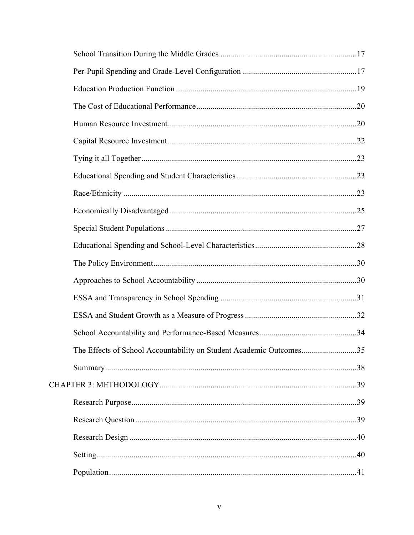| The Effects of School Accountability on Student Academic Outcomes35 |  |
|---------------------------------------------------------------------|--|
|                                                                     |  |
|                                                                     |  |
|                                                                     |  |
|                                                                     |  |
|                                                                     |  |
|                                                                     |  |
|                                                                     |  |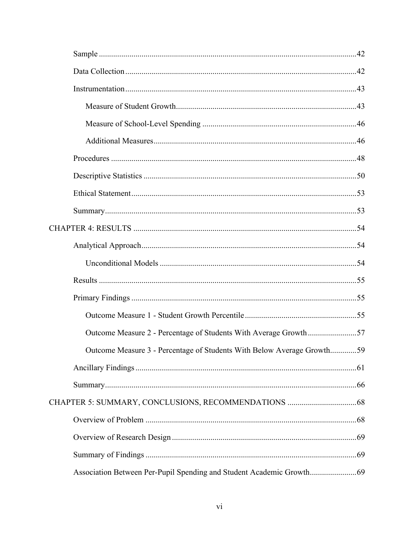| Outcome Measure 2 - Percentage of Students With Average Growth57       |  |
|------------------------------------------------------------------------|--|
| Outcome Measure 3 - Percentage of Students With Below Average Growth59 |  |
|                                                                        |  |
|                                                                        |  |
|                                                                        |  |
|                                                                        |  |
|                                                                        |  |
|                                                                        |  |
| Association Between Per-Pupil Spending and Student Academic Growth     |  |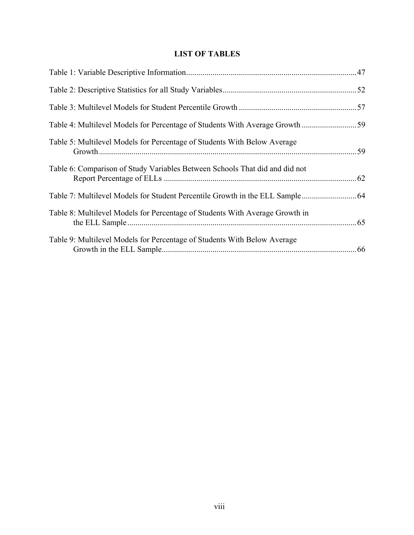# **LIST OF TABLES**

| Table 5: Multilevel Models for Percentage of Students With Below Average     |  |
|------------------------------------------------------------------------------|--|
| Table 6: Comparison of Study Variables Between Schools That did and did not  |  |
|                                                                              |  |
| Table 8: Multilevel Models for Percentage of Students With Average Growth in |  |
| Table 9: Multilevel Models for Percentage of Students With Below Average     |  |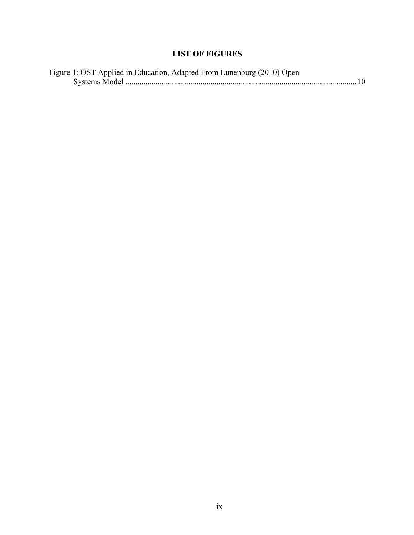# **LIST OF FIGURES**

| Figure 1: OST Applied in Education, Adapted From Lunenburg (2010) Open |  |
|------------------------------------------------------------------------|--|
|                                                                        |  |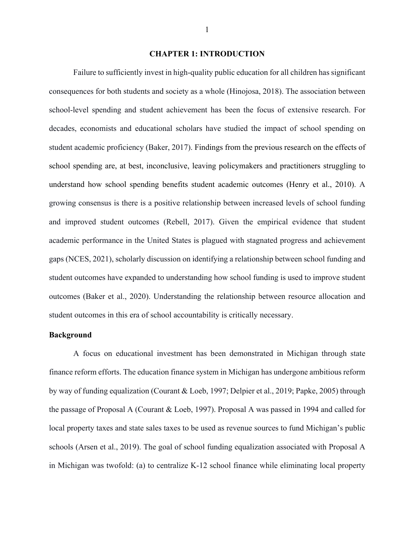#### **CHAPTER 1: INTRODUCTION**

Failure to sufficiently invest in high-quality public education for all children has significant consequences for both students and society as a whole (Hinojosa, 2018). The association between school-level spending and student achievement has been the focus of extensive research. For decades, economists and educational scholars have studied the impact of school spending on student academic proficiency (Baker, 2017). Findings from the previous research on the effects of school spending are, at best, inconclusive, leaving policymakers and practitioners struggling to understand how school spending benefits student academic outcomes (Henry et al., 2010). A growing consensus is there is a positive relationship between increased levels of school funding and improved student outcomes (Rebell, 2017). Given the empirical evidence that student academic performance in the United States is plagued with stagnated progress and achievement gaps (NCES, 2021), scholarly discussion on identifying a relationship between school funding and student outcomes have expanded to understanding how school funding is used to improve student outcomes (Baker et al., 2020). Understanding the relationship between resource allocation and student outcomes in this era of school accountability is critically necessary.

#### **Background**

A focus on educational investment has been demonstrated in Michigan through state finance reform efforts. The education finance system in Michigan has undergone ambitious reform by way of funding equalization (Courant & Loeb, 1997; Delpier et al., 2019; Papke, 2005) through the passage of Proposal A (Courant & Loeb, 1997). Proposal A was passed in 1994 and called for local property taxes and state sales taxes to be used as revenue sources to fund Michigan's public schools (Arsen et al., 2019). The goal of school funding equalization associated with Proposal A in Michigan was twofold: (a) to centralize K-12 school finance while eliminating local property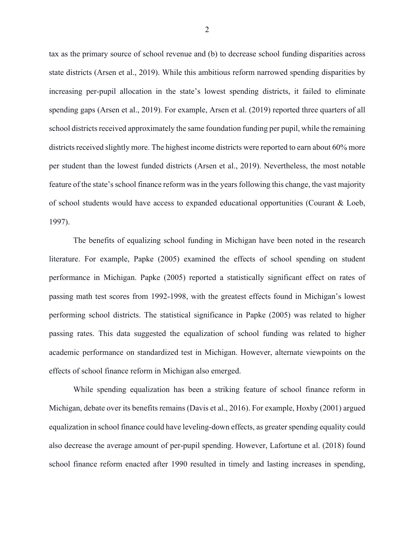tax as the primary source of school revenue and (b) to decrease school funding disparities across state districts (Arsen et al., 2019). While this ambitious reform narrowed spending disparities by increasing per-pupil allocation in the state's lowest spending districts, it failed to eliminate spending gaps (Arsen et al., 2019). For example, Arsen et al. (2019) reported three quarters of all school districts received approximately the same foundation funding per pupil, while the remaining districts received slightly more. The highest income districts were reported to earn about 60% more per student than the lowest funded districts (Arsen et al., 2019). Nevertheless, the most notable feature of the state's school finance reform was in the years following this change, the vast majority of school students would have access to expanded educational opportunities (Courant & Loeb, 1997).

The benefits of equalizing school funding in Michigan have been noted in the research literature. For example, Papke (2005) examined the effects of school spending on student performance in Michigan. Papke (2005) reported a statistically significant effect on rates of passing math test scores from 1992-1998, with the greatest effects found in Michigan's lowest performing school districts. The statistical significance in Papke (2005) was related to higher passing rates. This data suggested the equalization of school funding was related to higher academic performance on standardized test in Michigan. However, alternate viewpoints on the effects of school finance reform in Michigan also emerged.

While spending equalization has been a striking feature of school finance reform in Michigan, debate over its benefits remains (Davis et al., 2016). For example, Hoxby (2001) argued equalization in school finance could have leveling-down effects, as greater spending equality could also decrease the average amount of per-pupil spending. However, Lafortune et al. (2018) found school finance reform enacted after 1990 resulted in timely and lasting increases in spending,

2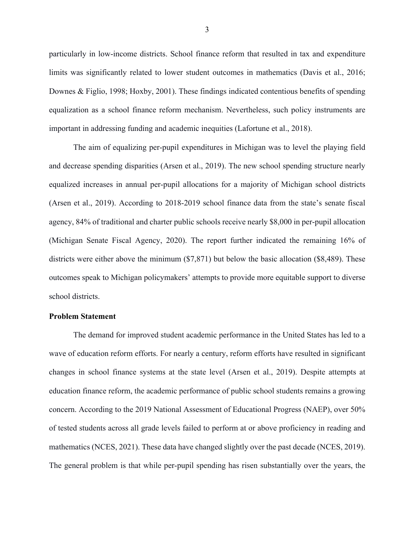particularly in low-income districts. School finance reform that resulted in tax and expenditure limits was significantly related to lower student outcomes in mathematics (Davis et al., 2016; Downes & Figlio, 1998; Hoxby, 2001). These findings indicated contentious benefits of spending equalization as a school finance reform mechanism. Nevertheless, such policy instruments are important in addressing funding and academic inequities (Lafortune et al., 2018).

The aim of equalizing per-pupil expenditures in Michigan was to level the playing field and decrease spending disparities (Arsen et al., 2019). The new school spending structure nearly equalized increases in annual per-pupil allocations for a majority of Michigan school districts (Arsen et al., 2019). According to 2018-2019 school finance data from the state's senate fiscal agency, 84% of traditional and charter public schools receive nearly \$8,000 in per-pupil allocation (Michigan Senate Fiscal Agency, 2020). The report further indicated the remaining 16% of districts were either above the minimum (\$7,871) but below the basic allocation (\$8,489). These outcomes speak to Michigan policymakers' attempts to provide more equitable support to diverse school districts.

#### **Problem Statement**

The demand for improved student academic performance in the United States has led to a wave of education reform efforts. For nearly a century, reform efforts have resulted in significant changes in school finance systems at the state level (Arsen et al., 2019). Despite attempts at education finance reform, the academic performance of public school students remains a growing concern. According to the 2019 National Assessment of Educational Progress (NAEP), over 50% of tested students across all grade levels failed to perform at or above proficiency in reading and mathematics (NCES, 2021). These data have changed slightly over the past decade (NCES, 2019). The general problem is that while per-pupil spending has risen substantially over the years, the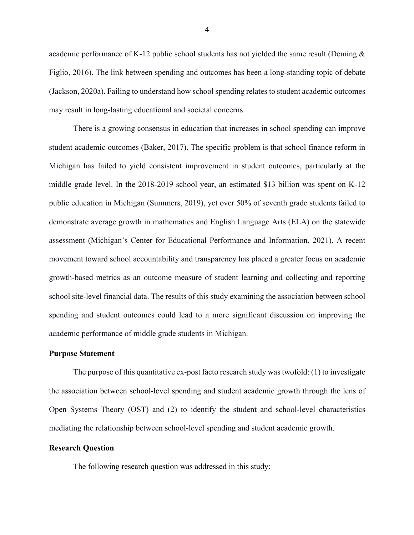academic performance of K-12 public school students has not yielded the same result (Deming & Figlio, 2016). The link between spending and outcomes has been a long-standing topic of debate (Jackson, 2020a). Failing to understand how school spending relates to student academic outcomes may result in long-lasting educational and societal concerns.

There is a growing consensus in education that increases in school spending can improve student academic outcomes (Baker, 2017). The specific problem is that school finance reform in Michigan has failed to yield consistent improvement in student outcomes, particularly at the middle grade level. In the 2018-2019 school year, an estimated \$13 billion was spent on K-12 public education in Michigan (Summers, 2019), yet over 50% of seventh grade students failed to demonstrate average growth in mathematics and English Language Arts (ELA) on the statewide assessment (Michigan's Center for Educational Performance and Information, 2021). A recent movement toward school accountability and transparency has placed a greater focus on academic growth-based metrics as an outcome measure of student learning and collecting and reporting school site-level financial data. The results of this study examining the association between school spending and student outcomes could lead to a more significant discussion on improving the academic performance of middle grade students in Michigan.

#### **Purpose Statement**

The purpose of this quantitative ex-post facto research study was twofold: (1) to investigate the association between school-level spending and student academic growth through the lens of Open Systems Theory (OST) and (2) to identify the student and school-level characteristics mediating the relationship between school-level spending and student academic growth.

### **Research Question**

The following research question was addressed in this study: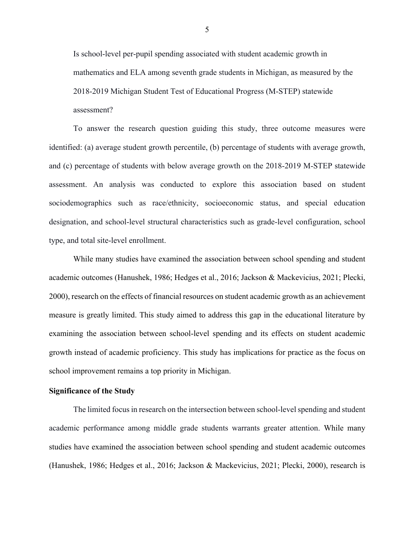Is school-level per-pupil spending associated with student academic growth in mathematics and ELA among seventh grade students in Michigan, as measured by the 2018-2019 Michigan Student Test of Educational Progress (M-STEP) statewide assessment?

To answer the research question guiding this study, three outcome measures were identified: (a) average student growth percentile, (b) percentage of students with average growth, and (c) percentage of students with below average growth on the 2018-2019 M-STEP statewide assessment. An analysis was conducted to explore this association based on student sociodemographics such as race/ethnicity, socioeconomic status, and special education designation, and school-level structural characteristics such as grade-level configuration, school type, and total site-level enrollment.

While many studies have examined the association between school spending and student academic outcomes (Hanushek, 1986; Hedges et al., 2016; Jackson & Mackevicius, 2021; Plecki, 2000), research on the effects of financial resources on student academic growth as an achievement measure is greatly limited. This study aimed to address this gap in the educational literature by examining the association between school-level spending and its effects on student academic growth instead of academic proficiency. This study has implications for practice as the focus on school improvement remains a top priority in Michigan.

#### **Significance of the Study**

The limited focusin research on the intersection between school-level spending and student academic performance among middle grade students warrants greater attention. While many studies have examined the association between school spending and student academic outcomes (Hanushek, 1986; Hedges et al., 2016; Jackson & Mackevicius, 2021; Plecki, 2000), research is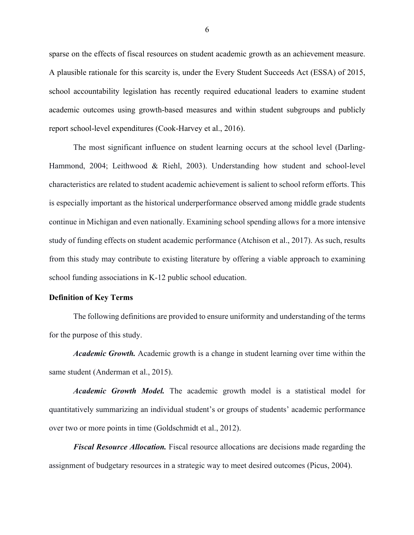sparse on the effects of fiscal resources on student academic growth as an achievement measure. A plausible rationale for this scarcity is, under the Every Student Succeeds Act (ESSA) of 2015, school accountability legislation has recently required educational leaders to examine student academic outcomes using growth-based measures and within student subgroups and publicly report school-level expenditures (Cook-Harvey et al., 2016).

The most significant influence on student learning occurs at the school level (Darling-Hammond, 2004; Leithwood & Riehl, 2003). Understanding how student and school-level characteristics are related to student academic achievement is salient to school reform efforts. This is especially important as the historical underperformance observed among middle grade students continue in Michigan and even nationally. Examining school spending allows for a more intensive study of funding effects on student academic performance (Atchison et al., 2017). As such, results from this study may contribute to existing literature by offering a viable approach to examining school funding associations in K-12 public school education.

#### **Definition of Key Terms**

The following definitions are provided to ensure uniformity and understanding of the terms for the purpose of this study.

*Academic Growth.* Academic growth is a change in student learning over time within the same student (Anderman et al., 2015).

*Academic Growth Model.* The academic growth model is a statistical model for quantitatively summarizing an individual student's or groups of students' academic performance over two or more points in time (Goldschmidt et al., 2012).

*Fiscal Resource Allocation.* Fiscal resource allocations are decisions made regarding the assignment of budgetary resources in a strategic way to meet desired outcomes (Picus, 2004).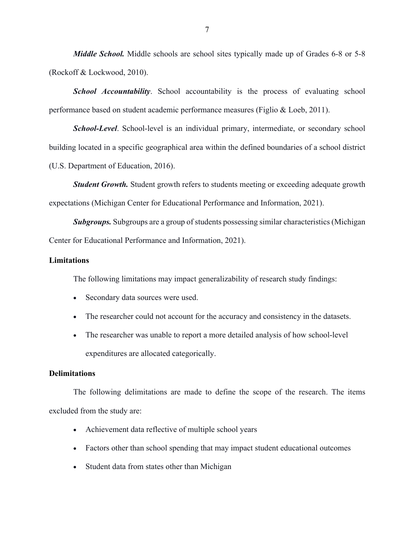*Middle School.* Middle schools are school sites typically made up of Grades 6-8 or 5-8 (Rockoff & Lockwood, 2010).

**School Accountability**. School accountability is the process of evaluating school performance based on student academic performance measures (Figlio & Loeb, 2011).

*School-Level*. School-level is an individual primary, intermediate, or secondary school building located in a specific geographical area within the defined boundaries of a school district (U.S. Department of Education, 2016).

*Student Growth.* Student growth refers to students meeting or exceeding adequate growth expectations (Michigan Center for Educational Performance and Information, 2021).

*Subgroups.* Subgroups are a group of students possessing similar characteristics (Michigan Center for Educational Performance and Information, 2021).

# **Limitations**

The following limitations may impact generalizability of research study findings:

- Secondary data sources were used.
- The researcher could not account for the accuracy and consistency in the datasets.
- The researcher was unable to report a more detailed analysis of how school-level expenditures are allocated categorically.

# **Delimitations**

The following delimitations are made to define the scope of the research. The items excluded from the study are:

- Achievement data reflective of multiple school years
- Factors other than school spending that may impact student educational outcomes
- Student data from states other than Michigan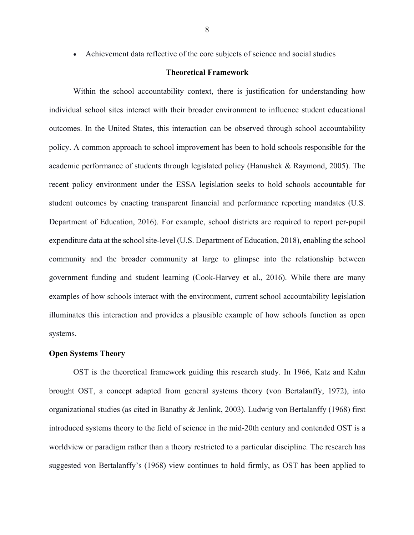#### **Theoretical Framework**

Within the school accountability context, there is justification for understanding how individual school sites interact with their broader environment to influence student educational outcomes. In the United States, this interaction can be observed through school accountability policy. A common approach to school improvement has been to hold schools responsible for the academic performance of students through legislated policy (Hanushek & Raymond, 2005). The recent policy environment under the ESSA legislation seeks to hold schools accountable for student outcomes by enacting transparent financial and performance reporting mandates (U.S. Department of Education, 2016). For example, school districts are required to report per-pupil expenditure data at the school site-level (U.S. Department of Education, 2018), enabling the school community and the broader community at large to glimpse into the relationship between government funding and student learning (Cook-Harvey et al., 2016). While there are many examples of how schools interact with the environment, current school accountability legislation illuminates this interaction and provides a plausible example of how schools function as open systems.

#### **Open Systems Theory**

OST is the theoretical framework guiding this research study. In 1966, Katz and Kahn brought OST, a concept adapted from general systems theory (von Bertalanffy, 1972), into organizational studies (as cited in Banathy & Jenlink, 2003). Ludwig von Bertalanffy (1968) first introduced systems theory to the field of science in the mid-20th century and contended OST is a worldview or paradigm rather than a theory restricted to a particular discipline. The research has suggested von Bertalanffy's (1968) view continues to hold firmly, as OST has been applied to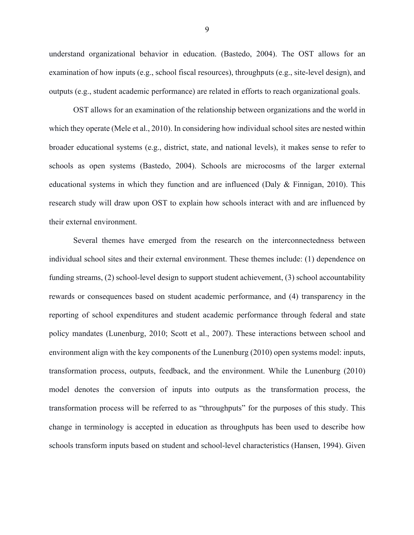understand organizational behavior in education. (Bastedo, 2004). The OST allows for an examination of how inputs (e.g., school fiscal resources), throughputs (e.g., site-level design), and outputs (e.g., student academic performance) are related in efforts to reach organizational goals.

OST allows for an examination of the relationship between organizations and the world in which they operate (Mele et al., 2010). In considering how individual school sites are nested within broader educational systems (e.g., district, state, and national levels), it makes sense to refer to schools as open systems (Bastedo, 2004). Schools are microcosms of the larger external educational systems in which they function and are influenced (Daly & Finnigan, 2010). This research study will draw upon OST to explain how schools interact with and are influenced by their external environment.

Several themes have emerged from the research on the interconnectedness between individual school sites and their external environment. These themes include: (1) dependence on funding streams, (2) school-level design to support student achievement, (3) school accountability rewards or consequences based on student academic performance, and (4) transparency in the reporting of school expenditures and student academic performance through federal and state policy mandates (Lunenburg, 2010; Scott et al., 2007). These interactions between school and environment align with the key components of the Lunenburg (2010) open systems model: inputs, transformation process, outputs, feedback, and the environment. While the Lunenburg (2010) model denotes the conversion of inputs into outputs as the transformation process, the transformation process will be referred to as "throughputs" for the purposes of this study. This change in terminology is accepted in education as throughputs has been used to describe how schools transform inputs based on student and school-level characteristics (Hansen, 1994). Given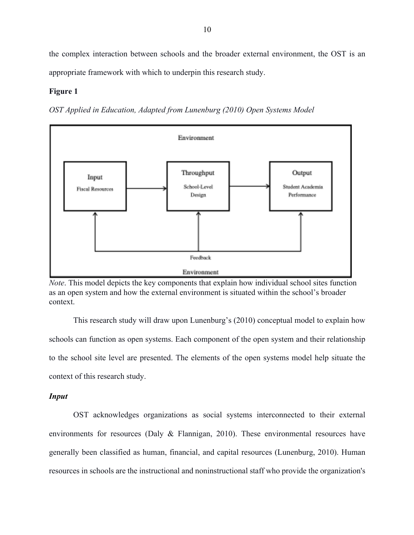the complex interaction between schools and the broader external environment, the OST is an appropriate framework with which to underpin this research study.

#### **Figure 1**

*OST Applied in Education, Adapted from Lunenburg (2010) Open Systems Model*



*Note*. This model depicts the key components that explain how individual school sites function as an open system and how the external environment is situated within the school's broader context.

This research study will draw upon Lunenburg's (2010) conceptual model to explain how schools can function as open systems. Each component of the open system and their relationship to the school site level are presented. The elements of the open systems model help situate the context of this research study.

### *Input*

OST acknowledges organizations as social systems interconnected to their external environments for resources (Daly & Flannigan, 2010). These environmental resources have generally been classified as human, financial, and capital resources (Lunenburg, 2010). Human resources in schools are the instructional and noninstructional staff who provide the organization's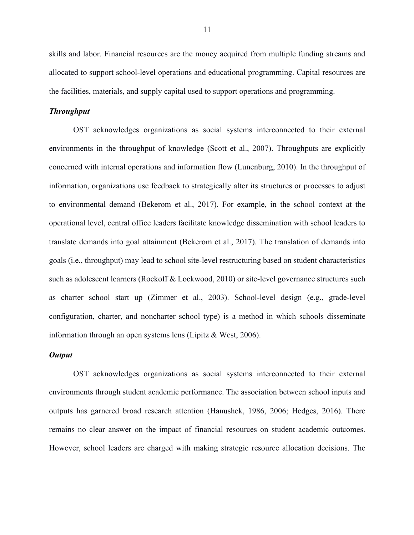skills and labor. Financial resources are the money acquired from multiple funding streams and allocated to support school-level operations and educational programming. Capital resources are the facilities, materials, and supply capital used to support operations and programming.

### *Throughput*

OST acknowledges organizations as social systems interconnected to their external environments in the throughput of knowledge (Scott et al., 2007). Throughputs are explicitly concerned with internal operations and information flow (Lunenburg, 2010). In the throughput of information, organizations use feedback to strategically alter its structures or processes to adjust to environmental demand (Bekerom et al., 2017). For example, in the school context at the operational level, central office leaders facilitate knowledge dissemination with school leaders to translate demands into goal attainment (Bekerom et al., 2017). The translation of demands into goals (i.e., throughput) may lead to school site-level restructuring based on student characteristics such as adolescent learners (Rockoff & Lockwood, 2010) or site-level governance structures such as charter school start up (Zimmer et al., 2003). School-level design (e.g., grade-level configuration, charter, and noncharter school type) is a method in which schools disseminate information through an open systems lens (Lipitz & West, 2006).

#### *Output*

OST acknowledges organizations as social systems interconnected to their external environments through student academic performance. The association between school inputs and outputs has garnered broad research attention (Hanushek, 1986, 2006; Hedges, 2016). There remains no clear answer on the impact of financial resources on student academic outcomes. However, school leaders are charged with making strategic resource allocation decisions. The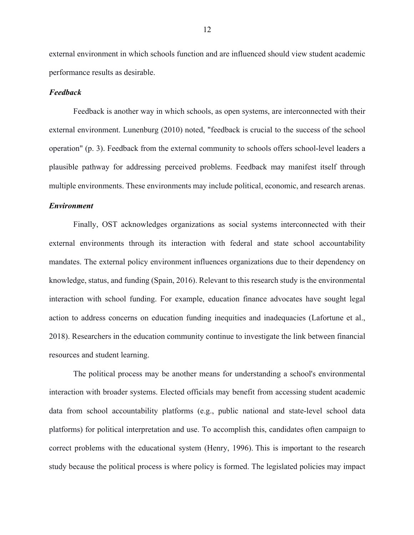external environment in which schools function and are influenced should view student academic performance results as desirable.

#### *Feedback*

Feedback is another way in which schools, as open systems, are interconnected with their external environment. Lunenburg (2010) noted, "feedback is crucial to the success of the school operation" (p. 3). Feedback from the external community to schools offers school-level leaders a plausible pathway for addressing perceived problems. Feedback may manifest itself through multiple environments. These environments may include political, economic, and research arenas.

#### *Environment*

Finally, OST acknowledges organizations as social systems interconnected with their external environments through its interaction with federal and state school accountability mandates. The external policy environment influences organizations due to their dependency on knowledge, status, and funding (Spain, 2016). Relevant to this research study is the environmental interaction with school funding. For example, education finance advocates have sought legal action to address concerns on education funding inequities and inadequacies (Lafortune et al., 2018). Researchers in the education community continue to investigate the link between financial resources and student learning.

The political process may be another means for understanding a school's environmental interaction with broader systems. Elected officials may benefit from accessing student academic data from school accountability platforms (e.g., public national and state-level school data platforms) for political interpretation and use. To accomplish this, candidates often campaign to correct problems with the educational system (Henry, 1996). This is important to the research study because the political process is where policy is formed. The legislated policies may impact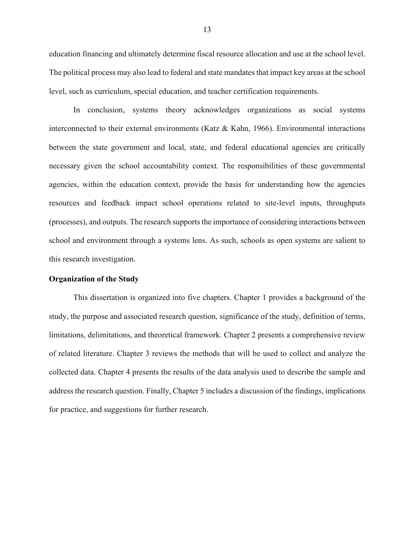education financing and ultimately determine fiscal resource allocation and use at the school level. The political process may also lead to federal and state mandates that impact key areas at the school level, such as curriculum, special education, and teacher certification requirements.

In conclusion, systems theory acknowledges organizations as social systems interconnected to their external environments (Katz & Kahn, 1966). Environmental interactions between the state government and local, state, and federal educational agencies are critically necessary given the school accountability context. The responsibilities of these governmental agencies, within the education context, provide the basis for understanding how the agencies resources and feedback impact school operations related to site-level inputs, throughputs (processes), and outputs. The research supports the importance of considering interactions between school and environment through a systems lens. As such, schools as open systems are salient to this research investigation.

#### **Organization of the Study**

This dissertation is organized into five chapters. Chapter 1 provides a background of the study, the purpose and associated research question, significance of the study, definition of terms, limitations, delimitations, and theoretical framework. Chapter 2 presents a comprehensive review of related literature. Chapter 3 reviews the methods that will be used to collect and analyze the collected data. Chapter 4 presents the results of the data analysis used to describe the sample and address the research question. Finally, Chapter 5 includes a discussion of the findings, implications for practice, and suggestions for further research.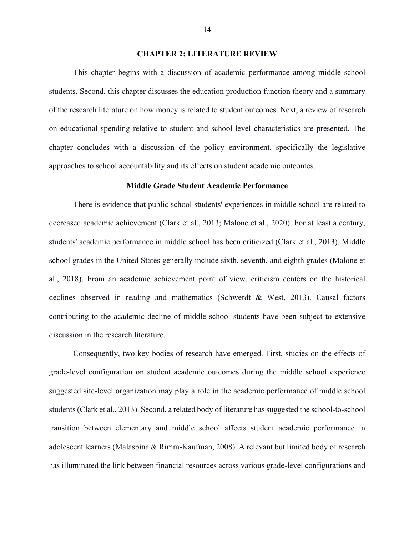#### **CHAPTER 2: LITERATURE REVIEW**

This chapter begins with a discussion of academic performance among middle school students. Second, this chapter discusses the education production function theory and a summary of the research literature on how money is related to student outcomes. Next, a review of research on educational spending relative to student and school-level characteristics are presented. The chapter concludes with a discussion of the policy environment, specifically the legislative approaches to school accountability and its effects on student academic outcomes.

### **Middle Grade Student Academic Performance**

There is evidence that public school students' experiences in middle school are related to decreased academic achievement (Clark et al., 2013; Malone et al., 2020). For at least a century, students' academic performance in middle school has been criticized (Clark et al., 2013). Middle school grades in the United States generally include sixth, seventh, and eighth grades (Malone et al., 2018). From an academic achievement point of view, criticism centers on the historical declines observed in reading and mathematics (Schwerdt & West, 2013). Causal factors contributing to the academic decline of middle school students have been subject to extensive discussion in the research literature.

Consequently, two key bodies of research have emerged. First, studies on the effects of grade-level configuration on student academic outcomes during the middle school experience suggested site-level organization may play a role in the academic performance of middle school students (Clark et al., 2013). Second, a related body of literature has suggested the school-to-school transition between elementary and middle school affects student academic performance in adolescent learners (Malaspina & Rimm-Kaufman, 2008). A relevant but limited body of research has illuminated the link between financial resources across various grade-level configurations and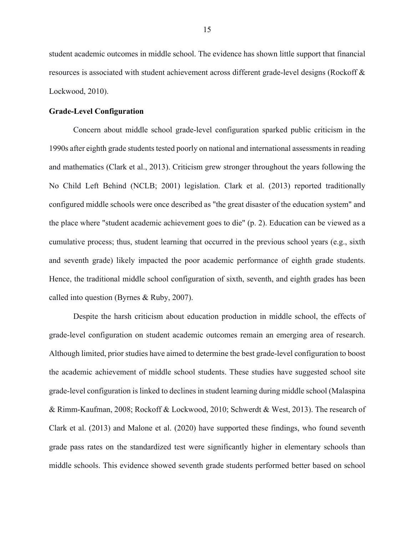student academic outcomes in middle school. The evidence has shown little support that financial resources is associated with student achievement across different grade-level designs (Rockoff & Lockwood, 2010).

### **Grade-Level Configuration**

Concern about middle school grade-level configuration sparked public criticism in the 1990s after eighth grade students tested poorly on national and international assessments in reading and mathematics (Clark et al., 2013). Criticism grew stronger throughout the years following the No Child Left Behind (NCLB; 2001) legislation. Clark et al. (2013) reported traditionally configured middle schools were once described as "the great disaster of the education system" and the place where "student academic achievement goes to die" (p. 2). Education can be viewed as a cumulative process; thus, student learning that occurred in the previous school years (e.g., sixth and seventh grade) likely impacted the poor academic performance of eighth grade students. Hence, the traditional middle school configuration of sixth, seventh, and eighth grades has been called into question (Byrnes & Ruby, 2007).

Despite the harsh criticism about education production in middle school, the effects of grade-level configuration on student academic outcomes remain an emerging area of research. Although limited, prior studies have aimed to determine the best grade-level configuration to boost the academic achievement of middle school students. These studies have suggested school site grade-level configuration is linked to declines in student learning during middle school (Malaspina & Rimm-Kaufman, 2008; Rockoff & Lockwood, 2010; Schwerdt & West, 2013). The research of Clark et al. (2013) and Malone et al. (2020) have supported these findings, who found seventh grade pass rates on the standardized test were significantly higher in elementary schools than middle schools. This evidence showed seventh grade students performed better based on school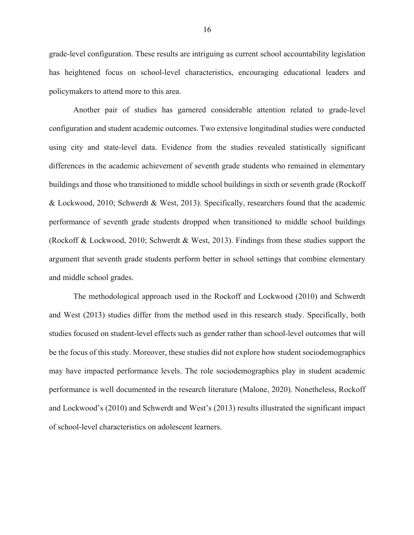grade-level configuration. These results are intriguing as current school accountability legislation has heightened focus on school-level characteristics, encouraging educational leaders and policymakers to attend more to this area.

Another pair of studies has garnered considerable attention related to grade-level configuration and student academic outcomes. Two extensive longitudinal studies were conducted using city and state-level data. Evidence from the studies revealed statistically significant differences in the academic achievement of seventh grade students who remained in elementary buildings and those who transitioned to middle school buildings in sixth or seventh grade (Rockoff & Lockwood, 2010; Schwerdt & West, 2013). Specifically, researchers found that the academic performance of seventh grade students dropped when transitioned to middle school buildings (Rockoff & Lockwood, 2010; Schwerdt & West, 2013). Findings from these studies support the argument that seventh grade students perform better in school settings that combine elementary and middle school grades.

The methodological approach used in the Rockoff and Lockwood (2010) and Schwerdt and West (2013) studies differ from the method used in this research study. Specifically, both studies focused on student-level effects such as gender rather than school-level outcomes that will be the focus of this study. Moreover, these studies did not explore how student sociodemographics may have impacted performance levels. The role sociodemographics play in student academic performance is well documented in the research literature (Malone, 2020). Nonetheless, Rockoff and Lockwood's (2010) and Schwerdt and West's (2013) results illustrated the significant impact of school-level characteristics on adolescent learners.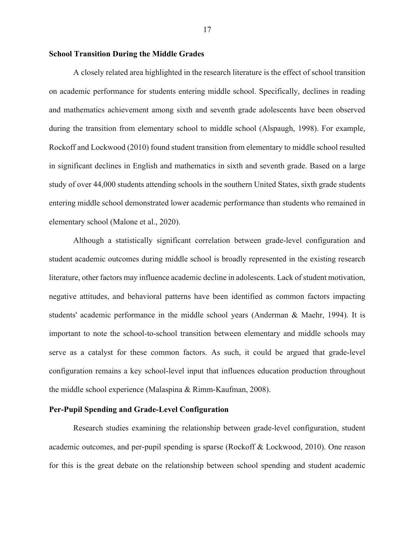#### **School Transition During the Middle Grades**

A closely related area highlighted in the research literature is the effect of school transition on academic performance for students entering middle school. Specifically, declines in reading and mathematics achievement among sixth and seventh grade adolescents have been observed during the transition from elementary school to middle school (Alspaugh, 1998). For example, Rockoff and Lockwood (2010) found student transition from elementary to middle school resulted in significant declines in English and mathematics in sixth and seventh grade. Based on a large study of over 44,000 students attending schools in the southern United States, sixth grade students entering middle school demonstrated lower academic performance than students who remained in elementary school (Malone et al., 2020).

Although a statistically significant correlation between grade-level configuration and student academic outcomes during middle school is broadly represented in the existing research literature, other factors may influence academic decline in adolescents. Lack of student motivation, negative attitudes, and behavioral patterns have been identified as common factors impacting students' academic performance in the middle school years (Anderman & Maehr, 1994). It is important to note the school-to-school transition between elementary and middle schools may serve as a catalyst for these common factors. As such, it could be argued that grade-level configuration remains a key school-level input that influences education production throughout the middle school experience (Malaspina & Rimm-Kaufman, 2008).

# **Per-Pupil Spending and Grade-Level Configuration**

Research studies examining the relationship between grade-level configuration, student academic outcomes, and per-pupil spending is sparse (Rockoff & Lockwood, 2010). One reason for this is the great debate on the relationship between school spending and student academic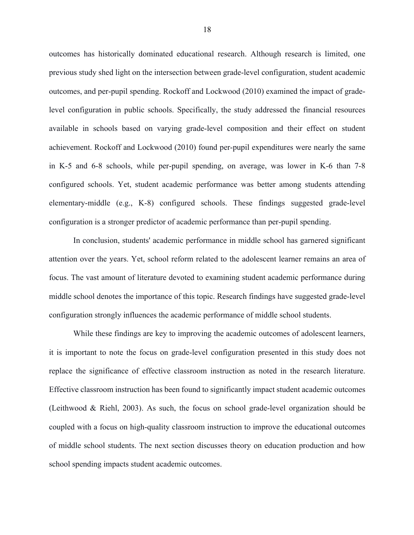outcomes has historically dominated educational research. Although research is limited, one previous study shed light on the intersection between grade-level configuration, student academic outcomes, and per-pupil spending. Rockoff and Lockwood (2010) examined the impact of gradelevel configuration in public schools. Specifically, the study addressed the financial resources available in schools based on varying grade-level composition and their effect on student achievement. Rockoff and Lockwood (2010) found per-pupil expenditures were nearly the same in K-5 and 6-8 schools, while per-pupil spending, on average, was lower in K-6 than 7-8 configured schools. Yet, student academic performance was better among students attending elementary-middle (e.g., K-8) configured schools. These findings suggested grade-level configuration is a stronger predictor of academic performance than per-pupil spending.

In conclusion, students' academic performance in middle school has garnered significant attention over the years. Yet, school reform related to the adolescent learner remains an area of focus. The vast amount of literature devoted to examining student academic performance during middle school denotes the importance of this topic. Research findings have suggested grade-level configuration strongly influences the academic performance of middle school students.

While these findings are key to improving the academic outcomes of adolescent learners, it is important to note the focus on grade-level configuration presented in this study does not replace the significance of effective classroom instruction as noted in the research literature. Effective classroom instruction has been found to significantly impact student academic outcomes (Leithwood & Riehl, 2003). As such, the focus on school grade-level organization should be coupled with a focus on high-quality classroom instruction to improve the educational outcomes of middle school students. The next section discusses theory on education production and how school spending impacts student academic outcomes.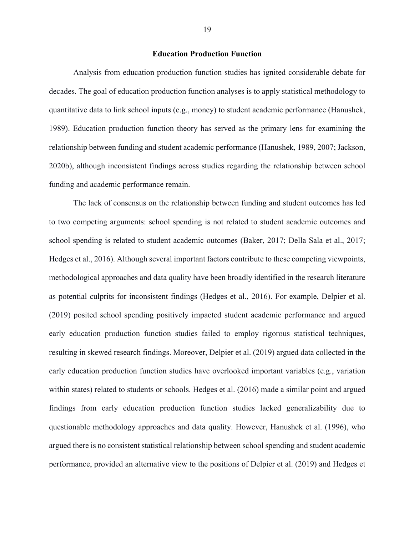#### **Education Production Function**

Analysis from education production function studies has ignited considerable debate for decades. The goal of education production function analyses is to apply statistical methodology to quantitative data to link school inputs (e.g., money) to student academic performance (Hanushek, 1989). Education production function theory has served as the primary lens for examining the relationship between funding and student academic performance (Hanushek, 1989, 2007; Jackson, 2020b), although inconsistent findings across studies regarding the relationship between school funding and academic performance remain.

The lack of consensus on the relationship between funding and student outcomes has led to two competing arguments: school spending is not related to student academic outcomes and school spending is related to student academic outcomes (Baker, 2017; Della Sala et al., 2017; Hedges et al., 2016). Although several important factors contribute to these competing viewpoints, methodological approaches and data quality have been broadly identified in the research literature as potential culprits for inconsistent findings (Hedges et al., 2016). For example, Delpier et al. (2019) posited school spending positively impacted student academic performance and argued early education production function studies failed to employ rigorous statistical techniques, resulting in skewed research findings. Moreover, Delpier et al. (2019) argued data collected in the early education production function studies have overlooked important variables (e.g., variation within states) related to students or schools. Hedges et al. (2016) made a similar point and argued findings from early education production function studies lacked generalizability due to questionable methodology approaches and data quality. However, Hanushek et al. (1996), who argued there is no consistent statistical relationship between school spending and student academic performance, provided an alternative view to the positions of Delpier et al. (2019) and Hedges et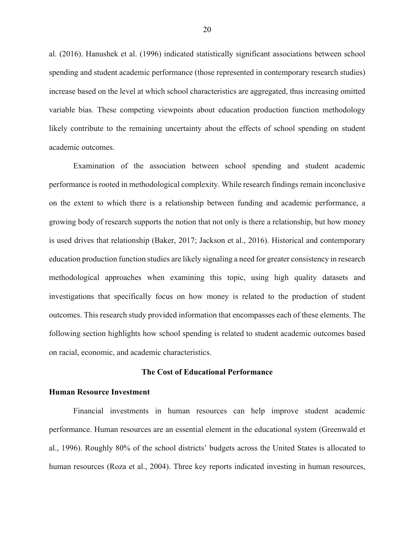al. (2016). Hanushek et al. (1996) indicated statistically significant associations between school spending and student academic performance (those represented in contemporary research studies) increase based on the level at which school characteristics are aggregated, thus increasing omitted variable bias. These competing viewpoints about education production function methodology likely contribute to the remaining uncertainty about the effects of school spending on student academic outcomes.

Examination of the association between school spending and student academic performance is rooted in methodological complexity. While research findings remain inconclusive on the extent to which there is a relationship between funding and academic performance, a growing body of research supports the notion that not only is there a relationship, but how money is used drives that relationship (Baker, 2017; Jackson et al., 2016). Historical and contemporary education production function studies are likely signaling a need for greater consistency in research methodological approaches when examining this topic, using high quality datasets and investigations that specifically focus on how money is related to the production of student outcomes. This research study provided information that encompasses each of these elements. The following section highlights how school spending is related to student academic outcomes based on racial, economic, and academic characteristics.

#### **The Cost of Educational Performance**

#### **Human Resource Investment**

Financial investments in human resources can help improve student academic performance. Human resources are an essential element in the educational system (Greenwald et al., 1996). Roughly 80% of the school districts' budgets across the United States is allocated to human resources (Roza et al., 2004). Three key reports indicated investing in human resources,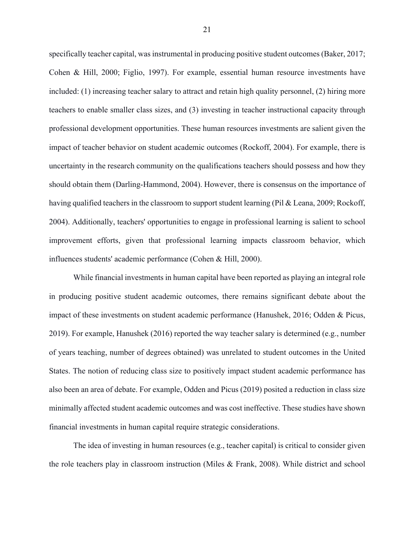specifically teacher capital, was instrumental in producing positive student outcomes (Baker, 2017; Cohen & Hill, 2000; Figlio, 1997). For example, essential human resource investments have included: (1) increasing teacher salary to attract and retain high quality personnel, (2) hiring more teachers to enable smaller class sizes, and (3) investing in teacher instructional capacity through professional development opportunities. These human resources investments are salient given the impact of teacher behavior on student academic outcomes (Rockoff, 2004). For example, there is uncertainty in the research community on the qualifications teachers should possess and how they should obtain them (Darling-Hammond, 2004). However, there is consensus on the importance of having qualified teachers in the classroom to support student learning (Pil & Leana, 2009; Rockoff, 2004). Additionally, teachers' opportunities to engage in professional learning is salient to school improvement efforts, given that professional learning impacts classroom behavior, which influences students' academic performance (Cohen & Hill, 2000).

While financial investments in human capital have been reported as playing an integral role in producing positive student academic outcomes, there remains significant debate about the impact of these investments on student academic performance (Hanushek, 2016; Odden & Picus, 2019). For example, Hanushek (2016) reported the way teacher salary is determined (e.g., number of years teaching, number of degrees obtained) was unrelated to student outcomes in the United States. The notion of reducing class size to positively impact student academic performance has also been an area of debate. For example, Odden and Picus (2019) posited a reduction in class size minimally affected student academic outcomes and was cost ineffective. These studies have shown financial investments in human capital require strategic considerations.

The idea of investing in human resources (e.g., teacher capital) is critical to consider given the role teachers play in classroom instruction (Miles & Frank, 2008). While district and school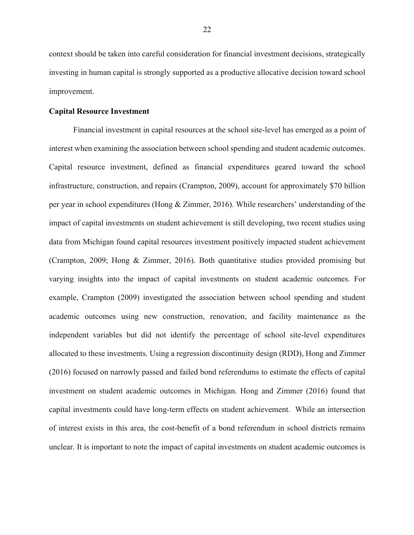context should be taken into careful consideration for financial investment decisions, strategically investing in human capital is strongly supported as a productive allocative decision toward school improvement.

### **Capital Resource Investment**

Financial investment in capital resources at the school site-level has emerged as a point of interest when examining the association between school spending and student academic outcomes. Capital resource investment, defined as financial expenditures geared toward the school infrastructure, construction, and repairs (Crampton, 2009), account for approximately \$70 billion per year in school expenditures (Hong & Zimmer, 2016). While researchers' understanding of the impact of capital investments on student achievement is still developing, two recent studies using data from Michigan found capital resources investment positively impacted student achievement (Crampton, 2009; Hong & Zimmer, 2016). Both quantitative studies provided promising but varying insights into the impact of capital investments on student academic outcomes. For example, Crampton (2009) investigated the association between school spending and student academic outcomes using new construction, renovation, and facility maintenance as the independent variables but did not identify the percentage of school site-level expenditures allocated to these investments. Using a regression discontinuity design (RDD), Hong and Zimmer (2016) focused on narrowly passed and failed bond referendums to estimate the effects of capital investment on student academic outcomes in Michigan. Hong and Zimmer (2016) found that capital investments could have long-term effects on student achievement. While an intersection of interest exists in this area, the cost-benefit of a bond referendum in school districts remains unclear. It is important to note the impact of capital investments on student academic outcomes is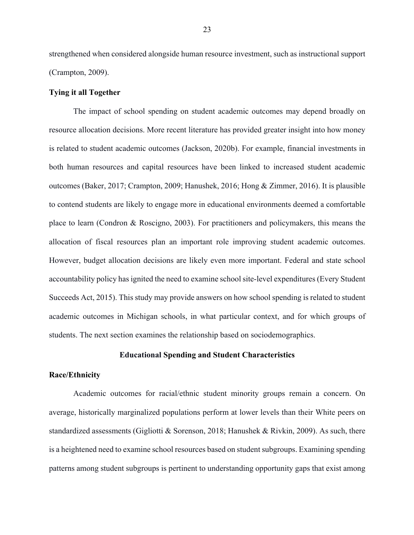strengthened when considered alongside human resource investment, such as instructional support (Crampton, 2009).

#### **Tying it all Together**

The impact of school spending on student academic outcomes may depend broadly on resource allocation decisions. More recent literature has provided greater insight into how money is related to student academic outcomes (Jackson, 2020b). For example, financial investments in both human resources and capital resources have been linked to increased student academic outcomes (Baker, 2017; Crampton, 2009; Hanushek, 2016; Hong & Zimmer, 2016). It is plausible to contend students are likely to engage more in educational environments deemed a comfortable place to learn (Condron & Roscigno, 2003). For practitioners and policymakers, this means the allocation of fiscal resources plan an important role improving student academic outcomes. However, budget allocation decisions are likely even more important. Federal and state school accountability policy has ignited the need to examine school site-level expenditures (Every Student Succeeds Act, 2015). This study may provide answers on how school spending is related to student academic outcomes in Michigan schools, in what particular context, and for which groups of students. The next section examines the relationship based on sociodemographics.

#### **Educational Spending and Student Characteristics**

#### **Race/Ethnicity**

Academic outcomes for racial/ethnic student minority groups remain a concern. On average, historically marginalized populations perform at lower levels than their White peers on standardized assessments (Gigliotti & Sorenson, 2018; Hanushek & Rivkin, 2009). As such, there is a heightened need to examine school resources based on student subgroups. Examining spending patterns among student subgroups is pertinent to understanding opportunity gaps that exist among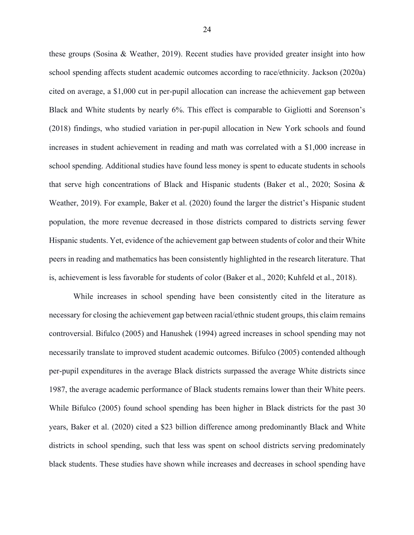these groups (Sosina & Weather, 2019). Recent studies have provided greater insight into how school spending affects student academic outcomes according to race/ethnicity. Jackson (2020a) cited on average, a \$1,000 cut in per-pupil allocation can increase the achievement gap between Black and White students by nearly 6%. This effect is comparable to Gigliotti and Sorenson's (2018) findings, who studied variation in per-pupil allocation in New York schools and found increases in student achievement in reading and math was correlated with a \$1,000 increase in school spending. Additional studies have found less money is spent to educate students in schools that serve high concentrations of Black and Hispanic students (Baker et al., 2020; Sosina & Weather, 2019). For example, Baker et al. (2020) found the larger the district's Hispanic student population, the more revenue decreased in those districts compared to districts serving fewer Hispanic students. Yet, evidence of the achievement gap between students of color and their White peers in reading and mathematics has been consistently highlighted in the research literature. That is, achievement is less favorable for students of color (Baker et al., 2020; Kuhfeld et al., 2018).

While increases in school spending have been consistently cited in the literature as necessary for closing the achievement gap between racial/ethnic student groups, this claim remains controversial. Bifulco (2005) and Hanushek (1994) agreed increases in school spending may not necessarily translate to improved student academic outcomes. Bifulco (2005) contended although per-pupil expenditures in the average Black districts surpassed the average White districts since 1987, the average academic performance of Black students remains lower than their White peers. While Bifulco (2005) found school spending has been higher in Black districts for the past 30 years, Baker et al. (2020) cited a \$23 billion difference among predominantly Black and White districts in school spending, such that less was spent on school districts serving predominately black students. These studies have shown while increases and decreases in school spending have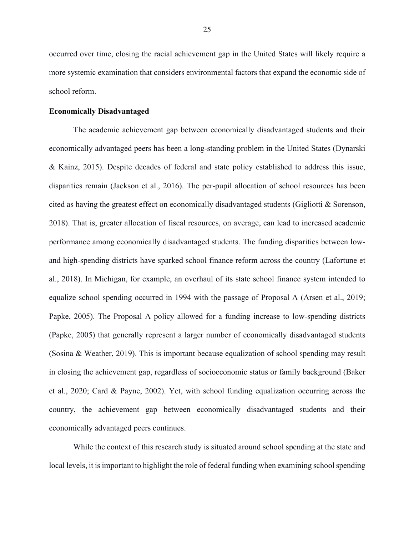occurred over time, closing the racial achievement gap in the United States will likely require a more systemic examination that considers environmental factors that expand the economic side of school reform.

#### **Economically Disadvantaged**

The academic achievement gap between economically disadvantaged students and their economically advantaged peers has been a long-standing problem in the United States (Dynarski & Kainz, 2015). Despite decades of federal and state policy established to address this issue, disparities remain (Jackson et al., 2016). The per-pupil allocation of school resources has been cited as having the greatest effect on economically disadvantaged students (Gigliotti & Sorenson, 2018). That is, greater allocation of fiscal resources, on average, can lead to increased academic performance among economically disadvantaged students. The funding disparities between lowand high-spending districts have sparked school finance reform across the country (Lafortune et al., 2018). In Michigan, for example, an overhaul of its state school finance system intended to equalize school spending occurred in 1994 with the passage of Proposal A (Arsen et al., 2019; Papke, 2005). The Proposal A policy allowed for a funding increase to low-spending districts (Papke, 2005) that generally represent a larger number of economically disadvantaged students (Sosina & Weather, 2019). This is important because equalization of school spending may result in closing the achievement gap, regardless of socioeconomic status or family background (Baker et al., 2020; Card & Payne, 2002). Yet, with school funding equalization occurring across the country, the achievement gap between economically disadvantaged students and their economically advantaged peers continues.

While the context of this research study is situated around school spending at the state and local levels, it is important to highlight the role of federal funding when examining school spending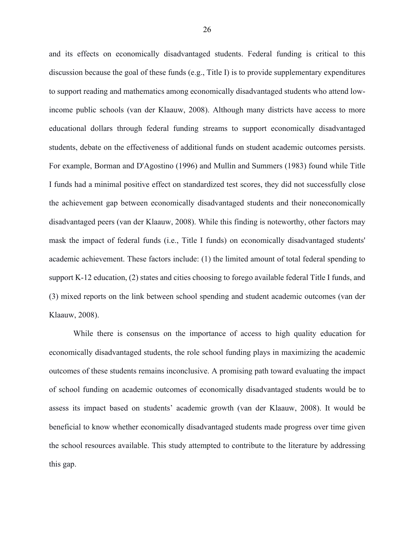and its effects on economically disadvantaged students. Federal funding is critical to this discussion because the goal of these funds (e.g., Title I) is to provide supplementary expenditures to support reading and mathematics among economically disadvantaged students who attend lowincome public schools (van der Klaauw, 2008). Although many districts have access to more educational dollars through federal funding streams to support economically disadvantaged students, debate on the effectiveness of additional funds on student academic outcomes persists. For example, Borman and D'Agostino (1996) and Mullin and Summers (1983) found while Title I funds had a minimal positive effect on standardized test scores, they did not successfully close the achievement gap between economically disadvantaged students and their noneconomically disadvantaged peers (van der Klaauw, 2008). While this finding is noteworthy, other factors may mask the impact of federal funds (i.e., Title I funds) on economically disadvantaged students' academic achievement. These factors include: (1) the limited amount of total federal spending to support K-12 education, (2) states and cities choosing to forego available federal Title I funds, and (3) mixed reports on the link between school spending and student academic outcomes (van der Klaauw, 2008).

While there is consensus on the importance of access to high quality education for economically disadvantaged students, the role school funding plays in maximizing the academic outcomes of these students remains inconclusive. A promising path toward evaluating the impact of school funding on academic outcomes of economically disadvantaged students would be to assess its impact based on students' academic growth (van der Klaauw, 2008). It would be beneficial to know whether economically disadvantaged students made progress over time given the school resources available. This study attempted to contribute to the literature by addressing this gap.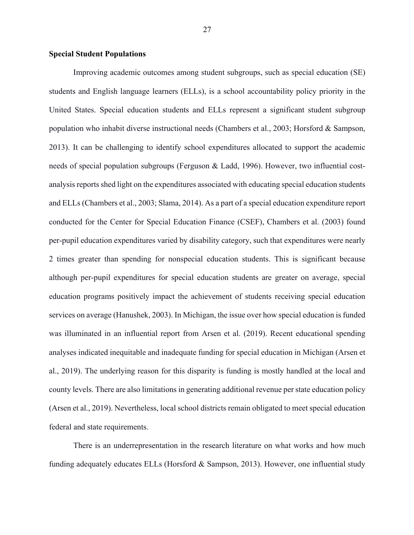#### **Special Student Populations**

Improving academic outcomes among student subgroups, such as special education (SE) students and English language learners (ELLs), is a school accountability policy priority in the United States. Special education students and ELLs represent a significant student subgroup population who inhabit diverse instructional needs (Chambers et al., 2003; Horsford & Sampson, 2013). It can be challenging to identify school expenditures allocated to support the academic needs of special population subgroups (Ferguson & Ladd, 1996). However, two influential costanalysis reports shed light on the expenditures associated with educating special education students and ELLs (Chambers et al., 2003; Slama, 2014). As a part of a special education expenditure report conducted for the Center for Special Education Finance (CSEF), Chambers et al. (2003) found per-pupil education expenditures varied by disability category, such that expenditures were nearly 2 times greater than spending for nonspecial education students. This is significant because although per-pupil expenditures for special education students are greater on average, special education programs positively impact the achievement of students receiving special education services on average (Hanushek, 2003). In Michigan, the issue over how special education is funded was illuminated in an influential report from Arsen et al. (2019). Recent educational spending analyses indicated inequitable and inadequate funding for special education in Michigan (Arsen et al., 2019). The underlying reason for this disparity is funding is mostly handled at the local and county levels. There are also limitations in generating additional revenue per state education policy (Arsen et al., 2019). Nevertheless, local school districts remain obligated to meet special education federal and state requirements.

There is an underrepresentation in the research literature on what works and how much funding adequately educates ELLs (Horsford & Sampson, 2013). However, one influential study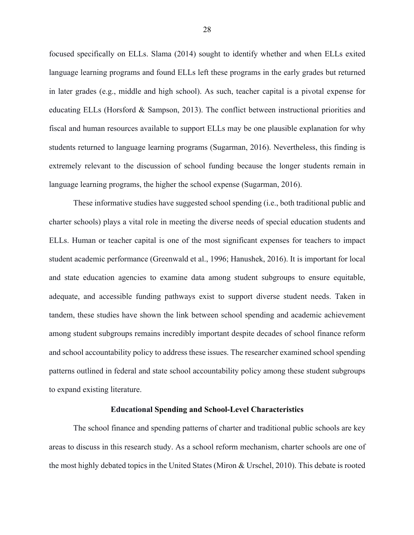focused specifically on ELLs. Slama (2014) sought to identify whether and when ELLs exited language learning programs and found ELLs left these programs in the early grades but returned in later grades (e.g., middle and high school). As such, teacher capital is a pivotal expense for educating ELLs (Horsford & Sampson, 2013). The conflict between instructional priorities and fiscal and human resources available to support ELLs may be one plausible explanation for why students returned to language learning programs (Sugarman, 2016). Nevertheless, this finding is extremely relevant to the discussion of school funding because the longer students remain in language learning programs, the higher the school expense (Sugarman, 2016).

These informative studies have suggested school spending (i.e., both traditional public and charter schools) plays a vital role in meeting the diverse needs of special education students and ELLs. Human or teacher capital is one of the most significant expenses for teachers to impact student academic performance (Greenwald et al., 1996; Hanushek, 2016). It is important for local and state education agencies to examine data among student subgroups to ensure equitable, adequate, and accessible funding pathways exist to support diverse student needs. Taken in tandem, these studies have shown the link between school spending and academic achievement among student subgroups remains incredibly important despite decades of school finance reform and school accountability policy to address these issues. The researcher examined school spending patterns outlined in federal and state school accountability policy among these student subgroups to expand existing literature.

#### **Educational Spending and School-Level Characteristics**

The school finance and spending patterns of charter and traditional public schools are key areas to discuss in this research study. As a school reform mechanism, charter schools are one of the most highly debated topics in the United States (Miron & Urschel, 2010). This debate is rooted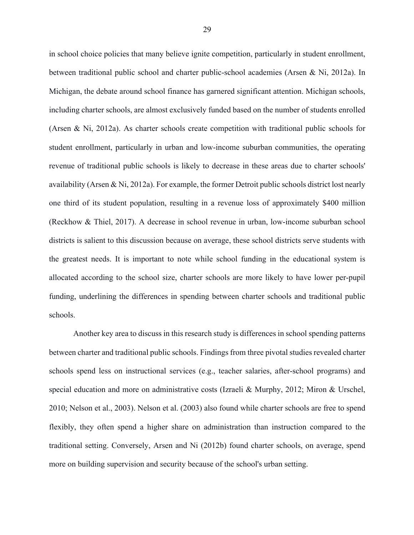in school choice policies that many believe ignite competition, particularly in student enrollment, between traditional public school and charter public-school academies (Arsen & Ni, 2012a). In Michigan, the debate around school finance has garnered significant attention. Michigan schools, including charter schools, are almost exclusively funded based on the number of students enrolled (Arsen & Ni, 2012a). As charter schools create competition with traditional public schools for student enrollment, particularly in urban and low-income suburban communities, the operating revenue of traditional public schools is likely to decrease in these areas due to charter schools' availability (Arsen & Ni, 2012a). For example, the former Detroit public schools district lost nearly one third of its student population, resulting in a revenue loss of approximately \$400 million (Reckhow & Thiel, 2017). A decrease in school revenue in urban, low-income suburban school districts is salient to this discussion because on average, these school districts serve students with the greatest needs. It is important to note while school funding in the educational system is allocated according to the school size, charter schools are more likely to have lower per-pupil funding, underlining the differences in spending between charter schools and traditional public schools.

Another key area to discuss in this research study is differences in school spending patterns between charter and traditional public schools. Findings from three pivotal studies revealed charter schools spend less on instructional services (e.g., teacher salaries, after-school programs) and special education and more on administrative costs (Izraeli & Murphy, 2012; Miron & Urschel, 2010; Nelson et al., 2003). Nelson et al. (2003) also found while charter schools are free to spend flexibly, they often spend a higher share on administration than instruction compared to the traditional setting. Conversely, Arsen and Ni (2012b) found charter schools, on average, spend more on building supervision and security because of the school's urban setting.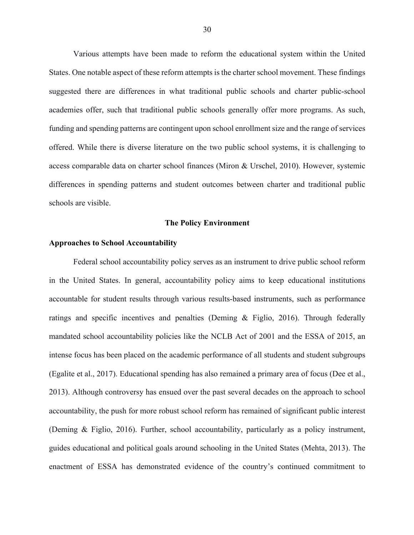Various attempts have been made to reform the educational system within the United States. One notable aspect of these reform attempts is the charter school movement. These findings suggested there are differences in what traditional public schools and charter public-school academies offer, such that traditional public schools generally offer more programs. As such, funding and spending patterns are contingent upon school enrollment size and the range of services offered. While there is diverse literature on the two public school systems, it is challenging to access comparable data on charter school finances (Miron & Urschel, 2010). However, systemic differences in spending patterns and student outcomes between charter and traditional public schools are visible.

#### **The Policy Environment**

#### **Approaches to School Accountability**

Federal school accountability policy serves as an instrument to drive public school reform in the United States. In general, accountability policy aims to keep educational institutions accountable for student results through various results-based instruments, such as performance ratings and specific incentives and penalties (Deming & Figlio, 2016). Through federally mandated school accountability policies like the NCLB Act of 2001 and the ESSA of 2015, an intense focus has been placed on the academic performance of all students and student subgroups (Egalite et al., 2017). Educational spending has also remained a primary area of focus (Dee et al., 2013). Although controversy has ensued over the past several decades on the approach to school accountability, the push for more robust school reform has remained of significant public interest (Deming & Figlio, 2016). Further, school accountability, particularly as a policy instrument, guides educational and political goals around schooling in the United States (Mehta, 2013). The enactment of ESSA has demonstrated evidence of the country's continued commitment to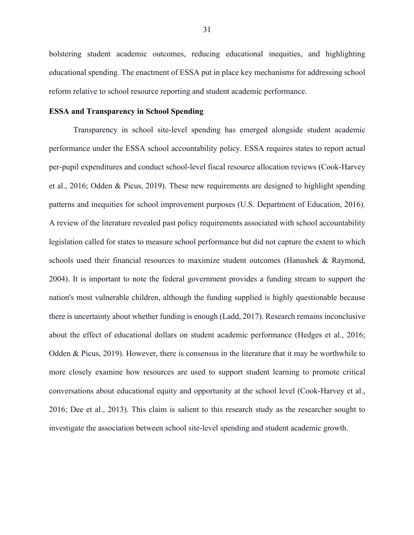bolstering student academic outcomes, reducing educational inequities, and highlighting educational spending. The enactment of ESSA put in place key mechanisms for addressing school reform relative to school resource reporting and student academic performance.

## **ESSA and Transparency in School Spending**

Transparency in school site-level spending has emerged alongside student academic performance under the ESSA school accountability policy. ESSA requires states to report actual per-pupil expenditures and conduct school-level fiscal resource allocation reviews (Cook-Harvey et al., 2016; Odden & Picus, 2019). These new requirements are designed to highlight spending patterns and inequities for school improvement purposes (U.S. Department of Education, 2016). A review of the literature revealed past policy requirements associated with school accountability legislation called for states to measure school performance but did not capture the extent to which schools used their financial resources to maximize student outcomes (Hanushek & Raymond, 2004). It is important to note the federal government provides a funding stream to support the nation's most vulnerable children, although the funding supplied is highly questionable because there is uncertainty about whether funding is enough (Ladd, 2017). Research remains inconclusive about the effect of educational dollars on student academic performance (Hedges et al., 2016; Odden & Picus, 2019). However, there is consensus in the literature that it may be worthwhile to more closely examine how resources are used to support student learning to promote critical conversations about educational equity and opportunity at the school level (Cook-Harvey et al., 2016; Dee et al., 2013). This claim is salient to this research study as the researcher sought to investigate the association between school site-level spending and student academic growth.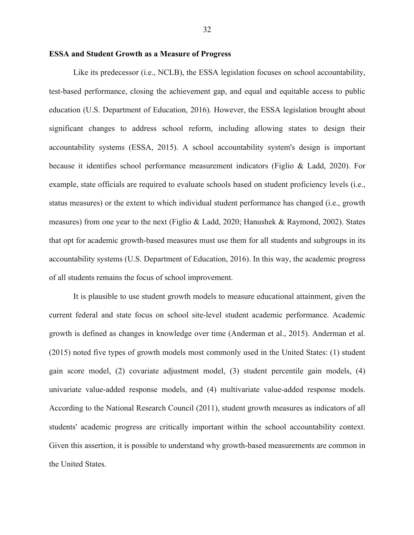Like its predecessor (i.e., NCLB), the ESSA legislation focuses on school accountability, test-based performance, closing the achievement gap, and equal and equitable access to public education (U.S. Department of Education, 2016). However, the ESSA legislation brought about significant changes to address school reform, including allowing states to design their accountability systems (ESSA, 2015). A school accountability system's design is important because it identifies school performance measurement indicators (Figlio & Ladd, 2020). For example, state officials are required to evaluate schools based on student proficiency levels (i.e., status measures) or the extent to which individual student performance has changed (i.e., growth measures) from one year to the next (Figlio & Ladd, 2020; Hanushek & Raymond, 2002). States that opt for academic growth-based measures must use them for all students and subgroups in its accountability systems (U.S. Department of Education, 2016). In this way, the academic progress of all students remains the focus of school improvement.

It is plausible to use student growth models to measure educational attainment, given the current federal and state focus on school site-level student academic performance. Academic growth is defined as changes in knowledge over time (Anderman et al., 2015). Anderman et al. (2015) noted five types of growth models most commonly used in the United States: (1) student gain score model, (2) covariate adjustment model, (3) student percentile gain models, (4) univariate value-added response models, and (4) multivariate value-added response models. According to the National Research Council (2011), student growth measures as indicators of all students' academic progress are critically important within the school accountability context. Given this assertion, it is possible to understand why growth-based measurements are common in the United States.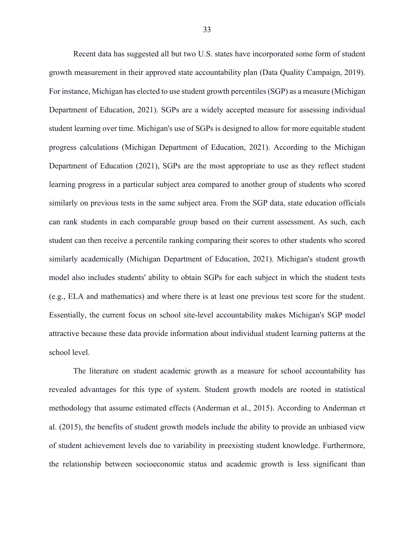Recent data has suggested all but two U.S. states have incorporated some form of student growth measurement in their approved state accountability plan (Data Quality Campaign, 2019). For instance, Michigan has elected to use student growth percentiles (SGP) as a measure (Michigan Department of Education, 2021). SGPs are a widely accepted measure for assessing individual student learning over time. Michigan's use of SGPs is designed to allow for more equitable student progress calculations (Michigan Department of Education, 2021). According to the Michigan Department of Education (2021), SGPs are the most appropriate to use as they reflect student learning progress in a particular subject area compared to another group of students who scored similarly on previous tests in the same subject area. From the SGP data, state education officials can rank students in each comparable group based on their current assessment. As such, each student can then receive a percentile ranking comparing their scores to other students who scored similarly academically (Michigan Department of Education, 2021). Michigan's student growth model also includes students' ability to obtain SGPs for each subject in which the student tests (e.g., ELA and mathematics) and where there is at least one previous test score for the student. Essentially, the current focus on school site-level accountability makes Michigan's SGP model attractive because these data provide information about individual student learning patterns at the school level.

The literature on student academic growth as a measure for school accountability has revealed advantages for this type of system. Student growth models are rooted in statistical methodology that assume estimated effects (Anderman et al., 2015). According to Anderman et al. (2015), the benefits of student growth models include the ability to provide an unbiased view of student achievement levels due to variability in preexisting student knowledge. Furthermore, the relationship between socioeconomic status and academic growth is less significant than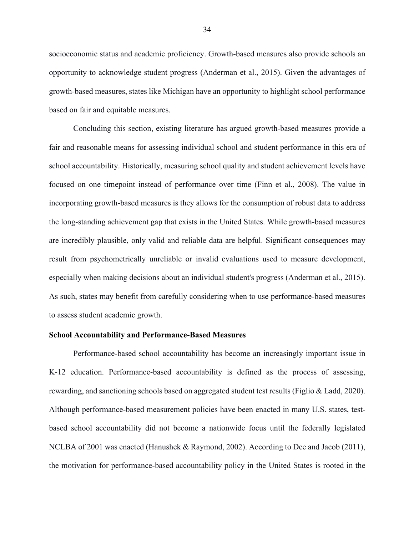socioeconomic status and academic proficiency. Growth-based measures also provide schools an opportunity to acknowledge student progress (Anderman et al., 2015). Given the advantages of growth-based measures, states like Michigan have an opportunity to highlight school performance based on fair and equitable measures.

Concluding this section, existing literature has argued growth-based measures provide a fair and reasonable means for assessing individual school and student performance in this era of school accountability. Historically, measuring school quality and student achievement levels have focused on one timepoint instead of performance over time (Finn et al., 2008). The value in incorporating growth-based measures is they allows for the consumption of robust data to address the long-standing achievement gap that exists in the United States. While growth-based measures are incredibly plausible, only valid and reliable data are helpful. Significant consequences may result from psychometrically unreliable or invalid evaluations used to measure development, especially when making decisions about an individual student's progress (Anderman et al., 2015). As such, states may benefit from carefully considering when to use performance-based measures to assess student academic growth.

#### **School Accountability and Performance-Based Measures**

Performance-based school accountability has become an increasingly important issue in K-12 education. Performance-based accountability is defined as the process of assessing, rewarding, and sanctioning schools based on aggregated student test results (Figlio & Ladd, 2020). Although performance-based measurement policies have been enacted in many U.S. states, testbased school accountability did not become a nationwide focus until the federally legislated NCLBA of 2001 was enacted (Hanushek & Raymond, 2002). According to Dee and Jacob (2011), the motivation for performance-based accountability policy in the United States is rooted in the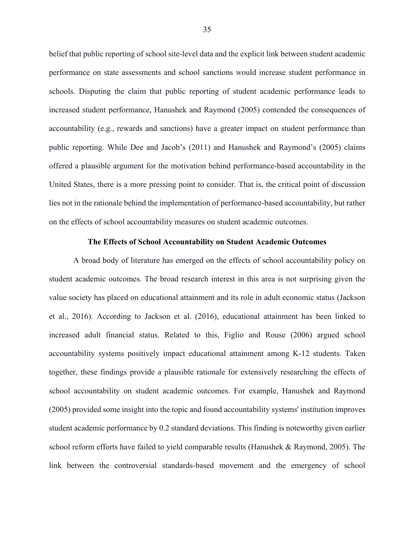belief that public reporting of school site-level data and the explicit link between student academic performance on state assessments and school sanctions would increase student performance in schools. Disputing the claim that public reporting of student academic performance leads to increased student performance, Hanushek and Raymond (2005) contended the consequences of accountability (e.g., rewards and sanctions) have a greater impact on student performance than public reporting. While Dee and Jacob's (2011) and Hanushek and Raymond's (2005) claims offered a plausible argument for the motivation behind performance-based accountability in the United States, there is a more pressing point to consider. That is, the critical point of discussion lies not in the rationale behind the implementation of performance-based accountability, but rather on the effects of school accountability measures on student academic outcomes.

#### **The Effects of School Accountability on Student Academic Outcomes**

A broad body of literature has emerged on the effects of school accountability policy on student academic outcomes. The broad research interest in this area is not surprising given the value society has placed on educational attainment and its role in adult economic status (Jackson et al., 2016). According to Jackson et al. (2016), educational attainment has been linked to increased adult financial status. Related to this, Figlio and Rouse (2006) argued school accountability systems positively impact educational attainment among K-12 students. Taken together, these findings provide a plausible rationale for extensively researching the effects of school accountability on student academic outcomes. For example, Hanushek and Raymond (2005) provided some insight into the topic and found accountability systems' institution improves student academic performance by 0.2 standard deviations. This finding is noteworthy given earlier school reform efforts have failed to yield comparable results (Hanushek & Raymond, 2005). The link between the controversial standards-based movement and the emergency of school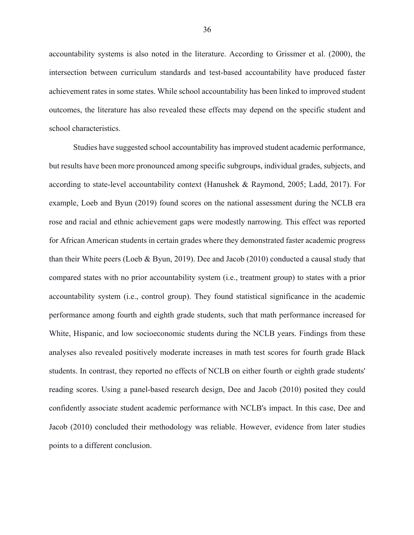accountability systems is also noted in the literature. According to Grissmer et al. (2000), the intersection between curriculum standards and test-based accountability have produced faster achievement rates in some states. While school accountability has been linked to improved student outcomes, the literature has also revealed these effects may depend on the specific student and school characteristics.

Studies have suggested school accountability has improved student academic performance, but results have been more pronounced among specific subgroups, individual grades, subjects, and according to state-level accountability context (Hanushek & Raymond, 2005; Ladd, 2017). For example, Loeb and Byun (2019) found scores on the national assessment during the NCLB era rose and racial and ethnic achievement gaps were modestly narrowing. This effect was reported for African American students in certain grades where they demonstrated faster academic progress than their White peers (Loeb & Byun, 2019). Dee and Jacob (2010) conducted a causal study that compared states with no prior accountability system (i.e., treatment group) to states with a prior accountability system (i.e., control group). They found statistical significance in the academic performance among fourth and eighth grade students, such that math performance increased for White, Hispanic, and low socioeconomic students during the NCLB years. Findings from these analyses also revealed positively moderate increases in math test scores for fourth grade Black students. In contrast, they reported no effects of NCLB on either fourth or eighth grade students' reading scores. Using a panel-based research design, Dee and Jacob (2010) posited they could confidently associate student academic performance with NCLB's impact. In this case, Dee and Jacob (2010) concluded their methodology was reliable. However, evidence from later studies points to a different conclusion.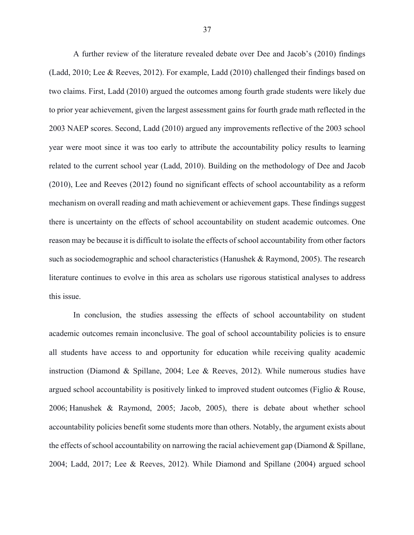A further review of the literature revealed debate over Dee and Jacob's (2010) findings (Ladd, 2010; Lee & Reeves, 2012). For example, Ladd (2010) challenged their findings based on two claims. First, Ladd (2010) argued the outcomes among fourth grade students were likely due to prior year achievement, given the largest assessment gains for fourth grade math reflected in the 2003 NAEP scores. Second, Ladd (2010) argued any improvements reflective of the 2003 school year were moot since it was too early to attribute the accountability policy results to learning related to the current school year (Ladd, 2010). Building on the methodology of Dee and Jacob (2010), Lee and Reeves (2012) found no significant effects of school accountability as a reform mechanism on overall reading and math achievement or achievement gaps. These findings suggest there is uncertainty on the effects of school accountability on student academic outcomes. One reason may be because it is difficult to isolate the effects of school accountability from other factors such as sociodemographic and school characteristics (Hanushek & Raymond, 2005). The research literature continues to evolve in this area as scholars use rigorous statistical analyses to address this issue.

In conclusion, the studies assessing the effects of school accountability on student academic outcomes remain inconclusive. The goal of school accountability policies is to ensure all students have access to and opportunity for education while receiving quality academic instruction (Diamond & Spillane, 2004; Lee & Reeves, 2012). While numerous studies have argued school accountability is positively linked to improved student outcomes (Figlio & Rouse, 2006; Hanushek & Raymond, 2005; Jacob, 2005), there is debate about whether school accountability policies benefit some students more than others. Notably, the argument exists about the effects of school accountability on narrowing the racial achievement gap (Diamond & Spillane, 2004; Ladd, 2017; Lee & Reeves, 2012). While Diamond and Spillane (2004) argued school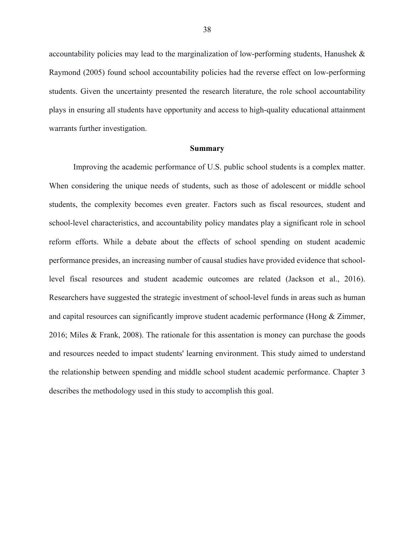accountability policies may lead to the marginalization of low-performing students, Hanushek & Raymond (2005) found school accountability policies had the reverse effect on low-performing students. Given the uncertainty presented the research literature, the role school accountability plays in ensuring all students have opportunity and access to high-quality educational attainment warrants further investigation.

#### **Summary**

Improving the academic performance of U.S. public school students is a complex matter. When considering the unique needs of students, such as those of adolescent or middle school students, the complexity becomes even greater. Factors such as fiscal resources, student and school-level characteristics, and accountability policy mandates play a significant role in school reform efforts. While a debate about the effects of school spending on student academic performance presides, an increasing number of causal studies have provided evidence that schoollevel fiscal resources and student academic outcomes are related (Jackson et al., 2016). Researchers have suggested the strategic investment of school-level funds in areas such as human and capital resources can significantly improve student academic performance (Hong & Zimmer, 2016; Miles & Frank, 2008). The rationale for this assentation is money can purchase the goods and resources needed to impact students' learning environment. This study aimed to understand the relationship between spending and middle school student academic performance. Chapter 3 describes the methodology used in this study to accomplish this goal.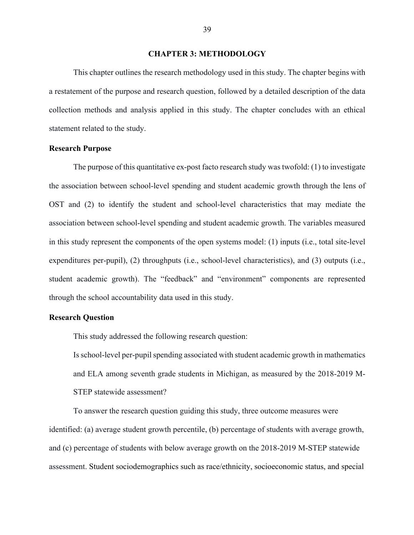#### **CHAPTER 3: METHODOLOGY**

This chapter outlines the research methodology used in this study. The chapter begins with a restatement of the purpose and research question, followed by a detailed description of the data collection methods and analysis applied in this study. The chapter concludes with an ethical statement related to the study.

#### **Research Purpose**

The purpose of this quantitative ex-post facto research study was twofold: (1) to investigate the association between school-level spending and student academic growth through the lens of OST and (2) to identify the student and school-level characteristics that may mediate the association between school-level spending and student academic growth. The variables measured in this study represent the components of the open systems model: (1) inputs (i.e., total site-level expenditures per-pupil), (2) throughputs (i.e., school-level characteristics), and (3) outputs (i.e., student academic growth). The "feedback" and "environment" components are represented through the school accountability data used in this study.

#### **Research Question**

This study addressed the following research question:

Is school-level per-pupil spending associated with student academic growth in mathematics and ELA among seventh grade students in Michigan, as measured by the 2018-2019 M-STEP statewide assessment?

To answer the research question guiding this study, three outcome measures were identified: (a) average student growth percentile, (b) percentage of students with average growth, and (c) percentage of students with below average growth on the 2018-2019 M-STEP statewide assessment. Student sociodemographics such as race/ethnicity, socioeconomic status, and special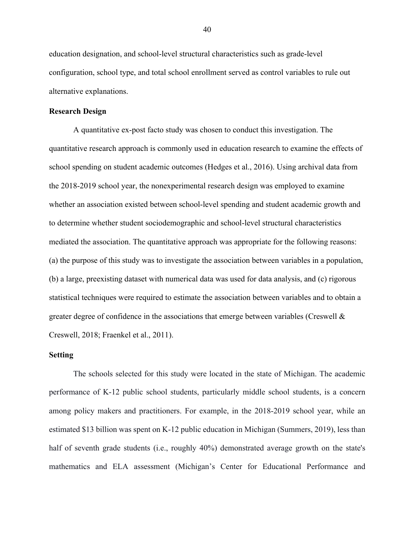education designation, and school-level structural characteristics such as grade-level configuration, school type, and total school enrollment served as control variables to rule out alternative explanations.

## **Research Design**

A quantitative ex-post facto study was chosen to conduct this investigation. The quantitative research approach is commonly used in education research to examine the effects of school spending on student academic outcomes (Hedges et al., 2016). Using archival data from the 2018-2019 school year, the nonexperimental research design was employed to examine whether an association existed between school-level spending and student academic growth and to determine whether student sociodemographic and school-level structural characteristics mediated the association. The quantitative approach was appropriate for the following reasons: (a) the purpose of this study was to investigate the association between variables in a population, (b) a large, preexisting dataset with numerical data was used for data analysis, and (c) rigorous statistical techniques were required to estimate the association between variables and to obtain a greater degree of confidence in the associations that emerge between variables (Creswell  $\&$ Creswell, 2018; Fraenkel et al., 2011).

#### **Setting**

The schools selected for this study were located in the state of Michigan. The academic performance of K-12 public school students, particularly middle school students, is a concern among policy makers and practitioners. For example, in the 2018-2019 school year, while an estimated \$13 billion was spent on K-12 public education in Michigan (Summers, 2019), less than half of seventh grade students (i.e., roughly 40%) demonstrated average growth on the state's mathematics and ELA assessment (Michigan's Center for Educational Performance and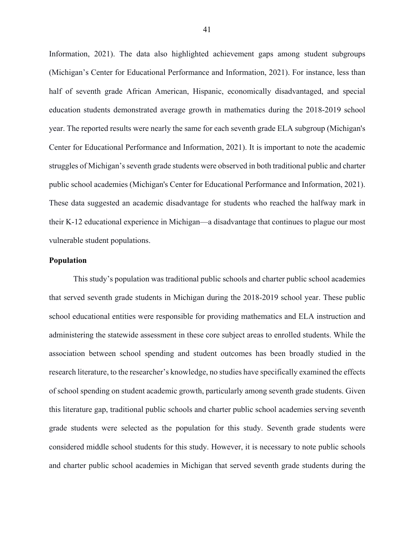Information, 2021). The data also highlighted achievement gaps among student subgroups (Michigan's Center for Educational Performance and Information, 2021). For instance, less than half of seventh grade African American, Hispanic, economically disadvantaged, and special education students demonstrated average growth in mathematics during the 2018-2019 school year. The reported results were nearly the same for each seventh grade ELA subgroup (Michigan's Center for Educational Performance and Information, 2021). It is important to note the academic struggles of Michigan's seventh grade students were observed in both traditional public and charter public school academies (Michigan's Center for Educational Performance and Information, 2021). These data suggested an academic disadvantage for students who reached the halfway mark in their K-12 educational experience in Michigan—a disadvantage that continues to plague our most vulnerable student populations.

#### **Population**

This study's population was traditional public schools and charter public school academies that served seventh grade students in Michigan during the 2018-2019 school year. These public school educational entities were responsible for providing mathematics and ELA instruction and administering the statewide assessment in these core subject areas to enrolled students. While the association between school spending and student outcomes has been broadly studied in the research literature, to the researcher's knowledge, no studies have specifically examined the effects of school spending on student academic growth, particularly among seventh grade students. Given this literature gap, traditional public schools and charter public school academies serving seventh grade students were selected as the population for this study. Seventh grade students were considered middle school students for this study. However, it is necessary to note public schools and charter public school academies in Michigan that served seventh grade students during the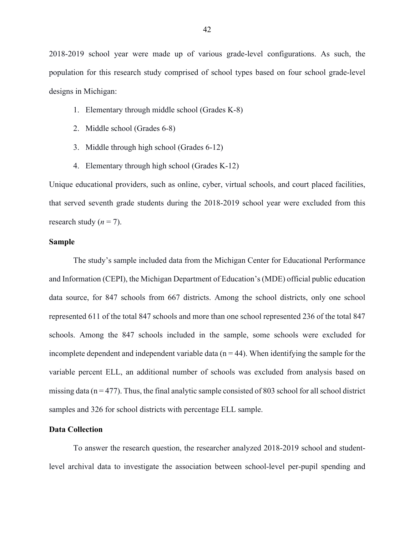2018-2019 school year were made up of various grade-level configurations. As such, the population for this research study comprised of school types based on four school grade-level designs in Michigan:

- 1. Elementary through middle school (Grades K-8)
- 2. Middle school (Grades 6-8)
- 3. Middle through high school (Grades 6-12)
- 4. Elementary through high school (Grades K-12)

Unique educational providers, such as online, cyber, virtual schools, and court placed facilities, that served seventh grade students during the 2018-2019 school year were excluded from this research study  $(n = 7)$ .

## **Sample**

The study's sample included data from the Michigan Center for Educational Performance and Information (CEPI), the Michigan Department of Education's (MDE) official public education data source, for 847 schools from 667 districts. Among the school districts, only one school represented 611 of the total 847 schools and more than one school represented 236 of the total 847 schools. Among the 847 schools included in the sample, some schools were excluded for incomplete dependent and independent variable data  $(n = 44)$ . When identifying the sample for the variable percent ELL, an additional number of schools was excluded from analysis based on missing data ( $n = 477$ ). Thus, the final analytic sample consisted of 803 school for all school district samples and 326 for school districts with percentage ELL sample.

#### **Data Collection**

To answer the research question, the researcher analyzed 2018-2019 school and studentlevel archival data to investigate the association between school-level per-pupil spending and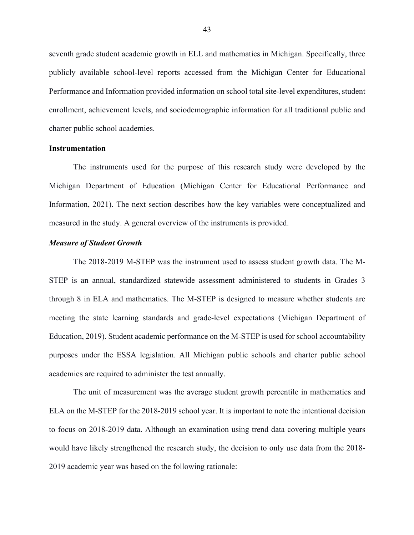seventh grade student academic growth in ELL and mathematics in Michigan. Specifically, three publicly available school-level reports accessed from the Michigan Center for Educational Performance and Information provided information on school total site-level expenditures, student enrollment, achievement levels, and sociodemographic information for all traditional public and charter public school academies.

#### **Instrumentation**

The instruments used for the purpose of this research study were developed by the Michigan Department of Education (Michigan Center for Educational Performance and Information, 2021). The next section describes how the key variables were conceptualized and measured in the study. A general overview of the instruments is provided.

#### *Measure of Student Growth*

The 2018-2019 M-STEP was the instrument used to assess student growth data. The M-STEP is an annual, standardized statewide assessment administered to students in Grades 3 through 8 in ELA and mathematics. The M-STEP is designed to measure whether students are meeting the state learning standards and grade-level expectations (Michigan Department of Education, 2019). Student academic performance on the M-STEP is used for school accountability purposes under the ESSA legislation. All Michigan public schools and charter public school academies are required to administer the test annually.

The unit of measurement was the average student growth percentile in mathematics and ELA on the M-STEP for the 2018-2019 school year. It is important to note the intentional decision to focus on 2018-2019 data. Although an examination using trend data covering multiple years would have likely strengthened the research study, the decision to only use data from the 2018- 2019 academic year was based on the following rationale: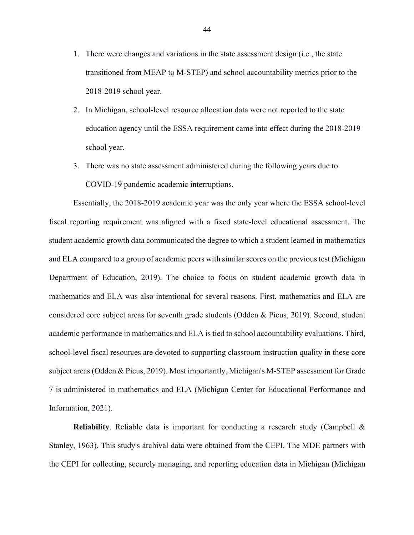- 1. There were changes and variations in the state assessment design (i.e., the state transitioned from MEAP to M-STEP) and school accountability metrics prior to the 2018-2019 school year.
- 2. In Michigan, school-level resource allocation data were not reported to the state education agency until the ESSA requirement came into effect during the 2018-2019 school year.
- 3. There was no state assessment administered during the following years due to COVID-19 pandemic academic interruptions.

Essentially, the 2018-2019 academic year was the only year where the ESSA school-level fiscal reporting requirement was aligned with a fixed state-level educational assessment. The student academic growth data communicated the degree to which a student learned in mathematics and ELA compared to a group of academic peers with similar scores on the previous test (Michigan Department of Education, 2019). The choice to focus on student academic growth data in mathematics and ELA was also intentional for several reasons. First, mathematics and ELA are considered core subject areas for seventh grade students (Odden & Picus, 2019). Second, student academic performance in mathematics and ELA is tied to school accountability evaluations. Third, school-level fiscal resources are devoted to supporting classroom instruction quality in these core subject areas (Odden & Picus, 2019). Most importantly, Michigan's M-STEP assessment for Grade 7 is administered in mathematics and ELA (Michigan Center for Educational Performance and Information, 2021).

**Reliability**. Reliable data is important for conducting a research study (Campbell & Stanley, 1963). This study's archival data were obtained from the CEPI. The MDE partners with the CEPI for collecting, securely managing, and reporting education data in Michigan (Michigan

44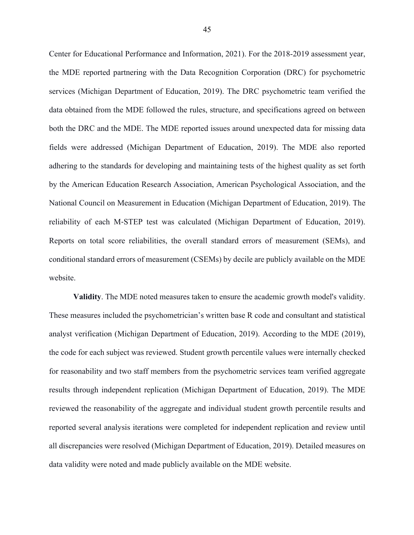Center for Educational Performance and Information, 2021). For the 2018-2019 assessment year, the MDE reported partnering with the Data Recognition Corporation (DRC) for psychometric services (Michigan Department of Education, 2019). The DRC psychometric team verified the data obtained from the MDE followed the rules, structure, and specifications agreed on between both the DRC and the MDE. The MDE reported issues around unexpected data for missing data fields were addressed (Michigan Department of Education, 2019). The MDE also reported adhering to the standards for developing and maintaining tests of the highest quality as set forth by the American Education Research Association, American Psychological Association, and the National Council on Measurement in Education (Michigan Department of Education, 2019). The reliability of each M-STEP test was calculated (Michigan Department of Education, 2019). Reports on total score reliabilities, the overall standard errors of measurement (SEMs), and conditional standard errors of measurement (CSEMs) by decile are publicly available on the MDE website.

**Validity**. The MDE noted measures taken to ensure the academic growth model's validity. These measures included the psychometrician's written base R code and consultant and statistical analyst verification (Michigan Department of Education, 2019). According to the MDE (2019), the code for each subject was reviewed. Student growth percentile values were internally checked for reasonability and two staff members from the psychometric services team verified aggregate results through independent replication (Michigan Department of Education, 2019). The MDE reviewed the reasonability of the aggregate and individual student growth percentile results and reported several analysis iterations were completed for independent replication and review until all discrepancies were resolved (Michigan Department of Education, 2019). Detailed measures on data validity were noted and made publicly available on the MDE website.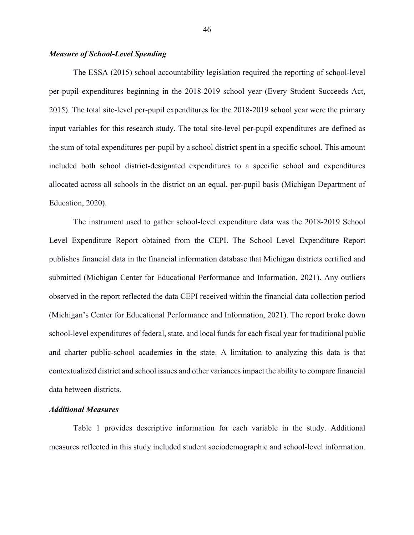## *Measure of School-Level Spending*

The ESSA (2015) school accountability legislation required the reporting of school-level per-pupil expenditures beginning in the 2018-2019 school year (Every Student Succeeds Act, 2015). The total site-level per-pupil expenditures for the 2018-2019 school year were the primary input variables for this research study. The total site-level per-pupil expenditures are defined as the sum of total expenditures per-pupil by a school district spent in a specific school. This amount included both school district-designated expenditures to a specific school and expenditures allocated across all schools in the district on an equal, per-pupil basis (Michigan Department of Education, 2020).

The instrument used to gather school-level expenditure data was the 2018-2019 School Level Expenditure Report obtained from the CEPI. The School Level Expenditure Report publishes financial data in the financial information database that Michigan districts certified and submitted (Michigan Center for Educational Performance and Information, 2021). Any outliers observed in the report reflected the data CEPI received within the financial data collection period (Michigan's Center for Educational Performance and Information, 2021). The report broke down school-level expenditures of federal, state, and local funds for each fiscal year for traditional public and charter public-school academies in the state. A limitation to analyzing this data is that contextualized district and school issues and other variances impact the ability to compare financial data between districts.

#### *Additional Measures*

Table 1 provides descriptive information for each variable in the study. Additional measures reflected in this study included student sociodemographic and school-level information.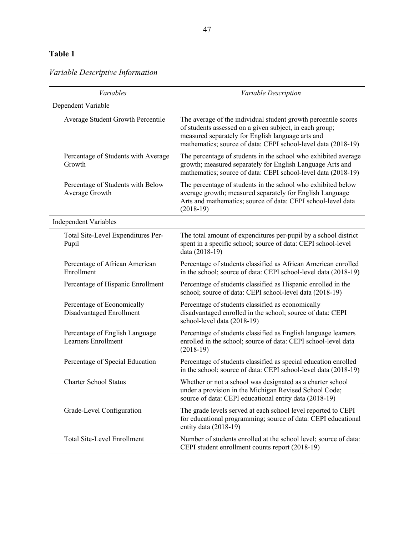## **Table 1**

# *Variable Descriptive Information*

| Variables                                              | Variable Description                                                                                                                                                                                                                            |  |  |  |  |  |
|--------------------------------------------------------|-------------------------------------------------------------------------------------------------------------------------------------------------------------------------------------------------------------------------------------------------|--|--|--|--|--|
| Dependent Variable                                     |                                                                                                                                                                                                                                                 |  |  |  |  |  |
| Average Student Growth Percentile                      | The average of the individual student growth percentile scores<br>of students assessed on a given subject, in each group;<br>measured separately for English language arts and<br>mathematics; source of data: CEPI school-level data (2018-19) |  |  |  |  |  |
| Percentage of Students with Average<br>Growth          | The percentage of students in the school who exhibited average<br>growth; measured separately for English Language Arts and<br>mathematics; source of data: CEPI school-level data (2018-19)                                                    |  |  |  |  |  |
| Percentage of Students with Below<br>Average Growth    | The percentage of students in the school who exhibited below<br>average growth; measured separately for English Language<br>Arts and mathematics; source of data: CEPI school-level data<br>$(2018-19)$                                         |  |  |  |  |  |
| <b>Independent Variables</b>                           |                                                                                                                                                                                                                                                 |  |  |  |  |  |
| Total Site-Level Expenditures Per-<br>Pupil            | The total amount of expenditures per-pupil by a school district<br>spent in a specific school; source of data: CEPI school-level<br>data (2018-19)                                                                                              |  |  |  |  |  |
| Percentage of African American<br>Enrollment           | Percentage of students classified as African American enrolled<br>in the school; source of data: CEPI school-level data (2018-19)                                                                                                               |  |  |  |  |  |
| Percentage of Hispanic Enrollment                      | Percentage of students classified as Hispanic enrolled in the<br>school; source of data: CEPI school-level data (2018-19)                                                                                                                       |  |  |  |  |  |
| Percentage of Economically<br>Disadvantaged Enrollment | Percentage of students classified as economically<br>disadvantaged enrolled in the school; source of data: CEPI<br>school-level data (2018-19)                                                                                                  |  |  |  |  |  |
| Percentage of English Language<br>Learners Enrollment  | Percentage of students classified as English language learners<br>enrolled in the school; source of data: CEPI school-level data<br>$(2018-19)$                                                                                                 |  |  |  |  |  |
| Percentage of Special Education                        | Percentage of students classified as special education enrolled<br>in the school; source of data: CEPI school-level data (2018-19)                                                                                                              |  |  |  |  |  |
| <b>Charter School Status</b>                           | Whether or not a school was designated as a charter school<br>under a provision in the Michigan Revised School Code;<br>source of data: CEPI educational entity data (2018-19)                                                                  |  |  |  |  |  |
| Grade-Level Configuration                              | The grade levels served at each school level reported to CEPI<br>for educational programming; source of data: CEPI educational<br>entity data (2018-19)                                                                                         |  |  |  |  |  |
| <b>Total Site-Level Enrollment</b>                     | Number of students enrolled at the school level; source of data:<br>CEPI student enrollment counts report (2018-19)                                                                                                                             |  |  |  |  |  |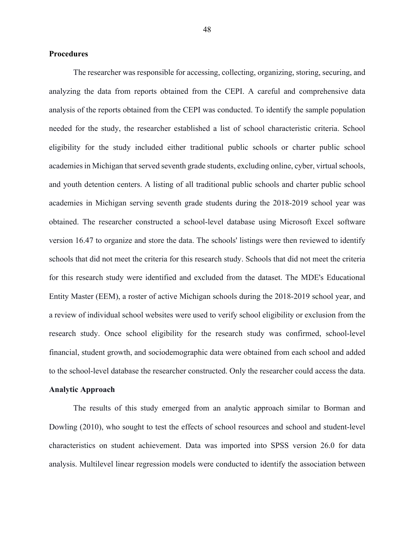#### **Procedures**

The researcher was responsible for accessing, collecting, organizing, storing, securing, and analyzing the data from reports obtained from the CEPI. A careful and comprehensive data analysis of the reports obtained from the CEPI was conducted. To identify the sample population needed for the study, the researcher established a list of school characteristic criteria. School eligibility for the study included either traditional public schools or charter public school academies in Michigan that served seventh grade students, excluding online, cyber, virtual schools, and youth detention centers. A listing of all traditional public schools and charter public school academies in Michigan serving seventh grade students during the 2018-2019 school year was obtained. The researcher constructed a school-level database using Microsoft Excel software version 16.47 to organize and store the data. The schools' listings were then reviewed to identify schools that did not meet the criteria for this research study. Schools that did not meet the criteria for this research study were identified and excluded from the dataset. The MDE's Educational Entity Master (EEM), a roster of active Michigan schools during the 2018-2019 school year, and a review of individual school websites were used to verify school eligibility or exclusion from the research study. Once school eligibility for the research study was confirmed, school-level financial, student growth, and sociodemographic data were obtained from each school and added to the school-level database the researcher constructed. Only the researcher could access the data.

#### **Analytic Approach**

The results of this study emerged from an analytic approach similar to Borman and Dowling (2010), who sought to test the effects of school resources and school and student-level characteristics on student achievement. Data was imported into SPSS version 26.0 for data analysis. Multilevel linear regression models were conducted to identify the association between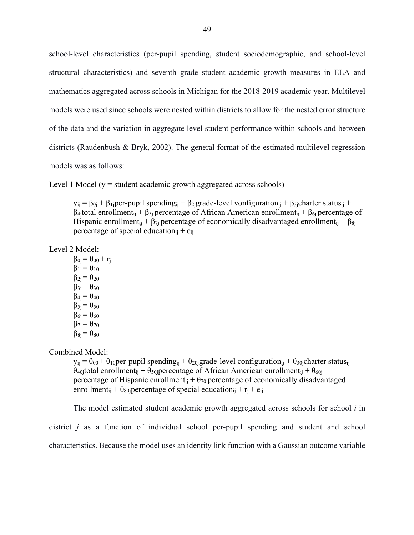school-level characteristics (per-pupil spending, student sociodemographic, and school-level structural characteristics) and seventh grade student academic growth measures in ELA and mathematics aggregated across schools in Michigan for the 2018-2019 academic year. Multilevel models were used since schools were nested within districts to allow for the nested error structure of the data and the variation in aggregate level student performance within schools and between districts (Raudenbush & Bryk, 2002). The general format of the estimated multilevel regression models was as follows:

Level 1 Model ( $y =$  student academic growth aggregated across schools)

 $y_{ij} = β<sub>0j</sub> + β<sub>1j</sub>per-pupil spending<sub>ij</sub> + β<sub>2j</sub>grade-level vonfiguration<sub>ij</sub> + β<sub>3j</sub>charter status<sub>ij</sub> +$  $β$ <sub>4j</sub>total enrollment<sub>ij</sub> + β<sub>5j</sub> percentage of African American enrollment<sub>ij</sub> + β<sub>6j</sub> percentage of Hispanic enrollment<sub>ij</sub> +  $\beta_{7i}$  percentage of economically disadvantaged enrollment<sub>ij</sub> +  $\beta_{8i}$ percentage of special education<sub>ij</sub> +  $e_{ii}$ 

Level 2 Model:

 $\beta_{0i} = \theta_{00} + r_i$  $\beta_{1j} = \theta_{10}$  $\beta_{2i} = \theta_{20}$  $\beta_{3i} = \theta_{30}$  $\beta_{4} = \theta_{40}$  $\beta_{5} = \theta_{50}$  $\beta_{6i} = \theta_{60}$  $\beta_{7i} = \theta_{70}$  $\beta_{8i} = \theta_{80}$ 

Combined Model:

 $y_{ii} = \theta_{00} + \theta_{10}$  per-pupil spending<sub>ij</sub> +  $\theta_{20}$  grade-level configuration<sub>ij</sub> +  $\theta_{30}$  charter status<sub>ij</sub> +  $θ$ <sub>40j</sub>total enrollment<sub>ij</sub> +  $θ$ <sub>50j</sub>percentage of African American enrollment<sub>ij</sub> +  $θ$ <sub>60j</sub> percentage of Hispanic enrollment<sub>ij</sub> +  $\theta_{70}$ jpercentage of economically disadvantaged enrollment<sub>ij</sub> +  $\theta_{80}$ jpercentage of special education<sub>ij</sub> + r<sub>j</sub> + e<sub>ij</sub>

The model estimated student academic growth aggregated across schools for school *i* in district *j* as a function of individual school per-pupil spending and student and school characteristics. Because the model uses an identity link function with a Gaussian outcome variable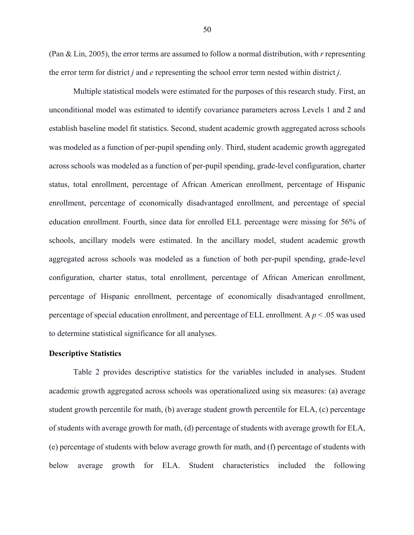(Pan & Lin, 2005), the error terms are assumed to follow a normal distribution, with *r* representing the error term for district *j* and *e* representing the school error term nested within district *j*.

Multiple statistical models were estimated for the purposes of this research study. First, an unconditional model was estimated to identify covariance parameters across Levels 1 and 2 and establish baseline model fit statistics. Second, student academic growth aggregated across schools was modeled as a function of per-pupil spending only. Third, student academic growth aggregated across schools was modeled as a function of per-pupil spending, grade-level configuration, charter status, total enrollment, percentage of African American enrollment, percentage of Hispanic enrollment, percentage of economically disadvantaged enrollment, and percentage of special education enrollment. Fourth, since data for enrolled ELL percentage were missing for 56% of schools, ancillary models were estimated. In the ancillary model, student academic growth aggregated across schools was modeled as a function of both per-pupil spending, grade-level configuration, charter status, total enrollment, percentage of African American enrollment, percentage of Hispanic enrollment, percentage of economically disadvantaged enrollment, percentage of special education enrollment, and percentage of ELL enrollment. A *p* < .05 was used to determine statistical significance for all analyses.

#### **Descriptive Statistics**

Table 2 provides descriptive statistics for the variables included in analyses. Student academic growth aggregated across schools was operationalized using six measures: (a) average student growth percentile for math, (b) average student growth percentile for ELA, (c) percentage of students with average growth for math, (d) percentage of students with average growth for ELA, (e) percentage of students with below average growth for math, and (f) percentage of students with below average growth for ELA. Student characteristics included the following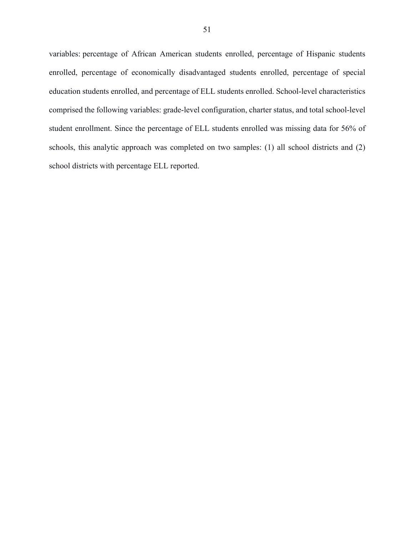variables: percentage of African American students enrolled, percentage of Hispanic students enrolled, percentage of economically disadvantaged students enrolled, percentage of special education students enrolled, and percentage of ELL students enrolled. School-level characteristics comprised the following variables: grade-level configuration, charter status, and total school-level student enrollment. Since the percentage of ELL students enrolled was missing data for 56% of schools, this analytic approach was completed on two samples: (1) all school districts and (2) school districts with percentage ELL reported.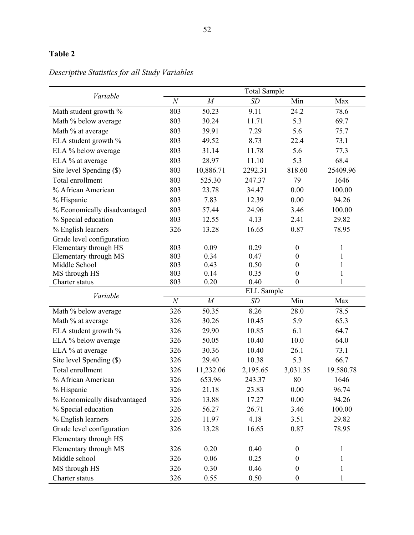## **Table 2**

| Variable                     | <b>Total Sample</b> |           |           |                  |              |  |  |
|------------------------------|---------------------|-----------|-----------|------------------|--------------|--|--|
|                              | $\cal N$            | M         | <b>SD</b> | Min              | Max          |  |  |
| Math student growth %        | 803                 | 50.23     | 9.11      | 24.2             | 78.6         |  |  |
| Math % below average         | 803                 | 30.24     | 11.71     | 5.3              | 69.7         |  |  |
| Math % at average            | 803                 | 39.91     | 7.29      | 5.6              | 75.7         |  |  |
| ELA student growth %         | 803                 | 49.52     | 8.73      | 22.4             | 73.1         |  |  |
| ELA % below average          | 803                 | 31.14     | 11.78     | 5.6              | 77.3         |  |  |
| ELA % at average             | 803                 | 28.97     | 11.10     | 5.3              | 68.4         |  |  |
| Site level Spending (\$)     | 803                 | 10,886.71 | 2292.31   | 818.60           | 25409.96     |  |  |
| Total enrollment             | 803                 | 525.30    | 247.37    | 79               | 1646         |  |  |
| % African American           | 803                 | 23.78     | 34.47     | 0.00             | 100.00       |  |  |
| % Hispanic                   | 803                 | 7.83      | 12.39     | 0.00             | 94.26        |  |  |
| % Economically disadvantaged | 803                 | 57.44     | 24.96     | 3.46             | 100.00       |  |  |
| % Special education          | 803                 | 12.55     | 4.13      | 2.41             | 29.82        |  |  |
| % English learners           | 326                 | 13.28     | 16.65     | 0.87             | 78.95        |  |  |
| Grade level configuration    |                     |           |           |                  |              |  |  |
| Elementary through HS        | 803                 | 0.09      | 0.29      | $\boldsymbol{0}$ | 1            |  |  |
| Elementary through MS        | 803                 | 0.34      | 0.47      | $\boldsymbol{0}$ | $\mathbf{1}$ |  |  |
| Middle School                | 803                 | 0.43      | 0.50      | $\boldsymbol{0}$ | $\mathbf{1}$ |  |  |
| MS through HS                | 803                 | 0.14      | 0.35      | $\boldsymbol{0}$ | $\mathbf{1}$ |  |  |
| Charter status               | 803                 | 0.20      | 0.40      | $\boldsymbol{0}$ | $\mathbf{1}$ |  |  |
| Variable                     | <b>ELL</b> Sample   |           |           |                  |              |  |  |
|                              | $\boldsymbol{N}$    | M         | SD        | Min              | Max          |  |  |
| Math % below average         | 326                 | 50.35     | 8.26      | 28.0             | 78.5         |  |  |
| Math % at average            | 326                 | 30.26     | 10.45     | 5.9              | 65.3         |  |  |
| ELA student growth %         | 326                 | 29.90     | 10.85     | 6.1              | 64.7         |  |  |
| ELA % below average          | 326                 | 50.05     | 10.40     | 10.0             | 64.0         |  |  |
| ELA % at average             | 326                 | 30.36     | 10.40     | 26.1             | 73.1         |  |  |
| Site level Spending (\$)     | 326                 | 29.40     | 10.38     | 5.3              | 66.7         |  |  |
| Total enrollment             | 326                 | 11,232.06 | 2,195.65  | 3,031.35         | 19.580.78    |  |  |
| % African American           | 326                 | 653.96    | 243.37    | 80               | 1646         |  |  |
| % Hispanic                   | 326                 | 21.18     | 23.83     | $0.00\,$         | 96.74        |  |  |
| % Economically disadvantaged | 326                 | 13.88     | 17.27     | 0.00             | 94.26        |  |  |
| % Special education          | 326                 | 56.27     | 26.71     | 3.46             | 100.00       |  |  |
| % English learners           | 326                 | 11.97     | 4.18      | 3.51             | 29.82        |  |  |
| Grade level configuration    | 326                 | 13.28     | 16.65     | 0.87             | 78.95        |  |  |
| Elementary through HS        |                     |           |           |                  |              |  |  |
| Elementary through MS        | 326                 | 0.20      | 0.40      | $\boldsymbol{0}$ | $\mathbf{1}$ |  |  |
| Middle school                | 326                 | 0.06      | 0.25      | $\boldsymbol{0}$ | 1            |  |  |
| MS through HS                | 326                 | 0.30      | 0.46      | $\boldsymbol{0}$ | 1            |  |  |
| Charter status               | 326                 | 0.55      | 0.50      | $\boldsymbol{0}$ | 1            |  |  |

# *Descriptive Statistics for all Study Variables*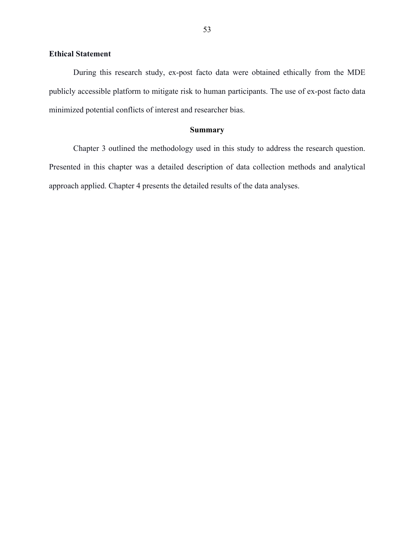## **Ethical Statement**

During this research study, ex-post facto data were obtained ethically from the MDE publicly accessible platform to mitigate risk to human participants. The use of ex-post facto data minimized potential conflicts of interest and researcher bias.

#### **Summary**

Chapter 3 outlined the methodology used in this study to address the research question. Presented in this chapter was a detailed description of data collection methods and analytical approach applied. Chapter 4 presents the detailed results of the data analyses.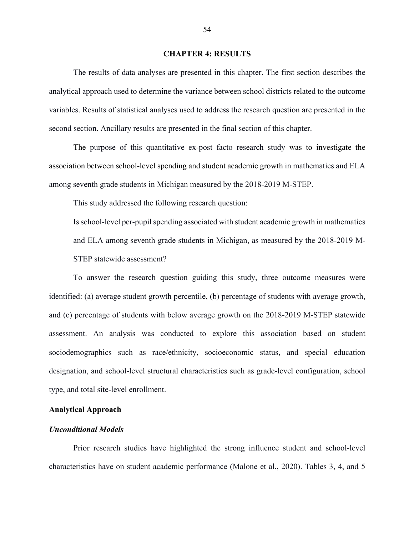#### **CHAPTER 4: RESULTS**

The results of data analyses are presented in this chapter. The first section describes the analytical approach used to determine the variance between school districts related to the outcome variables. Results of statistical analyses used to address the research question are presented in the second section. Ancillary results are presented in the final section of this chapter.

The purpose of this quantitative ex-post facto research study was to investigate the association between school-level spending and student academic growth in mathematics and ELA among seventh grade students in Michigan measured by the 2018-2019 M-STEP.

This study addressed the following research question:

Is school-level per-pupil spending associated with student academic growth in mathematics and ELA among seventh grade students in Michigan, as measured by the 2018-2019 M-STEP statewide assessment?

To answer the research question guiding this study, three outcome measures were identified: (a) average student growth percentile, (b) percentage of students with average growth, and (c) percentage of students with below average growth on the 2018-2019 M-STEP statewide assessment. An analysis was conducted to explore this association based on student sociodemographics such as race/ethnicity, socioeconomic status, and special education designation, and school-level structural characteristics such as grade-level configuration, school type, and total site-level enrollment.

#### **Analytical Approach**

## *Unconditional Models*

Prior research studies have highlighted the strong influence student and school-level characteristics have on student academic performance (Malone et al., 2020). Tables 3, 4, and 5

54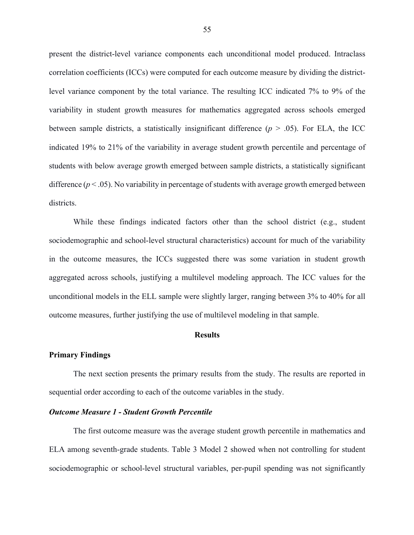present the district-level variance components each unconditional model produced. Intraclass correlation coefficients (ICCs) were computed for each outcome measure by dividing the districtlevel variance component by the total variance. The resulting ICC indicated 7% to 9% of the variability in student growth measures for mathematics aggregated across schools emerged between sample districts, a statistically insignificant difference  $(p > .05)$ . For ELA, the ICC indicated 19% to 21% of the variability in average student growth percentile and percentage of students with below average growth emerged between sample districts, a statistically significant difference  $(p < .05)$ . No variability in percentage of students with average growth emerged between districts.

While these findings indicated factors other than the school district (e.g., student sociodemographic and school-level structural characteristics) account for much of the variability in the outcome measures, the ICCs suggested there was some variation in student growth aggregated across schools, justifying a multilevel modeling approach. The ICC values for the unconditional models in the ELL sample were slightly larger, ranging between 3% to 40% for all outcome measures, further justifying the use of multilevel modeling in that sample.

#### **Results**

#### **Primary Findings**

The next section presents the primary results from the study. The results are reported in sequential order according to each of the outcome variables in the study.

#### *Outcome Measure 1 - Student Growth Percentile*

The first outcome measure was the average student growth percentile in mathematics and ELA among seventh-grade students. Table 3 Model 2 showed when not controlling for student sociodemographic or school-level structural variables, per-pupil spending was not significantly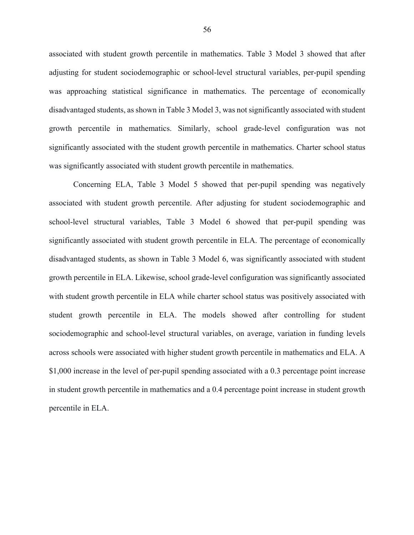associated with student growth percentile in mathematics. Table 3 Model 3 showed that after adjusting for student sociodemographic or school-level structural variables, per-pupil spending was approaching statistical significance in mathematics. The percentage of economically disadvantaged students, as shown in Table 3 Model 3, was not significantly associated with student growth percentile in mathematics. Similarly, school grade-level configuration was not significantly associated with the student growth percentile in mathematics. Charter school status was significantly associated with student growth percentile in mathematics.

Concerning ELA, Table 3 Model 5 showed that per-pupil spending was negatively associated with student growth percentile. After adjusting for student sociodemographic and school-level structural variables, Table 3 Model 6 showed that per-pupil spending was significantly associated with student growth percentile in ELA. The percentage of economically disadvantaged students, as shown in Table 3 Model 6, was significantly associated with student growth percentile in ELA. Likewise, school grade-level configuration was significantly associated with student growth percentile in ELA while charter school status was positively associated with student growth percentile in ELA. The models showed after controlling for student sociodemographic and school-level structural variables, on average, variation in funding levels across schools were associated with higher student growth percentile in mathematics and ELA. A \$1,000 increase in the level of per-pupil spending associated with a 0.3 percentage point increase in student growth percentile in mathematics and a 0.4 percentage point increase in student growth percentile in ELA.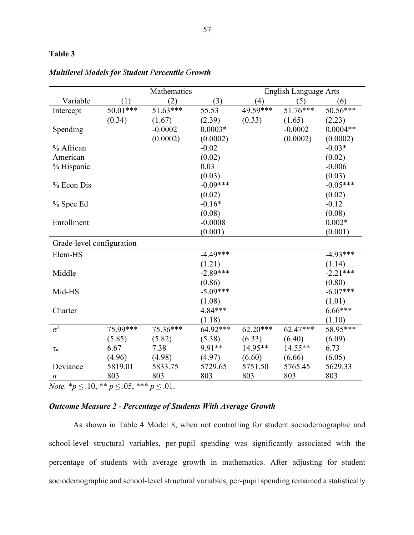## **Table 3**

|                           | Mathematics        |            |                   | <b>English Language Arts</b> |            |            |
|---------------------------|--------------------|------------|-------------------|------------------------------|------------|------------|
| Variable                  | (1)                | (2)        | (3)               | (4)                          | (5)        | (6)        |
| Intercept                 | $50.01***$         | $51.63***$ | $\frac{1}{55.53}$ | 49.59***                     | 51.76***   | $50.56***$ |
|                           | (0.34)             | (1.67)     | (2.39)            | (0.33)                       | (1.65)     | (2.23)     |
| Spending                  |                    | $-0.0002$  | $0.0003*$         |                              | $-0.0002$  | $0.0004**$ |
|                           |                    | (0.0002)   | (0.0002)          |                              | (0.0002)   | (0.0002)   |
| % African                 |                    |            | $-0.02$           |                              |            | $-0.03*$   |
| American                  |                    |            | (0.02)            |                              |            | (0.02)     |
| % Hispanic                |                    |            | 0.03              |                              |            | $-0.006$   |
|                           |                    |            | (0.03)            |                              |            | (0.03)     |
| % Econ Dis                |                    |            | $-0.09***$        |                              |            | $-0.05***$ |
|                           |                    |            | (0.02)            |                              |            | (0.02)     |
| % Spec Ed                 |                    |            | $-0.16*$          |                              |            | $-0.12$    |
|                           |                    |            | (0.08)            |                              |            | (0.08)     |
| Enrollment                |                    |            | $-0.0008$         |                              |            | $0.002*$   |
|                           |                    |            | (0.001)           |                              |            | (0.001)    |
| Grade-level configuration |                    |            |                   |                              |            |            |
| Elem-HS                   |                    |            | $-4.49***$        |                              |            | $-4.93***$ |
|                           |                    |            | (1.21)            |                              |            | (1.14)     |
| Middle                    |                    |            | $-2.89***$        |                              |            | $-2.21***$ |
|                           |                    |            | (0.86)            |                              |            | (0.80)     |
| Mid-HS                    |                    |            | $-5.09***$        |                              |            | $-6.07***$ |
|                           |                    |            | (1.08)            |                              |            | (1.01)     |
| Charter                   |                    |            | 4.84***           |                              |            | $6.66***$  |
|                           |                    |            | (1.18)            |                              |            | (1.10)     |
| $\overline{\sigma^2}$     | 75.99***           | 75.36***   | $64.92***$        | $62.20***$                   | $62.47***$ | 58.95***   |
|                           | (5.85)             | (5.82)     | (5.38)            | (6.33)                       | (6.40)     | (6.09)     |
| $\tau_\pi$                | 6.67               | 7.38       | 9.91**            | 14.95**                      | 14.55**    | 6.73       |
|                           | (4.96)             | (4.98)     | (4.97)            | (6.60)                       | (6.66)     | (6.05)     |
| Deviance                  | 5819.01            | 5833.75    | 5729.65           | 5751.50                      | 5765.45    | 5629.33    |
| n<br>$-40$ $-40$          | 803<br>$Q = 0.000$ | 803        | 803               | 803                          | 803        | 803        |

## *Multilevel Models for Student Percentile Growth*

*Note.*  $* p ≤ 0.10, * p ≤ 0.05, * * * p ≤ 0.01.$ 

## *Outcome Measure 2 - Percentage of Students With Average Growth*

As shown in Table 4 Model 8, when not controlling for student sociodemographic and school-level structural variables, per-pupil spending was significantly associated with the percentage of students with average growth in mathematics. After adjusting for student sociodemographic and school-level structural variables, per-pupil spending remained a statistically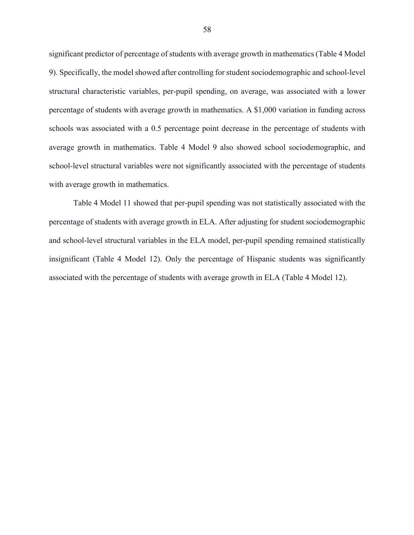significant predictor of percentage of students with average growth in mathematics (Table 4 Model 9). Specifically, the model showed after controlling for student sociodemographic and school-level structural characteristic variables, per-pupil spending, on average, was associated with a lower percentage of students with average growth in mathematics. A \$1,000 variation in funding across schools was associated with a 0.5 percentage point decrease in the percentage of students with average growth in mathematics. Table 4 Model 9 also showed school sociodemographic, and school-level structural variables were not significantly associated with the percentage of students with average growth in mathematics.

Table 4 Model 11 showed that per-pupil spending was not statistically associated with the percentage of students with average growth in ELA. After adjusting for student sociodemographic and school-level structural variables in the ELA model, per-pupil spending remained statistically insignificant (Table 4 Model 12). Only the percentage of Hispanic students was significantly associated with the percentage of students with average growth in ELA (Table 4 Model 12).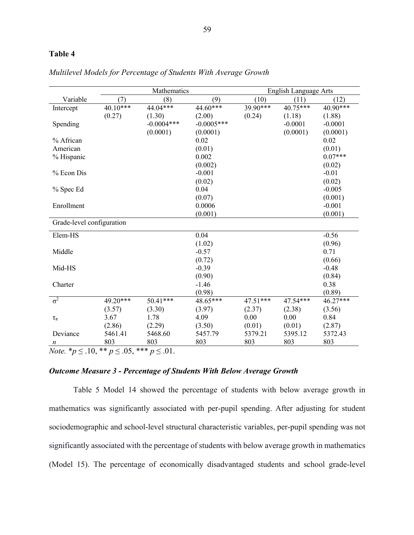## **Table 4**

|                           | Mathematics |              |              | <b>English Language Arts</b> |            |           |
|---------------------------|-------------|--------------|--------------|------------------------------|------------|-----------|
| Variable                  | (7)         | (8)          | (9)          | (10)                         | (11)       | (12)      |
| Intercept                 | 40.10***    | 44.04***     | 44.60***     | 39.90***                     | $40.75***$ | 40.90***  |
|                           | (0.27)      | (1.30)       | (2.00)       | (0.24)                       | (1.18)     | (1.88)    |
| Spending                  |             | $-0.0004***$ | $-0.0005***$ |                              | $-0.0001$  | $-0.0001$ |
|                           |             | (0.0001)     | (0.0001)     |                              | (0.0001)   | (0.0001)  |
| % African                 |             |              | 0.02         |                              |            | 0.02      |
| American                  |             |              | (0.01)       |                              |            | (0.01)    |
| % Hispanic                |             |              | 0.002        |                              |            | $0.07***$ |
|                           |             |              | (0.002)      |                              |            | (0.02)    |
| % Econ Dis                |             |              | $-0.001$     |                              |            | $-0.01$   |
|                           |             |              | (0.02)       |                              |            | (0.02)    |
| % Spec Ed                 |             |              | 0.04         |                              |            | $-0.005$  |
|                           |             |              | (0.07)       |                              |            | (0.001)   |
| Enrollment                |             |              | 0.0006       |                              |            | $-0.001$  |
|                           |             |              | (0.001)      |                              |            | (0.001)   |
| Grade-level configuration |             |              |              |                              |            |           |
| Elem-HS                   |             |              | 0.04         |                              |            | $-0.56$   |
|                           |             |              | (1.02)       |                              |            | (0.96)    |
| Middle                    |             |              | $-0.57$      |                              |            | 0.71      |
|                           |             |              | (0.72)       |                              |            | (0.66)    |
| Mid-HS                    |             |              | $-0.39$      |                              |            | $-0.48$   |
|                           |             |              | (0.90)       |                              |            | (0.84)    |
| Charter                   |             |              | $-1.46$      |                              |            | 0.38      |
|                           |             |              | (0.98)       |                              |            | (0.89)    |
| $\sigma^2$                | 49.20***    | $50.41***$   | $48.65***$   | $47.51***$                   | 47.54***   | 46.27***  |
|                           |             |              |              |                              |            |           |
|                           | (3.57)      | (3.30)       | (3.97)       | (2.37)                       | (2.38)     | (3.56)    |
| $\tau_\pi$                | 3.67        | 1.78         | 4.09         | 0.00                         | 0.00       | 0.84      |
|                           | (2.86)      | (2.29)       | (3.50)       | (0.01)                       | (0.01)     | (2.87)    |
| Deviance                  | 5461.41     | 5468.60      | 5457.79      | 5379.21                      | 5395.12    | 5372.43   |
| $\boldsymbol{n}$          | 803         | 803          | 803          | 803                          | 803        | 803       |

*Multilevel Models for Percentage of Students With Average Growth*

*Note.* \* $p$  ≤ .10, \*\*  $p$  ≤ .05, \*\*\*  $p$  ≤ .01.

## *Outcome Measure 3 - Percentage of Students With Below Average Growth*

Table 5 Model 14 showed the percentage of students with below average growth in mathematics was significantly associated with per-pupil spending. After adjusting for student sociodemographic and school-level structural characteristic variables, per-pupil spending was not significantly associated with the percentage of students with below average growth in mathematics (Model 15). The percentage of economically disadvantaged students and school grade-level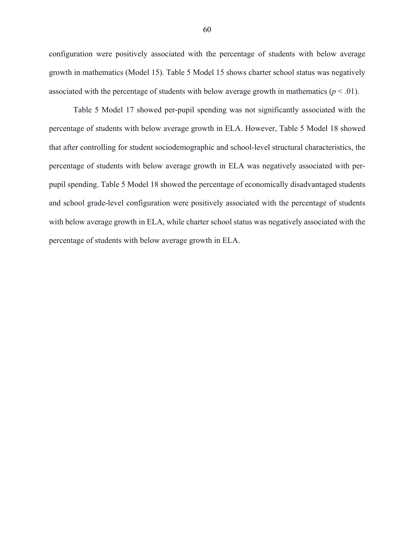configuration were positively associated with the percentage of students with below average growth in mathematics (Model 15). Table 5 Model 15 shows charter school status was negatively associated with the percentage of students with below average growth in mathematics  $(p < .01)$ .

Table 5 Model 17 showed per-pupil spending was not significantly associated with the percentage of students with below average growth in ELA. However, Table 5 Model 18 showed that after controlling for student sociodemographic and school-level structural characteristics, the percentage of students with below average growth in ELA was negatively associated with perpupil spending. Table 5 Model 18 showed the percentage of economically disadvantaged students and school grade-level configuration were positively associated with the percentage of students with below average growth in ELA, while charter school status was negatively associated with the percentage of students with below average growth in ELA.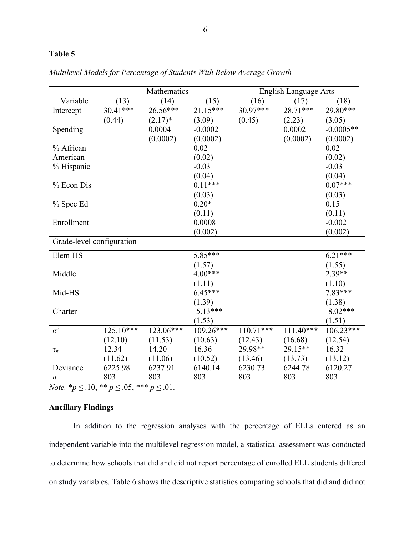### **Table 5**

|                           | Mathematics |            |            | <b>English Language Arts</b> |             |             |
|---------------------------|-------------|------------|------------|------------------------------|-------------|-------------|
| Variable                  | (13)        | (14)       | (15)       | (16)                         | (17)        | (18)        |
| Intercept                 | 30.41***    | $26.56***$ | $21.15***$ | $30.97***$                   | 28.71***    | 29.80***    |
|                           | (0.44)      | $(2.17)^*$ | (3.09)     | (0.45)                       | (2.23)      | (3.05)      |
| Spending                  |             | 0.0004     | $-0.0002$  |                              | 0.0002      | $-0.0005**$ |
|                           |             | (0.0002)   | (0.0002)   |                              | (0.0002)    | (0.0002)    |
| % African                 |             |            | 0.02       |                              |             | 0.02        |
| American                  |             |            | (0.02)     |                              |             | (0.02)      |
| % Hispanic                |             |            | $-0.03$    |                              |             | $-0.03$     |
|                           |             |            | (0.04)     |                              |             | (0.04)      |
| % Econ Dis                |             |            | $0.11***$  |                              |             | $0.07***$   |
|                           |             |            | (0.03)     |                              |             | (0.03)      |
| % Spec Ed                 |             |            | $0.20*$    |                              |             | 0.15        |
|                           |             |            | (0.11)     |                              |             | (0.11)      |
| Enrollment                |             |            | 0.0008     |                              |             | $-0.002$    |
|                           |             |            | (0.002)    |                              |             | (0.002)     |
| Grade-level configuration |             |            |            |                              |             |             |
| Elem-HS                   |             |            | 5.85***    |                              |             | $6.21***$   |
|                           |             |            | (1.57)     |                              |             | (1.55)      |
| Middle                    |             |            | $4.00***$  |                              |             | $2.39**$    |
|                           |             |            | (1.11)     |                              |             | (1.10)      |
| Mid-HS                    |             |            | $6.45***$  |                              |             | $7.83***$   |
|                           |             |            | (1.39)     |                              |             | (1.38)      |
| Charter                   |             |            | $-5.13***$ |                              |             | $-8.02***$  |
|                           |             |            | (1.53)     |                              |             | (1.51)      |
| $\sigma^2$                | $125.10***$ | 123.06***  | 109.26***  | $110.71***$                  | $111.40***$ | 106.23***   |
|                           | (12.10)     | (11.53)    | (10.63)    | (12.43)                      | (16.68)     | (12.54)     |
| $\tau_{\pi}$              | 12.34       | 14.20      | 16.36      | 29.98**                      | 29.15**     | 16.32       |
|                           | (11.62)     | (11.06)    | (10.52)    | (13.46)                      | (13.73)     | (13.12)     |
| Deviance                  | 6225.98     | 6237.91    | 6140.14    | 6230.73                      | 6244.78     | 6120.27     |
| n                         | 803         | 803        | 803        | 803                          | 803         | 803         |

*Multilevel Models for Percentage of Students With Below Average Growth*

*Note.* \**p* ≤ .10, \*\* *p* ≤ .05, \*\*\* *p* ≤ .01.

## **Ancillary Findings**

In addition to the regression analyses with the percentage of ELLs entered as an independent variable into the multilevel regression model, a statistical assessment was conducted to determine how schools that did and did not report percentage of enrolled ELL students differed on study variables. Table 6 shows the descriptive statistics comparing schools that did and did not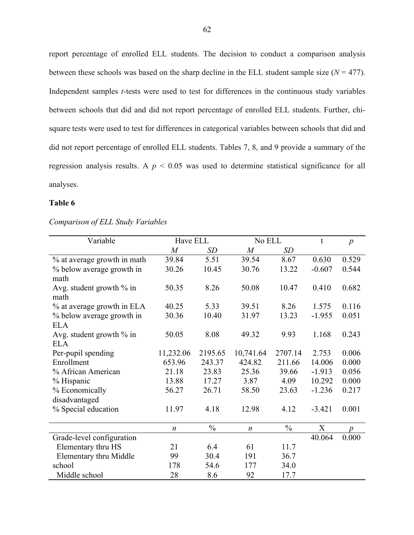report percentage of enrolled ELL students. The decision to conduct a comparison analysis between these schools was based on the sharp decline in the ELL student sample size  $(N = 477)$ . Independent samples *t*-tests were used to test for differences in the continuous study variables between schools that did and did not report percentage of enrolled ELL students. Further, chisquare tests were used to test for differences in categorical variables between schools that did and did not report percentage of enrolled ELL students. Tables 7, 8, and 9 provide a summary of the regression analysis results. A *p* < 0.05 was used to determine statistical significance for all analyses.

# **Table 6**

| Variable                    | Have ELL         |               | No ELL           |               | t        | $\boldsymbol{p}$ |
|-----------------------------|------------------|---------------|------------------|---------------|----------|------------------|
|                             | M                | <b>SD</b>     | $\boldsymbol{M}$ | SD            |          |                  |
| % at average growth in math | 39.84            | 5.51          | 39.54            | 8.67          | 0.630    | 0.529            |
| % below average growth in   | 30.26            | 10.45         | 30.76            | 13.22         | $-0.607$ | 0.544            |
| math                        |                  |               |                  |               |          |                  |
| Avg. student growth $\%$ in | 50.35            | 8.26          | 50.08            | 10.47         | 0.410    | 0.682            |
| math                        |                  |               |                  |               |          |                  |
| % at average growth in ELA  | 40.25            | 5.33          | 39.51            | 8.26          | 1.575    | 0.116            |
| % below average growth in   | 30.36            | 10.40         | 31.97            | 13.23         | $-1.955$ | 0.051            |
| <b>ELA</b>                  |                  |               |                  |               |          |                  |
| Avg. student growth $\%$ in | 50.05            | 8.08          | 49.32            | 9.93          | 1.168    | 0.243            |
| <b>ELA</b>                  |                  |               |                  |               |          |                  |
| Per-pupil spending          | 11,232.06        | 2195.65       | 10,741.64        | 2707.14       | 2.753    | 0.006            |
| Enrollment                  | 653.96           | 243.37        | 424.82           | 211.66        | 14.006   | 0.000            |
| % African American          | 21.18            | 23.83         | 25.36            | 39.66         | $-1.913$ | 0.056            |
| % Hispanic                  | 13.88            | 17.27         | 3.87             | 4.09          | 10.292   | 0.000            |
| % Economically              | 56.27            | 26.71         | 58.50            | 23.63         | $-1.236$ | 0.217            |
| disadvantaged               |                  |               |                  |               |          |                  |
| % Special education         | 11.97            | 4.18          | 12.98            | 4.12          | $-3.421$ | 0.001            |
|                             |                  |               |                  |               |          |                  |
|                             | $\boldsymbol{n}$ | $\frac{0}{0}$ | $\boldsymbol{n}$ | $\frac{0}{0}$ | X        | $\boldsymbol{p}$ |
| Grade-level configuration   |                  |               |                  |               | 40.064   | 0.000            |
| Elementary thru HS          | 21               | 6.4           | 61               | 11.7          |          |                  |
| Elementary thru Middle      | 99               | 30.4          | 191              | 36.7          |          |                  |
| school                      | 178              | 54.6          | 177              | 34.0          |          |                  |
| Middle school               | 28               | 8.6           | 92               | 17.7          |          |                  |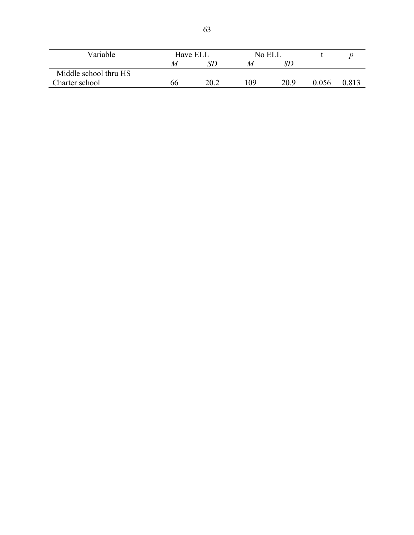| Variable              | Have ELL |      | No ELL |      |       |       |
|-----------------------|----------|------|--------|------|-------|-------|
|                       |          |      | M      |      |       |       |
| Middle school thru HS |          |      |        |      |       |       |
| Charter school        | იი       | 20.2 | 109    | 20.9 | 0.056 | 0.813 |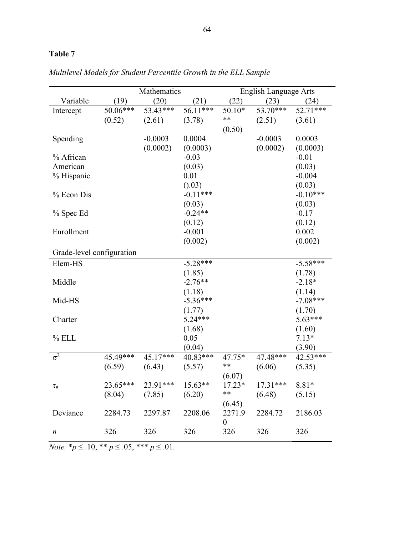# **Table 7**

|                           | Mathematics |            |            | <b>English Language Arts</b> |            |            |  |
|---------------------------|-------------|------------|------------|------------------------------|------------|------------|--|
| Variable                  | (19)        | (20)       | (21)       | (22)                         | (23)       | (24)       |  |
| Intercept                 | $50.06***$  | $53.43***$ | 56.11***   | $50.10*$                     | 53.70***   | 52.71***   |  |
|                           | (0.52)      | (2.61)     | (3.78)     | **                           | (2.51)     | (3.61)     |  |
|                           |             |            |            | (0.50)                       |            |            |  |
| Spending                  |             | $-0.0003$  | 0.0004     |                              | $-0.0003$  | 0.0003     |  |
|                           |             | (0.0002)   | (0.0003)   |                              | (0.0002)   | (0.0003)   |  |
| % African                 |             |            | $-0.03$    |                              |            | $-0.01$    |  |
| American                  |             |            | (0.03)     |                              |            | (0.03)     |  |
| % Hispanic                |             |            | 0.01       |                              |            | $-0.004$   |  |
|                           |             |            | (0.03)     |                              |            | (0.03)     |  |
| % Econ Dis                |             |            | $-0.11***$ |                              |            | $-0.10***$ |  |
|                           |             |            | (0.03)     |                              |            | (0.03)     |  |
| % Spec Ed                 |             |            | $-0.24**$  |                              |            | $-0.17$    |  |
|                           |             |            | (0.12)     |                              |            | (0.12)     |  |
| Enrollment                |             |            | $-0.001$   |                              |            | 0.002      |  |
|                           |             |            | (0.002)    |                              |            | (0.002)    |  |
| Grade-level configuration |             |            |            |                              |            |            |  |
| Elem-HS                   |             |            | $-5.28***$ |                              |            | $-5.58***$ |  |
|                           |             |            | (1.85)     |                              |            | (1.78)     |  |
| Middle                    |             |            | $-2.76**$  |                              |            | $-2.18*$   |  |
|                           |             |            | (1.18)     |                              |            | (1.14)     |  |
| Mid-HS                    |             |            | $-5.36***$ |                              |            | $-7.08***$ |  |
|                           |             |            | (1.77)     |                              |            | (1.70)     |  |
| Charter                   |             |            | $5.24***$  |                              |            | $5.63***$  |  |
|                           |             |            | (1.68)     |                              |            | (1.60)     |  |
| $%$ ELL                   |             |            | 0.05       |                              |            | $7.13*$    |  |
|                           |             |            | (0.04)     |                              |            | (3.90)     |  |
| $\sigma^2$                | 45.49***    | $45.17***$ | 40.83***   | 47.75*                       | 47.48***   | 42.53***   |  |
|                           | (6.59)      | (6.43)     | (5.57)     | **                           | (6.06)     | (5.35)     |  |
|                           |             |            |            | (6.07)                       |            |            |  |
| $\tau_\pi$                | 23.65***    | 23.91***   | $15.63**$  | $17.23*$                     | $17.31***$ | $8.81*$    |  |
|                           | (8.04)      | (7.85)     | (6.20)     | **                           | (6.48)     | (5.15)     |  |
|                           |             |            |            | (6.45)                       |            |            |  |
| Deviance                  | 2284.73     | 2297.87    | 2208.06    | 2271.9                       | 2284.72    | 2186.03    |  |
|                           |             |            |            | $\boldsymbol{0}$             |            |            |  |
| $\boldsymbol{n}$          | 326         | 326        | 326        | 326                          | 326        | 326        |  |
|                           |             |            |            |                              |            |            |  |

*Multilevel Models for Student Percentile Growth in the ELL Sample*

*Note.*  $^*p \leq .10, ^{**}p \leq .05, ^{***}p \leq .01.$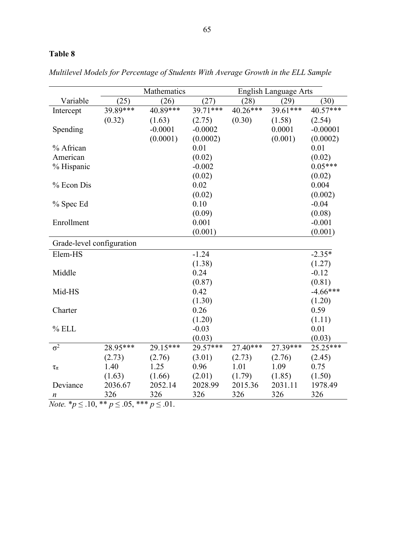# **Table 8**

|                           |          | Mathematics<br><b>English Language Arts</b> |           |            |          |            |
|---------------------------|----------|---------------------------------------------|-----------|------------|----------|------------|
| Variable                  | (25)     | (26)                                        | (27)      | (28)       | (29)     | (30)       |
| Intercept                 | 39.89*** | $40.89***$                                  | 39.71***  | $40.26***$ | 39.61*** | 40.57***   |
|                           | (0.32)   | (1.63)                                      | (2.75)    | (0.30)     | (1.58)   | (2.54)     |
| Spending                  |          | $-0.0001$                                   | $-0.0002$ |            | 0.0001   | $-0.00001$ |
|                           |          | (0.0001)                                    | (0.0002)  |            | (0.001)  | (0.0002)   |
| % African                 |          |                                             | 0.01      |            |          | 0.01       |
| American                  |          |                                             | (0.02)    |            |          | (0.02)     |
| % Hispanic                |          |                                             | $-0.002$  |            |          | $0.05***$  |
|                           |          |                                             | (0.02)    |            |          | (0.02)     |
| % Econ Dis                |          |                                             | 0.02      |            |          | 0.004      |
|                           |          |                                             | (0.02)    |            |          | (0.002)    |
| % Spec Ed                 |          |                                             | 0.10      |            |          | $-0.04$    |
|                           |          |                                             | (0.09)    |            |          | (0.08)     |
| Enrollment                |          |                                             | 0.001     |            |          | $-0.001$   |
|                           |          |                                             | (0.001)   |            |          | (0.001)    |
| Grade-level configuration |          |                                             |           |            |          |            |
| Elem-HS                   |          |                                             | $-1.24$   |            |          | $-2.35*$   |
|                           |          |                                             | (1.38)    |            |          | (1.27)     |
| Middle                    |          |                                             | 0.24      |            |          | $-0.12$    |
|                           |          |                                             | (0.87)    |            |          | (0.81)     |
| Mid-HS                    |          |                                             | 0.42      |            |          | $-4.66***$ |
|                           |          |                                             | (1.30)    |            |          | (1.20)     |
| Charter                   |          |                                             | 0.26      |            |          | 0.59       |
|                           |          |                                             | (1.20)    |            |          | (1.11)     |
| $%$ ELL                   |          |                                             | $-0.03$   |            |          | 0.01       |
|                           |          |                                             | (0.03)    |            |          | (0.03)     |
| $\overline{\sigma^2}$     | 28.95*** | 29.15***                                    | 29.57***  | $27.40***$ | 27.39*** | 25.25***   |
|                           | (2.73)   | (2.76)                                      | (3.01)    | (2.73)     | (2.76)   | (2.45)     |
| $\tau_\pi$                | 1.40     | 1.25                                        | 0.96      | 1.01       | 1.09     | 0.75       |
|                           | (1.63)   | (1.66)                                      | (2.01)    | (1.79)     | (1.85)   | (1.50)     |
| Deviance                  | 2036.67  | 2052.14                                     | 2028.99   | 2015.36    | 2031.11  | 1978.49    |
| n                         | 326      | 326                                         | 326       | 326        | 326      | 326        |

*Multilevel Models for Percentage of Students With Average Growth in the ELL Sample*

*Note.*  $* p \leq .10, ** p \leq .05, *** p \leq .01.$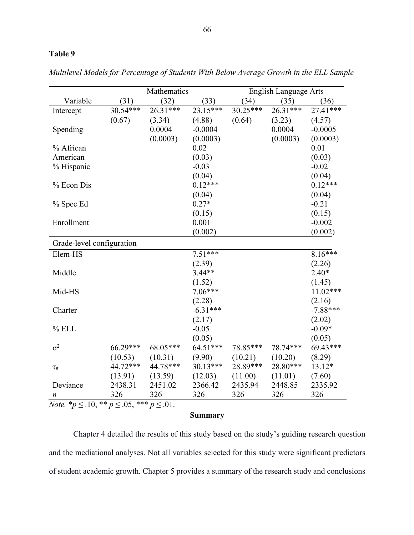# **Table 9**

|                                                                    | Mathematics |            |            | <b>English Language Arts</b> |          |            |  |
|--------------------------------------------------------------------|-------------|------------|------------|------------------------------|----------|------------|--|
| Variable                                                           | (31)        | (32)       | (33)       | (34)                         | (35)     | (36)       |  |
| Intercept                                                          | $30.54***$  | $26.31***$ | 23.15***   | $30.25***$                   | 26.31*** | 27.41***   |  |
|                                                                    | (0.67)      | (3.34)     | (4.88)     | (0.64)                       | (3.23)   | (4.57)     |  |
| Spending                                                           |             | 0.0004     | $-0.0004$  |                              | 0.0004   | $-0.0005$  |  |
|                                                                    |             | (0.0003)   | (0.0003)   |                              | (0.0003) | (0.0003)   |  |
| % African                                                          |             |            | 0.02       |                              |          | 0.01       |  |
| American                                                           |             |            | (0.03)     |                              |          | (0.03)     |  |
| % Hispanic                                                         |             |            | $-0.03$    |                              |          | $-0.02$    |  |
|                                                                    |             |            | (0.04)     |                              |          | (0.04)     |  |
| % Econ Dis                                                         |             |            | $0.12***$  |                              |          | $0.12***$  |  |
|                                                                    |             |            | (0.04)     |                              |          | (0.04)     |  |
| % Spec Ed                                                          |             |            | $0.27*$    |                              |          | $-0.21$    |  |
|                                                                    |             |            | (0.15)     |                              |          | (0.15)     |  |
| Enrollment                                                         |             |            | 0.001      |                              |          | $-0.002$   |  |
|                                                                    |             |            | (0.002)    |                              |          | (0.002)    |  |
| Grade-level configuration                                          |             |            |            |                              |          |            |  |
| Elem-HS                                                            |             |            | $7.51***$  |                              |          | $8.16***$  |  |
|                                                                    |             |            | (2.39)     |                              |          | (2.26)     |  |
| Middle                                                             |             |            | $3.44**$   |                              |          | $2.40*$    |  |
|                                                                    |             |            | (1.52)     |                              |          | (1.45)     |  |
| Mid-HS                                                             |             |            | $7.06***$  |                              |          | $11.02***$ |  |
|                                                                    |             |            | (2.28)     |                              |          | (2.16)     |  |
| Charter                                                            |             |            | $-6.31***$ |                              |          | $-7.88***$ |  |
|                                                                    |             |            | (2.17)     |                              |          | (2.02)     |  |
| $%$ ELL                                                            |             |            | $-0.05$    |                              |          | $-0.09*$   |  |
|                                                                    |             |            | (0.05)     |                              |          | (0.05)     |  |
| $\overline{\sigma^2}$                                              | $66.29***$  | 68.05***   | $64.51***$ | 78.85***                     | 78.74*** | $69.43***$ |  |
|                                                                    | (10.53)     | (10.31)    | (9.90)     | (10.21)                      | (10.20)  | (8.29)     |  |
| $\tau_\pi$                                                         | 44.72***    | 44.78***   | $30.13***$ | 28.89***                     | 28.80*** | 13.12*     |  |
|                                                                    | (13.91)     | (13.59)    | (12.03)    | (11.00)                      | (11.01)  | (7.60)     |  |
| Deviance                                                           | 2438.31     | 2451.02    | 2366.42    | 2435.94                      | 2448.85  | 2335.92    |  |
| n                                                                  | 326         | 326        | 326        | 326                          | 326      | 326        |  |
| <i>Note.</i> * $p \leq .10$ , ** $p \leq .05$ , *** $p \leq .01$ . |             |            |            |                              |          |            |  |

*Multilevel Models for Percentage of Students With Below Average Growth in the ELL Sample*

# **Summary**

Chapter 4 detailed the results of this study based on the study's guiding research question and the mediational analyses. Not all variables selected for this study were significant predictors of student academic growth. Chapter 5 provides a summary of the research study and conclusions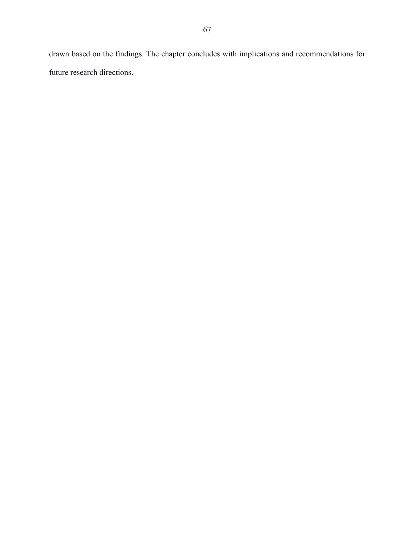drawn based on the findings. The chapter concludes with implications and recommendations for future research directions.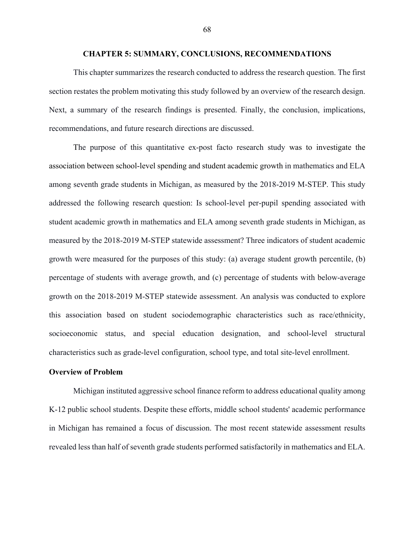#### **CHAPTER 5: SUMMARY, CONCLUSIONS, RECOMMENDATIONS**

This chapter summarizes the research conducted to address the research question. The first section restates the problem motivating this study followed by an overview of the research design. Next, a summary of the research findings is presented. Finally, the conclusion, implications, recommendations, and future research directions are discussed.

The purpose of this quantitative ex-post facto research study was to investigate the association between school-level spending and student academic growth in mathematics and ELA among seventh grade students in Michigan, as measured by the 2018-2019 M-STEP. This study addressed the following research question: Is school-level per-pupil spending associated with student academic growth in mathematics and ELA among seventh grade students in Michigan, as measured by the 2018-2019 M-STEP statewide assessment? Three indicators of student academic growth were measured for the purposes of this study: (a) average student growth percentile, (b) percentage of students with average growth, and (c) percentage of students with below-average growth on the 2018-2019 M-STEP statewide assessment. An analysis was conducted to explore this association based on student sociodemographic characteristics such as race/ethnicity, socioeconomic status, and special education designation, and school-level structural characteristics such as grade-level configuration, school type, and total site-level enrollment.

### **Overview of Problem**

Michigan instituted aggressive school finance reform to address educational quality among K-12 public school students. Despite these efforts, middle school students' academic performance in Michigan has remained a focus of discussion. The most recent statewide assessment results revealed less than half of seventh grade students performed satisfactorily in mathematics and ELA.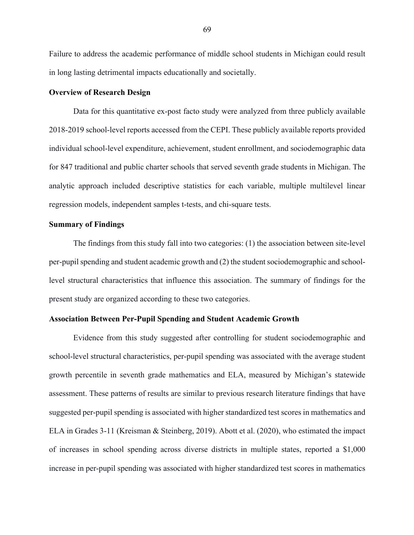Failure to address the academic performance of middle school students in Michigan could result in long lasting detrimental impacts educationally and societally.

#### **Overview of Research Design**

Data for this quantitative ex-post facto study were analyzed from three publicly available 2018-2019 school-level reports accessed from the CEPI. These publicly available reports provided individual school-level expenditure, achievement, student enrollment, and sociodemographic data for 847 traditional and public charter schools that served seventh grade students in Michigan. The analytic approach included descriptive statistics for each variable, multiple multilevel linear regression models, independent samples t-tests, and chi-square tests.

### **Summary of Findings**

The findings from this study fall into two categories: (1) the association between site-level per-pupil spending and student academic growth and (2) the student sociodemographic and schoollevel structural characteristics that influence this association. The summary of findings for the present study are organized according to these two categories.

### **Association Between Per-Pupil Spending and Student Academic Growth**

Evidence from this study suggested after controlling for student sociodemographic and school-level structural characteristics, per-pupil spending was associated with the average student growth percentile in seventh grade mathematics and ELA, measured by Michigan's statewide assessment. These patterns of results are similar to previous research literature findings that have suggested per-pupil spending is associated with higher standardized test scores in mathematics and ELA in Grades 3-11 (Kreisman & Steinberg, 2019). Abott et al. (2020), who estimated the impact of increases in school spending across diverse districts in multiple states, reported a \$1,000 increase in per-pupil spending was associated with higher standardized test scores in mathematics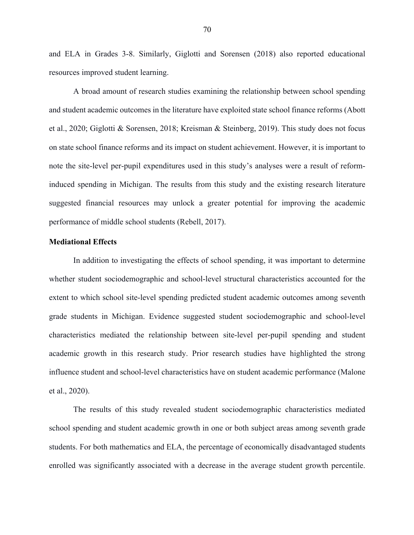and ELA in Grades 3-8. Similarly, Giglotti and Sorensen (2018) also reported educational resources improved student learning.

A broad amount of research studies examining the relationship between school spending and student academic outcomes in the literature have exploited state school finance reforms (Abott et al., 2020; Giglotti & Sorensen, 2018; Kreisman & Steinberg, 2019). This study does not focus on state school finance reforms and its impact on student achievement. However, it is important to note the site-level per-pupil expenditures used in this study's analyses were a result of reforminduced spending in Michigan. The results from this study and the existing research literature suggested financial resources may unlock a greater potential for improving the academic performance of middle school students (Rebell, 2017).

# **Mediational Effects**

In addition to investigating the effects of school spending, it was important to determine whether student sociodemographic and school-level structural characteristics accounted for the extent to which school site-level spending predicted student academic outcomes among seventh grade students in Michigan. Evidence suggested student sociodemographic and school-level characteristics mediated the relationship between site-level per-pupil spending and student academic growth in this research study. Prior research studies have highlighted the strong influence student and school-level characteristics have on student academic performance (Malone et al., 2020).

The results of this study revealed student sociodemographic characteristics mediated school spending and student academic growth in one or both subject areas among seventh grade students. For both mathematics and ELA, the percentage of economically disadvantaged students enrolled was significantly associated with a decrease in the average student growth percentile.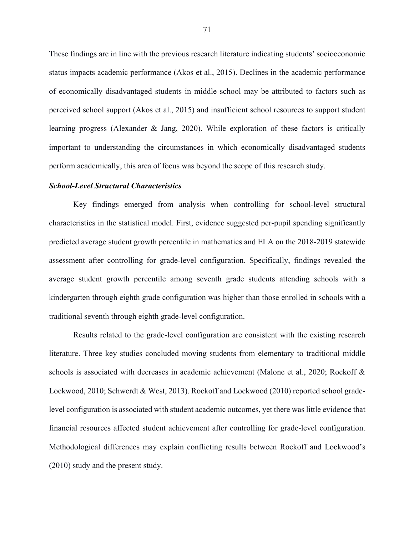These findings are in line with the previous research literature indicating students' socioeconomic status impacts academic performance (Akos et al., 2015). Declines in the academic performance of economically disadvantaged students in middle school may be attributed to factors such as perceived school support (Akos et al., 2015) and insufficient school resources to support student learning progress (Alexander & Jang, 2020). While exploration of these factors is critically important to understanding the circumstances in which economically disadvantaged students perform academically, this area of focus was beyond the scope of this research study.

#### *School-Level Structural Characteristics*

Key findings emerged from analysis when controlling for school-level structural characteristics in the statistical model. First, evidence suggested per-pupil spending significantly predicted average student growth percentile in mathematics and ELA on the 2018-2019 statewide assessment after controlling for grade-level configuration. Specifically, findings revealed the average student growth percentile among seventh grade students attending schools with a kindergarten through eighth grade configuration was higher than those enrolled in schools with a traditional seventh through eighth grade-level configuration.

Results related to the grade-level configuration are consistent with the existing research literature. Three key studies concluded moving students from elementary to traditional middle schools is associated with decreases in academic achievement (Malone et al., 2020; Rockoff & Lockwood, 2010; Schwerdt & West, 2013). Rockoff and Lockwood (2010) reported school gradelevel configuration is associated with student academic outcomes, yet there was little evidence that financial resources affected student achievement after controlling for grade-level configuration. Methodological differences may explain conflicting results between Rockoff and Lockwood's (2010) study and the present study.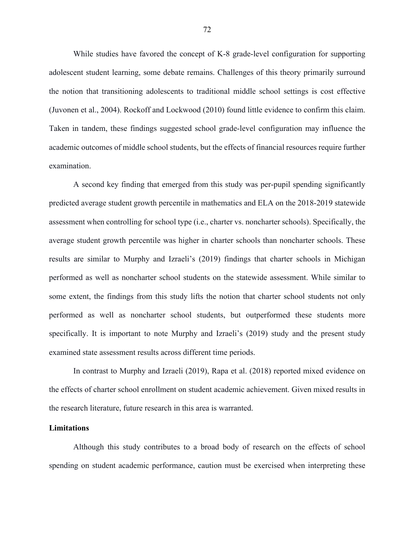While studies have favored the concept of K-8 grade-level configuration for supporting adolescent student learning, some debate remains. Challenges of this theory primarily surround the notion that transitioning adolescents to traditional middle school settings is cost effective (Juvonen et al., 2004). Rockoff and Lockwood (2010) found little evidence to confirm this claim. Taken in tandem, these findings suggested school grade-level configuration may influence the academic outcomes of middle school students, but the effects of financial resources require further examination.

A second key finding that emerged from this study was per-pupil spending significantly predicted average student growth percentile in mathematics and ELA on the 2018-2019 statewide assessment when controlling for school type (i.e., charter vs. noncharter schools). Specifically, the average student growth percentile was higher in charter schools than noncharter schools. These results are similar to Murphy and Izraeli's (2019) findings that charter schools in Michigan performed as well as noncharter school students on the statewide assessment. While similar to some extent, the findings from this study lifts the notion that charter school students not only performed as well as noncharter school students, but outperformed these students more specifically. It is important to note Murphy and Izraeli's (2019) study and the present study examined state assessment results across different time periods.

In contrast to Murphy and Izraeli (2019), Rapa et al. (2018) reported mixed evidence on the effects of charter school enrollment on student academic achievement. Given mixed results in the research literature, future research in this area is warranted.

### **Limitations**

Although this study contributes to a broad body of research on the effects of school spending on student academic performance, caution must be exercised when interpreting these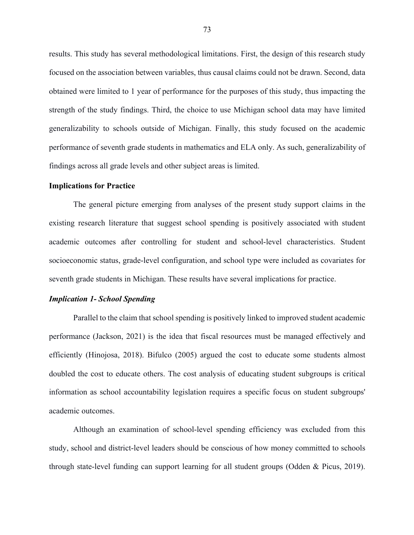results. This study has several methodological limitations. First, the design of this research study focused on the association between variables, thus causal claims could not be drawn. Second, data obtained were limited to 1 year of performance for the purposes of this study, thus impacting the strength of the study findings. Third, the choice to use Michigan school data may have limited generalizability to schools outside of Michigan. Finally, this study focused on the academic performance of seventh grade students in mathematics and ELA only. As such, generalizability of findings across all grade levels and other subject areas is limited.

#### **Implications for Practice**

The general picture emerging from analyses of the present study support claims in the existing research literature that suggest school spending is positively associated with student academic outcomes after controlling for student and school-level characteristics. Student socioeconomic status, grade-level configuration, and school type were included as covariates for seventh grade students in Michigan. These results have several implications for practice.

### *Implication 1- School Spending*

Parallel to the claim that school spending is positively linked to improved student academic performance (Jackson, 2021) is the idea that fiscal resources must be managed effectively and efficiently (Hinojosa, 2018). Bifulco (2005) argued the cost to educate some students almost doubled the cost to educate others. The cost analysis of educating student subgroups is critical information as school accountability legislation requires a specific focus on student subgroups' academic outcomes.

Although an examination of school-level spending efficiency was excluded from this study, school and district-level leaders should be conscious of how money committed to schools through state-level funding can support learning for all student groups (Odden & Picus, 2019).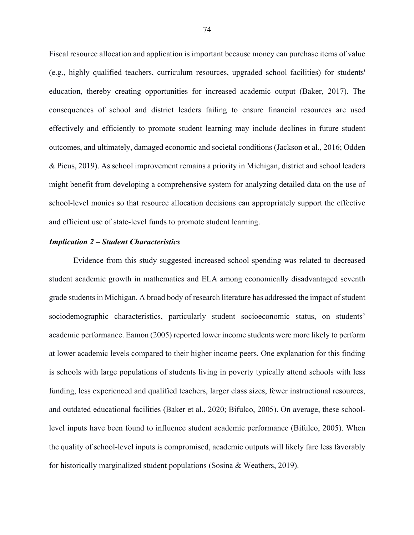Fiscal resource allocation and application is important because money can purchase items of value (e.g., highly qualified teachers, curriculum resources, upgraded school facilities) for students' education, thereby creating opportunities for increased academic output (Baker, 2017). The consequences of school and district leaders failing to ensure financial resources are used effectively and efficiently to promote student learning may include declines in future student outcomes, and ultimately, damaged economic and societal conditions (Jackson et al., 2016; Odden & Picus, 2019). As school improvement remains a priority in Michigan, district and school leaders might benefit from developing a comprehensive system for analyzing detailed data on the use of school-level monies so that resource allocation decisions can appropriately support the effective and efficient use of state-level funds to promote student learning.

# *Implication 2 – Student Characteristics*

Evidence from this study suggested increased school spending was related to decreased student academic growth in mathematics and ELA among economically disadvantaged seventh grade students in Michigan. A broad body of research literature has addressed the impact of student sociodemographic characteristics, particularly student socioeconomic status, on students' academic performance. Eamon (2005) reported lower income students were more likely to perform at lower academic levels compared to their higher income peers. One explanation for this finding is schools with large populations of students living in poverty typically attend schools with less funding, less experienced and qualified teachers, larger class sizes, fewer instructional resources, and outdated educational facilities (Baker et al., 2020; Bifulco, 2005). On average, these schoollevel inputs have been found to influence student academic performance (Bifulco, 2005). When the quality of school-level inputs is compromised, academic outputs will likely fare less favorably for historically marginalized student populations (Sosina & Weathers, 2019).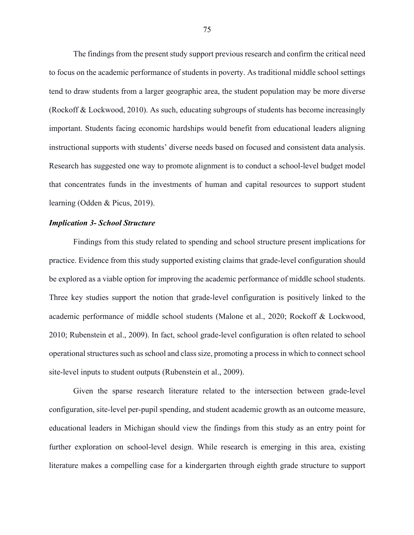The findings from the present study support previous research and confirm the critical need to focus on the academic performance of students in poverty. As traditional middle school settings tend to draw students from a larger geographic area, the student population may be more diverse (Rockoff & Lockwood, 2010). As such, educating subgroups of students has become increasingly important. Students facing economic hardships would benefit from educational leaders aligning instructional supports with students' diverse needs based on focused and consistent data analysis. Research has suggested one way to promote alignment is to conduct a school-level budget model that concentrates funds in the investments of human and capital resources to support student learning (Odden & Picus, 2019).

#### *Implication 3- School Structure*

Findings from this study related to spending and school structure present implications for practice. Evidence from this study supported existing claims that grade-level configuration should be explored as a viable option for improving the academic performance of middle school students. Three key studies support the notion that grade-level configuration is positively linked to the academic performance of middle school students (Malone et al., 2020; Rockoff & Lockwood, 2010; Rubenstein et al., 2009). In fact, school grade-level configuration is often related to school operational structures such as school and class size, promoting a process in which to connect school site-level inputs to student outputs (Rubenstein et al., 2009).

Given the sparse research literature related to the intersection between grade-level configuration, site-level per-pupil spending, and student academic growth as an outcome measure, educational leaders in Michigan should view the findings from this study as an entry point for further exploration on school-level design. While research is emerging in this area, existing literature makes a compelling case for a kindergarten through eighth grade structure to support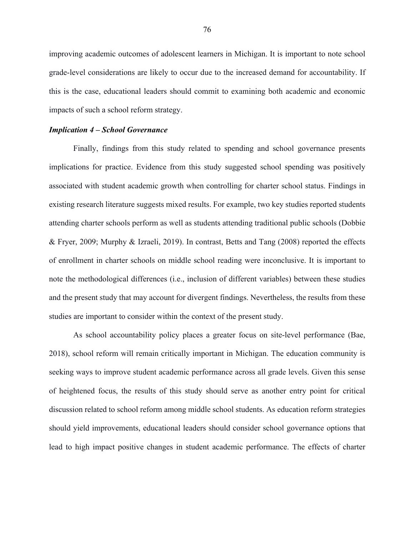improving academic outcomes of adolescent learners in Michigan. It is important to note school grade-level considerations are likely to occur due to the increased demand for accountability. If this is the case, educational leaders should commit to examining both academic and economic impacts of such a school reform strategy.

#### *Implication 4 – School Governance*

Finally, findings from this study related to spending and school governance presents implications for practice. Evidence from this study suggested school spending was positively associated with student academic growth when controlling for charter school status. Findings in existing research literature suggests mixed results. For example, two key studies reported students attending charter schools perform as well as students attending traditional public schools (Dobbie & Fryer, 2009; Murphy & Izraeli, 2019). In contrast, Betts and Tang (2008) reported the effects of enrollment in charter schools on middle school reading were inconclusive. It is important to note the methodological differences (i.e., inclusion of different variables) between these studies and the present study that may account for divergent findings. Nevertheless, the results from these studies are important to consider within the context of the present study.

As school accountability policy places a greater focus on site-level performance (Bae, 2018), school reform will remain critically important in Michigan. The education community is seeking ways to improve student academic performance across all grade levels. Given this sense of heightened focus, the results of this study should serve as another entry point for critical discussion related to school reform among middle school students. As education reform strategies should yield improvements, educational leaders should consider school governance options that lead to high impact positive changes in student academic performance. The effects of charter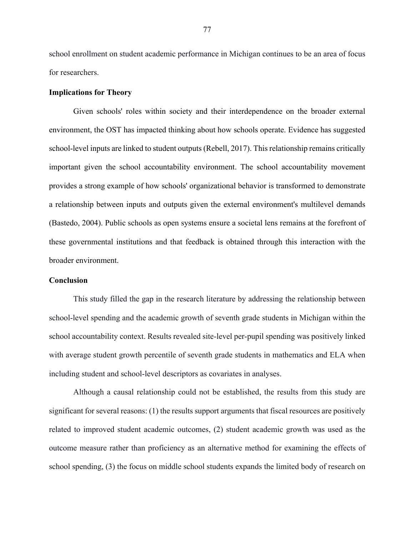school enrollment on student academic performance in Michigan continues to be an area of focus for researchers.

#### **Implications for Theory**

Given schools' roles within society and their interdependence on the broader external environment, the OST has impacted thinking about how schools operate. Evidence has suggested school-level inputs are linked to student outputs (Rebell, 2017). This relationship remains critically important given the school accountability environment. The school accountability movement provides a strong example of how schools' organizational behavior is transformed to demonstrate a relationship between inputs and outputs given the external environment's multilevel demands (Bastedo, 2004). Public schools as open systems ensure a societal lens remains at the forefront of these governmental institutions and that feedback is obtained through this interaction with the broader environment.

#### **Conclusion**

This study filled the gap in the research literature by addressing the relationship between school-level spending and the academic growth of seventh grade students in Michigan within the school accountability context. Results revealed site-level per-pupil spending was positively linked with average student growth percentile of seventh grade students in mathematics and ELA when including student and school-level descriptors as covariates in analyses.

Although a causal relationship could not be established, the results from this study are significant for several reasons: (1) the results support arguments that fiscal resources are positively related to improved student academic outcomes, (2) student academic growth was used as the outcome measure rather than proficiency as an alternative method for examining the effects of school spending, (3) the focus on middle school students expands the limited body of research on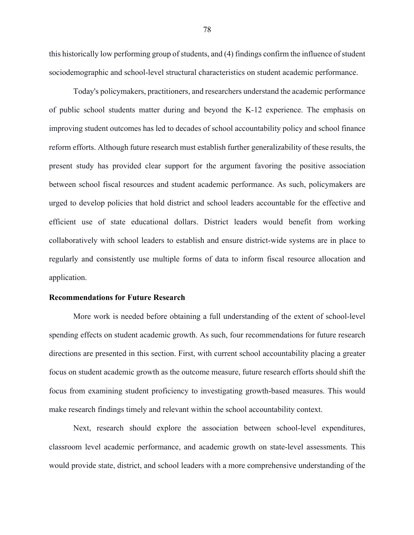this historically low performing group of students, and (4) findings confirm the influence of student sociodemographic and school-level structural characteristics on student academic performance.

Today's policymakers, practitioners, and researchers understand the academic performance of public school students matter during and beyond the K-12 experience. The emphasis on improving student outcomes has led to decades of school accountability policy and school finance reform efforts. Although future research must establish further generalizability of these results, the present study has provided clear support for the argument favoring the positive association between school fiscal resources and student academic performance. As such, policymakers are urged to develop policies that hold district and school leaders accountable for the effective and efficient use of state educational dollars. District leaders would benefit from working collaboratively with school leaders to establish and ensure district-wide systems are in place to regularly and consistently use multiple forms of data to inform fiscal resource allocation and application.

#### **Recommendations for Future Research**

More work is needed before obtaining a full understanding of the extent of school-level spending effects on student academic growth. As such, four recommendations for future research directions are presented in this section. First, with current school accountability placing a greater focus on student academic growth as the outcome measure, future research efforts should shift the focus from examining student proficiency to investigating growth-based measures. This would make research findings timely and relevant within the school accountability context.

Next, research should explore the association between school-level expenditures, classroom level academic performance, and academic growth on state-level assessments. This would provide state, district, and school leaders with a more comprehensive understanding of the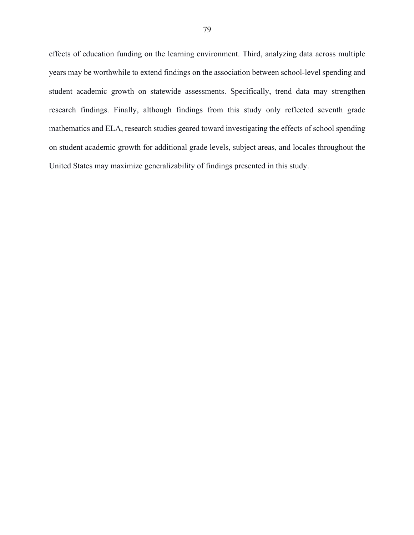effects of education funding on the learning environment. Third, analyzing data across multiple years may be worthwhile to extend findings on the association between school-level spending and student academic growth on statewide assessments. Specifically, trend data may strengthen research findings. Finally, although findings from this study only reflected seventh grade mathematics and ELA, research studies geared toward investigating the effects of school spending on student academic growth for additional grade levels, subject areas, and locales throughout the United States may maximize generalizability of findings presented in this study.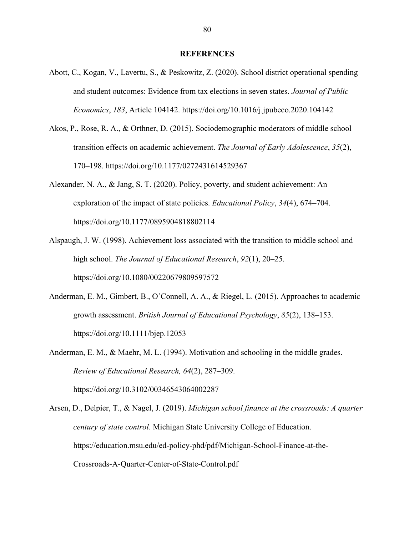#### **REFERENCES**

- Abott, C., Kogan, V., Lavertu, S., & Peskowitz, Z. (2020). School district operational spending and student outcomes: Evidence from tax elections in seven states. *Journal of Public Economics*, *183*, Article 104142. https://doi.org/10.1016/j.jpubeco.2020.104142
- Akos, P., Rose, R. A., & Orthner, D. (2015). Sociodemographic moderators of middle school transition effects on academic achievement. *The Journal of Early Adolescence*, *35*(2), 170–198. https://doi.org/10.1177/0272431614529367
- Alexander, N. A., & Jang, S. T. (2020). Policy, poverty, and student achievement: An exploration of the impact of state policies. *Educational Policy*, *34*(4), 674–704. https://doi.org/10.1177/0895904818802114
- Alspaugh, J. W. (1998). Achievement loss associated with the transition to middle school and high school. *The Journal of Educational Research*, *92*(1), 20–25. https://doi.org/10.1080/00220679809597572
- Anderman, E. M., Gimbert, B., O'Connell, A. A., & Riegel, L. (2015). Approaches to academic growth assessment. *British Journal of Educational Psychology*, *85*(2), 138–153. https://doi.org/10.1111/bjep.12053
- Anderman, E. M., & Maehr, M. L. (1994). Motivation and schooling in the middle grades. *Review of Educational Research, 64*(2), 287–309. https://doi.org/10.3102/00346543064002287
- Arsen, D., Delpier, T., & Nagel, J. (2019). *Michigan school finance at the crossroads: A quarter century of state control*. Michigan State University College of Education. https://education.msu.edu/ed-policy-phd/pdf/Michigan-School-Finance-at-the-Crossroads-A-Quarter-Center-of-State-Control.pdf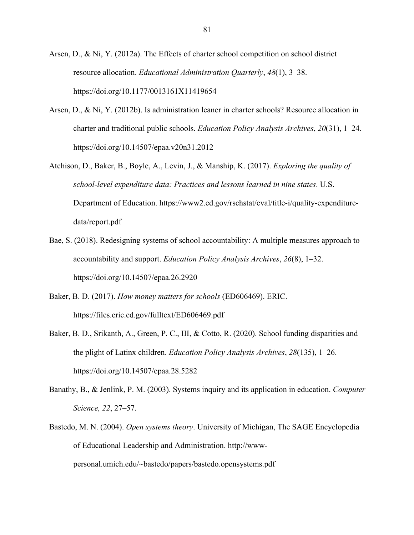Arsen, D., & Ni, Y. (2012a). The Effects of charter school competition on school district resource allocation. *Educational Administration Quarterly*, *48*(1), 3–38. https://doi.org/10.1177/0013161X11419654

- Arsen, D., & Ni, Y. (2012b). Is administration leaner in charter schools? Resource allocation in charter and traditional public schools. *Education Policy Analysis Archives*, *20*(31), 1–24. https://doi.org/10.14507/epaa.v20n31.2012
- Atchison, D., Baker, B., Boyle, A., Levin, J., & Manship, K. (2017). *Exploring the quality of school-level expenditure data: Practices and lessons learned in nine states*. U.S. Department of Education. https://www2.ed.gov/rschstat/eval/title-i/quality-expendituredata/report.pdf
- Bae, S. (2018). Redesigning systems of school accountability: A multiple measures approach to accountability and support. *Education Policy Analysis Archives*, *26*(8), 1–32. https://doi.org/10.14507/epaa.26.2920
- Baker, B. D. (2017). *How money matters for schools* (ED606469). ERIC. https://files.eric.ed.gov/fulltext/ED606469.pdf
- Baker, B. D., Srikanth, A., Green, P. C., III, & Cotto, R. (2020). School funding disparities and the plight of Latinx children. *Education Policy Analysis Archives*, *28*(135), 1–26. https://doi.org/10.14507/epaa.28.5282
- Banathy, B., & Jenlink, P. M. (2003). Systems inquiry and its application in education. *Computer Science, 22*, 27–57.
- Bastedo, M. N. (2004). *Open systems theory*. University of Michigan, The SAGE Encyclopedia of Educational Leadership and Administration. http://wwwpersonal.umich.edu/~bastedo/papers/bastedo.opensystems.pdf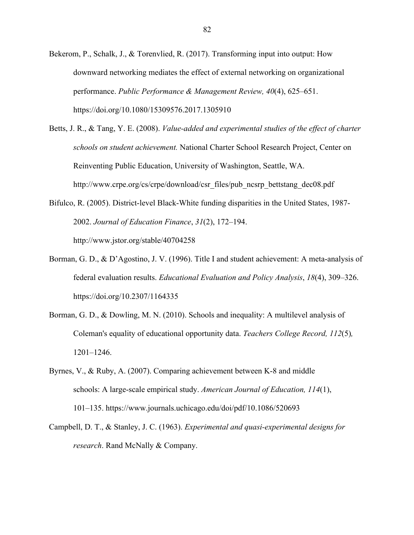- Bekerom, P., Schalk, J., & Torenvlied, R. (2017). Transforming input into output: How downward networking mediates the effect of external networking on organizational performance. *Public Performance & Management Review, 40*(4), 625–651. https://doi.org/10.1080/15309576.2017.1305910
- Betts, J. R., & Tang, Y. E. (2008). *Value-added and experimental studies of the effect of charter schools on student achievement.* National Charter School Research Project, Center on Reinventing Public Education, University of Washington, Seattle, WA. http://www.crpe.org/cs/crpe/download/csr\_files/pub\_ncsrp\_bettstang\_dec08.pdf
- Bifulco, R. (2005). District-level Black-White funding disparities in the United States, 1987- 2002. *Journal of Education Finance*, *31*(2), 172–194. http://www.jstor.org/stable/40704258
- Borman, G. D., & D'Agostino, J. V. (1996). Title I and student achievement: A meta-analysis of federal evaluation results. *Educational Evaluation and Policy Analysis*, *18*(4), 309–326. https://doi.org/10.2307/1164335
- Borman, G. D., & Dowling, M. N. (2010). Schools and inequality: A multilevel analysis of Coleman's equality of educational opportunity data. *Teachers College Record, 112*(5)*,* 1201–1246.
- Byrnes, V., & Ruby, A. (2007). Comparing achievement between K-8 and middle schools: A large-scale empirical study. *American Journal of Education, 114*(1), 101–135. https://www.journals.uchicago.edu/doi/pdf/10.1086/520693
- Campbell, D. T., & Stanley, J. C. (1963). *Experimental and quasi-experimental designs for research*. Rand McNally & Company.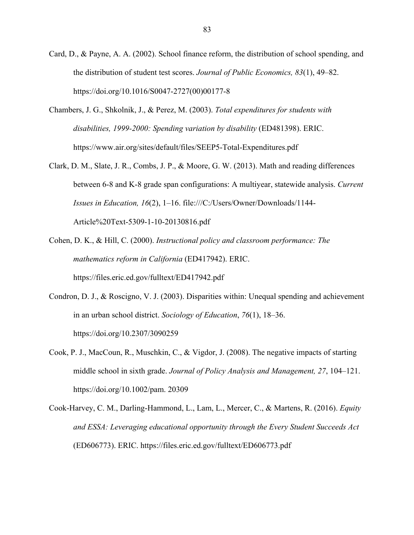- Card, D., & Payne, A. A. (2002). School finance reform, the distribution of school spending, and the distribution of student test scores. *Journal of Public Economics, 83*(1), 49–82. https://doi.org/10.1016/S0047-2727(00)00177-8
- Chambers, J. G., Shkolnik, J., & Perez, M. (2003). *Total expenditures for students with disabilities, 1999-2000: Spending variation by disability* (ED481398). ERIC. https://www.air.org/sites/default/files/SEEP5-Total-Expenditures.pdf
- Clark, D. M., Slate, J. R., Combs, J. P., & Moore, G. W. (2013). Math and reading differences between 6-8 and K-8 grade span configurations: A multiyear, statewide analysis. *Current Issues in Education, 16*(2), 1–16. file:///C:/Users/Owner/Downloads/1144- Article%20Text-5309-1-10-20130816.pdf
- Cohen, D. K., & Hill, C. (2000). *Instructional policy and classroom performance: The mathematics reform in California* (ED417942). ERIC. https://files.eric.ed.gov/fulltext/ED417942.pdf
- Condron, D. J., & Roscigno, V. J. (2003). Disparities within: Unequal spending and achievement in an urban school district. *Sociology of Education*, *76*(1), 18–36. https://doi.org/10.2307/3090259
- Cook, P. J., MacCoun, R., Muschkin, C., & Vigdor, J. (2008). The negative impacts of starting middle school in sixth grade. *Journal of Policy Analysis and Management, 27*, 104–121. https://doi.org/10.1002/pam. 20309
- Cook-Harvey, C. M., Darling-Hammond, L., Lam, L., Mercer, C., & Martens, R. (2016). *Equity and ESSA: Leveraging educational opportunity through the Every Student Succeeds Act* (ED606773). ERIC. https://files.eric.ed.gov/fulltext/ED606773.pdf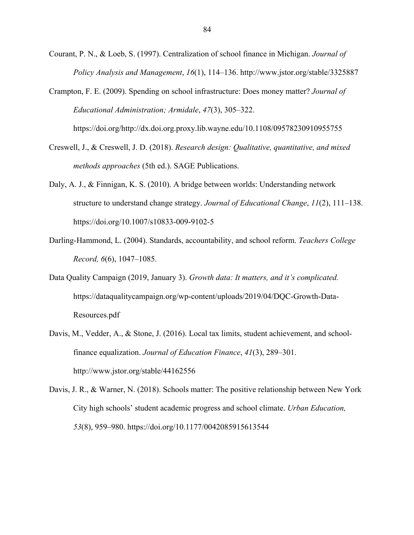Courant, P. N., & Loeb, S. (1997). Centralization of school finance in Michigan. *Journal of Policy Analysis and Management*, *16*(1), 114–136. http://www.jstor.org/stable/3325887

Crampton, F. E. (2009). Spending on school infrastructure: Does money matter? *Journal of Educational Administration; Armidale*, *47*(3), 305–322. https://doi.org/http://dx.doi.org.proxy.lib.wayne.edu/10.1108/09578230910955755

Creswell, J., & Creswell, J. D. (2018). *Research design: Qualitative, quantitative, and mixed methods approaches* (5th ed.). SAGE Publications.

- Daly, A. J., & Finnigan, K. S. (2010). A bridge between worlds: Understanding network structure to understand change strategy. *Journal of Educational Change*, *11*(2), 111–138. https://doi.org/10.1007/s10833-009-9102-5
- Darling-Hammond, L. (2004). Standards, accountability, and school reform. *Teachers College Record, 6*(6), 1047–1085.
- Data Quality Campaign (2019, January 3). *Growth data: It matters, and it's complicated.* https://dataqualitycampaign.org/wp-content/uploads/2019/04/DQC-Growth-Data-Resources.pdf
- Davis, M., Vedder, A., & Stone, J. (2016). Local tax limits, student achievement, and schoolfinance equalization. *Journal of Education Finance*, *41*(3), 289–301. http://www.jstor.org/stable/44162556

Davis, J. R., & Warner, N. (2018). Schools matter: The positive relationship between New York City high schools' student academic progress and school climate. *Urban Education, 53*(8), 959–980. https://doi.org/10.1177/0042085915613544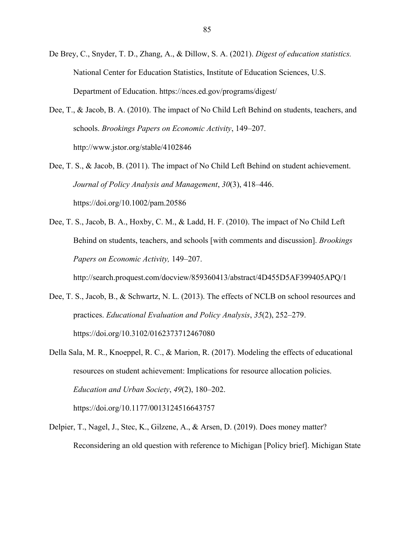- De Brey, C., Snyder, T. D., Zhang, A., & Dillow, S. A. (2021). *Digest of education statistics.* National Center for Education Statistics, Institute of Education Sciences, U.S. Department of Education. https://nces.ed.gov/programs/digest/
- Dee, T., & Jacob, B. A. (2010). The impact of No Child Left Behind on students, teachers, and schools. *Brookings Papers on Economic Activity*, 149–207. http://www.jstor.org/stable/4102846
- Dee, T. S., & Jacob, B. (2011). The impact of No Child Left Behind on student achievement. *Journal of Policy Analysis and Management*, *30*(3), 418–446. https://doi.org/10.1002/pam.20586
- Dee, T. S., Jacob, B. A., Hoxby, C. M., & Ladd, H. F. (2010). The impact of No Child Left Behind on students, teachers, and schools [with comments and discussion]. *Brookings Papers on Economic Activity,* 149–207.

http://search.proquest.com/docview/859360413/abstract/4D455D5AF399405APQ/1

- Dee, T. S., Jacob, B., & Schwartz, N. L. (2013). The effects of NCLB on school resources and practices. *Educational Evaluation and Policy Analysis*, *35*(2), 252–279. https://doi.org/10.3102/0162373712467080
- Della Sala, M. R., Knoeppel, R. C., & Marion, R. (2017). Modeling the effects of educational resources on student achievement: Implications for resource allocation policies. *Education and Urban Society*, *49*(2), 180–202. https://doi.org/10.1177/0013124516643757
- Delpier, T., Nagel, J., Stec, K., Gilzene, A., & Arsen, D. (2019). Does money matter? Reconsidering an old question with reference to Michigan [Policy brief]. Michigan State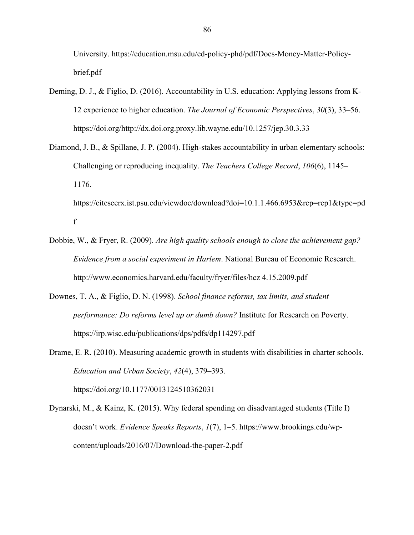University. https://education.msu.edu/ed-policy-phd/pdf/Does-Money-Matter-Policybrief.pdf

- Deming, D. J., & Figlio, D. (2016). Accountability in U.S. education: Applying lessons from K-12 experience to higher education. *The Journal of Economic Perspectives*, *30*(3), 33–56. https://doi.org/http://dx.doi.org.proxy.lib.wayne.edu/10.1257/jep.30.3.33
- Diamond, J. B., & Spillane, J. P. (2004). High-stakes accountability in urban elementary schools: Challenging or reproducing inequality. *The Teachers College Record*, *106*(6), 1145– 1176.

https://citeseerx.ist.psu.edu/viewdoc/download?doi=10.1.1.466.6953&rep=rep1&type=pd f

- Dobbie, W., & Fryer, R. (2009). *Are high quality schools enough to close the achievement gap? Evidence from a social experiment in Harlem*. National Bureau of Economic Research. http://www.economics.harvard.edu/faculty/fryer/files/hcz 4.15.2009.pdf
- Downes, T. A., & Figlio, D. N. (1998). *School finance reforms, tax limits, and student performance: Do reforms level up or dumb down?* Institute for Research on Poverty. https://irp.wisc.edu/publications/dps/pdfs/dp114297.pdf
- Drame, E. R. (2010). Measuring academic growth in students with disabilities in charter schools. *Education and Urban Society*, *42*(4), 379–393.

https://doi.org/10.1177/0013124510362031

Dynarski, M., & Kainz, K. (2015). Why federal spending on disadvantaged students (Title I) doesn't work. *Evidence Speaks Reports*, *1*(7), 1–5. https://www.brookings.edu/wpcontent/uploads/2016/07/Download-the-paper-2.pdf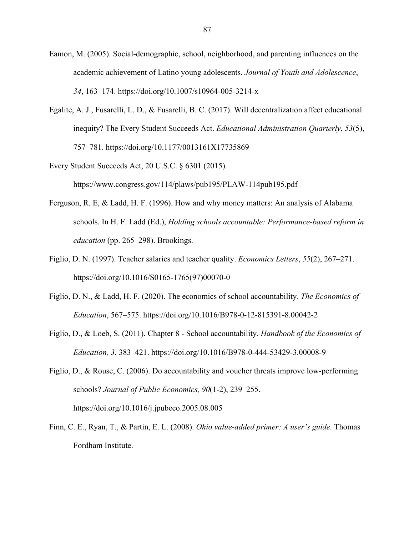- Eamon, M. (2005). Social-demographic, school, neighborhood, and parenting influences on the academic achievement of Latino young adolescents. *Journal of Youth and Adolescence*, *34*, 163–174. https://doi.org/10.1007/s10964-005-3214-x
- Egalite, A. J., Fusarelli, L. D., & Fusarelli, B. C. (2017). Will decentralization affect educational inequity? The Every Student Succeeds Act. *Educational Administration Quarterly*, *53*(5), 757–781. https://doi.org/10.1177/0013161X17735869
- Every Student Succeeds Act, 20 U.S.C. § 6301 (2015). https://www.congress.gov/114/plaws/pub195/PLAW-114pub195.pdf
- Ferguson, R. E, & Ladd, H. F. (1996). How and why money matters: An analysis of Alabama schools. In H. F. Ladd (Ed.), *Holding schools accountable: Performance-based reform in education* (pp. 265–298). Brookings.
- Figlio, D. N. (1997). Teacher salaries and teacher quality. *Economics Letters*, *55*(2), 267–271. https://doi.org/10.1016/S0165-1765(97)00070-0
- Figlio, D. N., & Ladd, H. F. (2020). The economics of school accountability. *The Economics of Education*, 567–575. https://doi.org/10.1016/B978-0-12-815391-8.00042-2
- Figlio, D., & Loeb, S. (2011). Chapter 8 School accountability. *Handbook of the Economics of Education, 3*, 383–421. https://doi.org/10.1016/B978-0-444-53429-3.00008-9
- Figlio, D., & Rouse, C. (2006). Do accountability and voucher threats improve low-performing schools? *Journal of Public Economics, 90*(1-2), 239–255. https://doi.org/10.1016/j.jpubeco.2005.08.005
- Finn, C. E., Ryan, T., & Partin, E. L. (2008). *Ohio value-added primer: A user's guide.* Thomas Fordham Institute.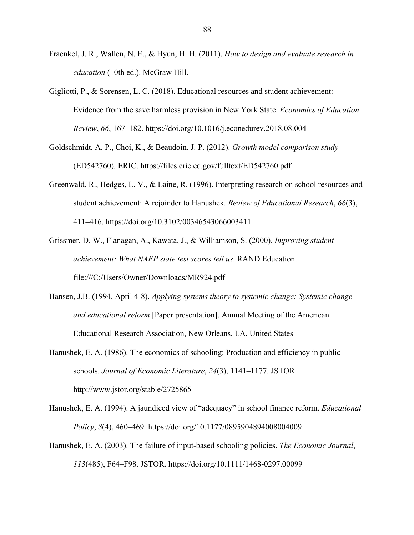- Fraenkel, J. R., Wallen, N. E., & Hyun, H. H. (2011). *How to design and evaluate research in education* (10th ed.). McGraw Hill.
- Gigliotti, P., & Sorensen, L. C. (2018). Educational resources and student achievement: Evidence from the save harmless provision in New York State. *Economics of Education Review*, *66*, 167–182. https://doi.org/10.1016/j.econedurev.2018.08.004
- Goldschmidt, A. P., Choi, K., & Beaudoin, J. P. (2012). *Growth model comparison study* (ED542760)*.* ERIC. https://files.eric.ed.gov/fulltext/ED542760.pdf
- Greenwald, R., Hedges, L. V., & Laine, R. (1996). Interpreting research on school resources and student achievement: A rejoinder to Hanushek. *Review of Educational Research*, *66*(3), 411–416. https://doi.org/10.3102/00346543066003411
- Grissmer, D. W., Flanagan, A., Kawata, J., & Williamson, S. (2000). *Improving student achievement: What NAEP state test scores tell us*. RAND Education. file:///C:/Users/Owner/Downloads/MR924.pdf
- Hansen, J.B. (1994, April 4-8). *Applying systems theory to systemic change: Systemic change and educational reform* [Paper presentation]. Annual Meeting of the American Educational Research Association, New Orleans, LA, United States
- Hanushek, E. A. (1986). The economics of schooling: Production and efficiency in public schools. *Journal of Economic Literature*, *24*(3), 1141–1177. JSTOR. http://www.jstor.org/stable/2725865
- Hanushek, E. A. (1994). A jaundiced view of "adequacy" in school finance reform. *Educational Policy*, *8*(4), 460–469. https://doi.org/10.1177/0895904894008004009
- Hanushek, E. A. (2003). The failure of input-based schooling policies. *The Economic Journal*, *113*(485), F64–F98. JSTOR. https://doi.org/10.1111/1468-0297.00099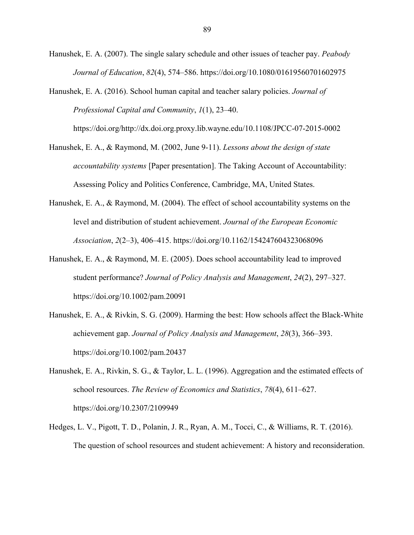Hanushek, E. A. (2007). The single salary schedule and other issues of teacher pay. *Peabody Journal of Education*, *82*(4), 574–586. https://doi.org/10.1080/01619560701602975

Hanushek, E. A. (2016). School human capital and teacher salary policies. *Journal of Professional Capital and Community*, *1*(1), 23–40.

https://doi.org/http://dx.doi.org.proxy.lib.wayne.edu/10.1108/JPCC-07-2015-0002

Hanushek, E. A., & Raymond, M. (2002, June 9-11). *Lessons about the design of state accountability systems* [Paper presentation]. The Taking Account of Accountability: Assessing Policy and Politics Conference, Cambridge, MA, United States.

- Hanushek, E. A., & Raymond, M. (2004). The effect of school accountability systems on the level and distribution of student achievement. *Journal of the European Economic Association*, *2*(2–3), 406–415. https://doi.org/10.1162/154247604323068096
- Hanushek, E. A., & Raymond, M. E. (2005). Does school accountability lead to improved student performance? *Journal of Policy Analysis and Management*, *24*(2), 297–327. https://doi.org/10.1002/pam.20091
- Hanushek, E. A., & Rivkin, S. G. (2009). Harming the best: How schools affect the Black-White achievement gap. *Journal of Policy Analysis and Management*, *28*(3), 366–393. https://doi.org/10.1002/pam.20437
- Hanushek, E. A., Rivkin, S. G., & Taylor, L. L. (1996). Aggregation and the estimated effects of school resources. *The Review of Economics and Statistics*, *78*(4), 611–627. https://doi.org/10.2307/2109949
- Hedges, L. V., Pigott, T. D., Polanin, J. R., Ryan, A. M., Tocci, C., & Williams, R. T. (2016). The question of school resources and student achievement: A history and reconsideration.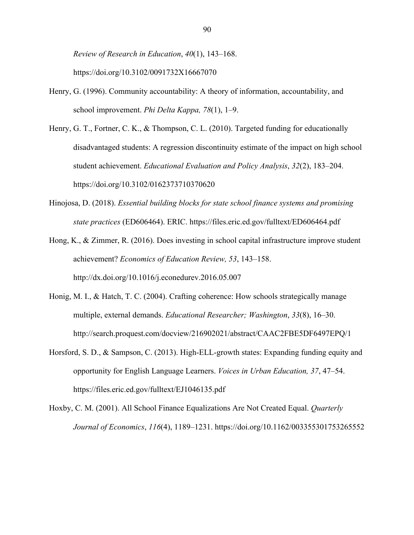*Review of Research in Education*, *40*(1), 143–168. https://doi.org/10.3102/0091732X16667070

- Henry, G. (1996). Community accountability: A theory of information, accountability, and school improvement. *Phi Delta Kappa, 78*(1), 1–9.
- Henry, G. T., Fortner, C. K., & Thompson, C. L. (2010). Targeted funding for educationally disadvantaged students: A regression discontinuity estimate of the impact on high school student achievement. *Educational Evaluation and Policy Analysis*, *32*(2), 183–204. https://doi.org/10.3102/0162373710370620
- Hinojosa, D. (2018). *Essential building blocks for state school finance systems and promising state practices* (ED606464). ERIC. https://files.eric.ed.gov/fulltext/ED606464.pdf

Hong, K., & Zimmer, R. (2016). Does investing in school capital infrastructure improve student achievement? *Economics of Education Review, 53*, 143–158. http://dx.doi.org/10.1016/j.econedurev.2016.05.007

- Honig, M. I., & Hatch, T. C. (2004). Crafting coherence: How schools strategically manage multiple, external demands. *Educational Researcher; Washington*, *33*(8), 16–30. http://search.proquest.com/docview/216902021/abstract/CAAC2FBE5DF6497EPQ/1
- Horsford, S. D., & Sampson, C. (2013). High-ELL-growth states: Expanding funding equity and opportunity for English Language Learners. *Voices in Urban Education, 37*, 47–54. https://files.eric.ed.gov/fulltext/EJ1046135.pdf

Hoxby, C. M. (2001). All School Finance Equalizations Are Not Created Equal. *Quarterly Journal of Economics*, *116*(4), 1189–1231. https://doi.org/10.1162/003355301753265552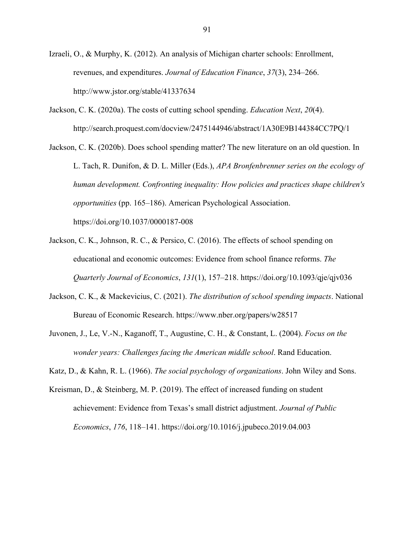Izraeli, O., & Murphy, K. (2012). An analysis of Michigan charter schools: Enrollment, revenues, and expenditures. *Journal of Education Finance*, *37*(3), 234–266. http://www.jstor.org/stable/41337634

Jackson, C. K. (2020a). The costs of cutting school spending. *Education Next*, *20*(4). http://search.proquest.com/docview/2475144946/abstract/1A30E9B144384CC7PQ/1

Jackson, C. K. (2020b). Does school spending matter? The new literature on an old question. In L. Tach, R. Dunifon, & D. L. Miller (Eds.), *APA Bronfenbrenner series on the ecology of human development. Confronting inequality: How policies and practices shape children's opportunities* (pp. 165–186). American Psychological Association. https://doi.org/10.1037/0000187-008

- Jackson, C. K., Johnson, R. C., & Persico, C. (2016). The effects of school spending on educational and economic outcomes: Evidence from school finance reforms. *The Quarterly Journal of Economics*, *131*(1), 157–218. https://doi.org/10.1093/qje/qjv036
- Jackson, C. K., & Mackevicius, C. (2021). *The distribution of school spending impacts*. National Bureau of Economic Research. https://www.nber.org/papers/w28517
- Juvonen, J., Le, V.-N., Kaganoff, T., Augustine, C. H., & Constant, L. (2004). *Focus on the wonder years: Challenges facing the American middle school*. Rand Education.

Katz, D., & Kahn, R. L. (1966). *The social psychology of organizations*. John Wiley and Sons.

Kreisman, D., & Steinberg, M. P. (2019). The effect of increased funding on student achievement: Evidence from Texas's small district adjustment. *Journal of Public Economics*, *176*, 118–141. https://doi.org/10.1016/j.jpubeco.2019.04.003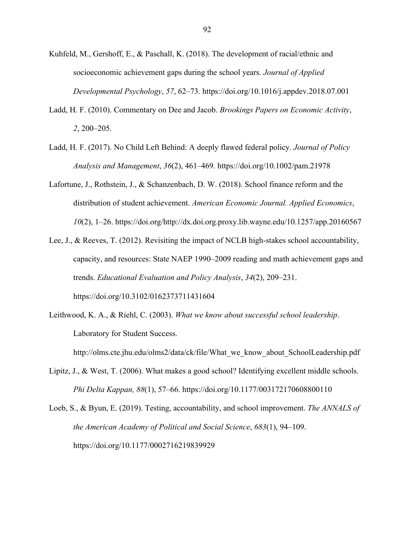- Kuhfeld, M., Gershoff, E., & Paschall, K. (2018). The development of racial/ethnic and socioeconomic achievement gaps during the school years. *Journal of Applied Developmental Psychology*, *57*, 62–73. https://doi.org/10.1016/j.appdev.2018.07.001
- Ladd, H. F. (2010). Commentary on Dee and Jacob. *Brookings Papers on Economic Activity*, *2*, 200–205.
- Ladd, H. F. (2017). No Child Left Behind: A deeply flawed federal policy. *Journal of Policy Analysis and Management*, *36*(2), 461–469. https://doi.org/10.1002/pam.21978
- Lafortune, J., Rothstein, J., & Schanzenbach, D. W. (2018). School finance reform and the distribution of student achievement. *American Economic Journal. Applied Economics*, *10*(2), 1–26. https://doi.org/http://dx.doi.org.proxy.lib.wayne.edu/10.1257/app.20160567
- Lee, J., & Reeves, T. (2012). Revisiting the impact of NCLB high-stakes school accountability, capacity, and resources: State NAEP 1990–2009 reading and math achievement gaps and trends. *Educational Evaluation and Policy Analysis*, *34*(2), 209–231. https://doi.org/10.3102/0162373711431604
- Leithwood, K. A., & Riehl, C. (2003). *What we know about successful school leadership*. Laboratory for Student Success.

http://olms.cte.jhu.edu/olms2/data/ck/file/What\_we\_know\_about\_SchoolLeadership.pdf

- Lipitz, J., & West, T. (2006). What makes a good school? Identifying excellent middle schools. *Phi Delta Kappan, 88*(1), 57–66. https://doi.org/10.1177/003172170608800110
- Loeb, S., & Byun, E. (2019). Testing, accountability, and school improvement. *The ANNALS of the American Academy of Political and Social Science*, *683*(1), 94–109. https://doi.org/10.1177/0002716219839929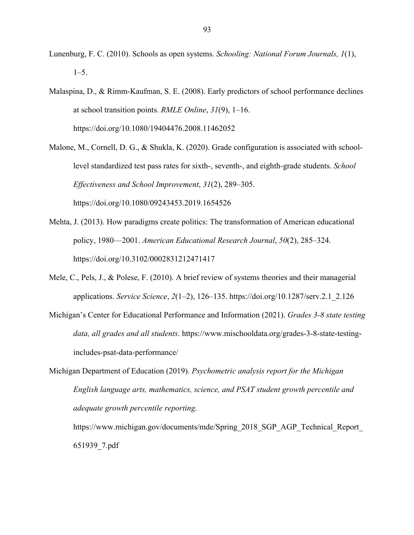- Lunenburg, F. C. (2010). Schools as open systems. *Schooling: National Forum Journals, 1*(1),  $1-5.$
- Malaspina, D., & Rimm-Kaufman, S. E. (2008). Early predictors of school performance declines at school transition points. *RMLE Online*, *31*(9), 1–16. https://doi.org/10.1080/19404476.2008.11462052
- Malone, M., Cornell, D. G., & Shukla, K. (2020). Grade configuration is associated with schoollevel standardized test pass rates for sixth-, seventh-, and eighth-grade students. *School Effectiveness and School Improvement*, *31*(2), 289–305. https://doi.org/10.1080/09243453.2019.1654526
- Mehta, J. (2013). How paradigms create politics: The transformation of American educational policy, 1980—2001. *American Educational Research Journal*, *50*(2), 285–324. https://doi.org/10.3102/0002831212471417
- Mele, C., Pels, J., & Polese, F. (2010). A brief review of systems theories and their managerial applications. *Service Science*, *2*(1–2), 126–135. https://doi.org/10.1287/serv.2.1\_2.126
- Michigan's Center for Educational Performance and Information (2021). *Grades 3-8 state testing data, all grades and all students*. https://www.mischooldata.org/grades-3-8-state-testingincludes-psat-data-performance/
- Michigan Department of Education (2019). *Psychometric analysis report for the Michigan English language arts, mathematics, science, and PSAT student growth percentile and adequate growth percentile reporting.*

https://www.michigan.gov/documents/mde/Spring\_2018\_SGP\_AGP\_Technical\_Report\_ 651939\_7.pdf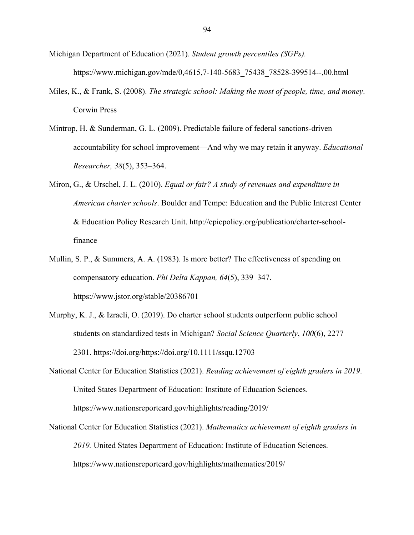- Michigan Department of Education (2021). *Student growth percentiles (SGPs).* https://www.michigan.gov/mde/0,4615,7-140-5683\_75438\_78528-399514--,00.html
- Miles, K., & Frank, S. (2008). *The strategic school: Making the most of people, time, and money*. Corwin Press
- Mintrop, H. & Sunderman, G. L. (2009). Predictable failure of federal sanctions-driven accountability for school improvement—And why we may retain it anyway. *Educational Researcher, 38*(5), 353–364.
- Miron, G., & Urschel, J. L. (2010). *Equal or fair? A study of revenues and expenditure in American charter schools*. Boulder and Tempe: Education and the Public Interest Center & Education Policy Research Unit. http://epicpolicy.org/publication/charter-schoolfinance
- Mullin, S. P., & Summers, A. A. (1983). Is more better? The effectiveness of spending on compensatory education. *Phi Delta Kappan, 64*(5), 339–347. https://www.jstor.org/stable/20386701
- Murphy, K. J., & Izraeli, O. (2019). Do charter school students outperform public school students on standardized tests in Michigan? *Social Science Quarterly*, *100*(6), 2277– 2301. https://doi.org/https://doi.org/10.1111/ssqu.12703
- National Center for Education Statistics (2021). *Reading achievement of eighth graders in 2019*. United States Department of Education: Institute of Education Sciences. https://www.nationsreportcard.gov/highlights/reading/2019/
- National Center for Education Statistics (2021). *Mathematics achievement of eighth graders in 2019.* United States Department of Education: Institute of Education Sciences. https://www.nationsreportcard.gov/highlights/mathematics/2019/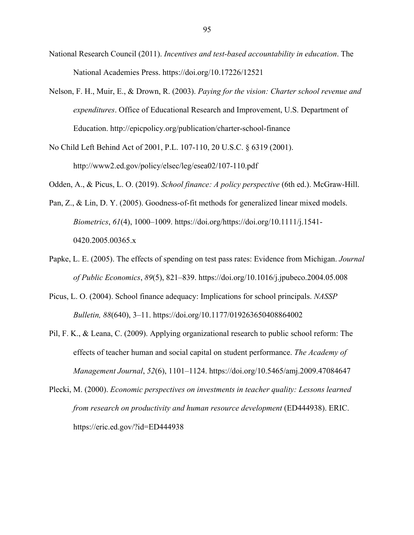- National Research Council (2011). *Incentives and test-based accountability in education*. The National Academies Press. https://doi.org/10.17226/12521
- Nelson, F. H., Muir, E., & Drown, R. (2003). *Paying for the vision: Charter school revenue and expenditures*. Office of Educational Research and Improvement, U.S. Department of Education. http://epicpolicy.org/publication/charter-school-finance

No Child Left Behind Act of 2001, P.L. 107-110, 20 U.S.C. § 6319 (2001). http://www2.ed.gov/policy/elsec/leg/esea02/107-110.pdf

Odden, A., & Picus, L. O. (2019). *School finance: A policy perspective* (6th ed.). McGraw-Hill.

- Pan, Z., & Lin, D. Y. (2005). Goodness-of-fit methods for generalized linear mixed models. *Biometrics*, *61*(4), 1000–1009. https://doi.org/https://doi.org/10.1111/j.1541- 0420.2005.00365.x
- Papke, L. E. (2005). The effects of spending on test pass rates: Evidence from Michigan. *Journal of Public Economics*, *89*(5), 821–839. https://doi.org/10.1016/j.jpubeco.2004.05.008
- Picus, L. O. (2004). School finance adequacy: Implications for school principals. *NASSP Bulletin, 88*(640), 3–11. https://doi.org/10.1177/019263650408864002
- Pil, F. K., & Leana, C. (2009). Applying organizational research to public school reform: The effects of teacher human and social capital on student performance. *The Academy of Management Journal*, *52*(6), 1101–1124. https://doi.org/10.5465/amj.2009.47084647
- Plecki, M. (2000). *Economic perspectives on investments in teacher quality: Lessons learned from research on productivity and human resource development* (ED444938). ERIC. https://eric.ed.gov/?id=ED444938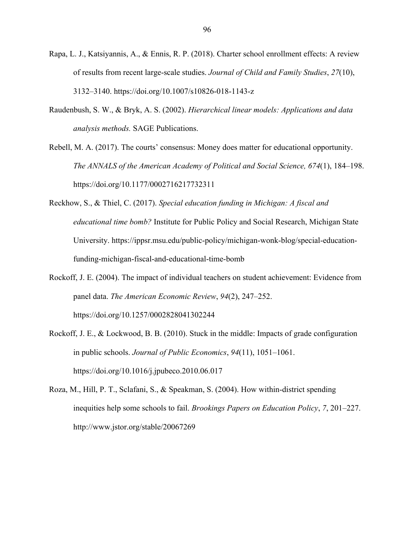- Rapa, L. J., Katsiyannis, A., & Ennis, R. P. (2018). Charter school enrollment effects: A review of results from recent large-scale studies. *Journal of Child and Family Studies*, *27*(10), 3132–3140. https://doi.org/10.1007/s10826-018-1143-z
- Raudenbush, S. W., & Bryk, A. S. (2002). *Hierarchical linear models: Applications and data analysis methods.* SAGE Publications.
- Rebell, M. A. (2017). The courts' consensus: Money does matter for educational opportunity. *The ANNALS of the American Academy of Political and Social Science, 674*(1), 184–198. https://doi.org/10.1177/0002716217732311
- Reckhow, S., & Thiel, C. (2017). *Special education funding in Michigan: A fiscal and educational time bomb?* Institute for Public Policy and Social Research, Michigan State University. https://ippsr.msu.edu/public-policy/michigan-wonk-blog/special-educationfunding-michigan-fiscal-and-educational-time-bomb
- Rockoff, J. E. (2004). The impact of individual teachers on student achievement: Evidence from panel data. *The American Economic Review*, *94*(2), 247–252. https://doi.org/10.1257/0002828041302244
- Rockoff, J. E., & Lockwood, B. B. (2010). Stuck in the middle: Impacts of grade configuration in public schools. *Journal of Public Economics*, *94*(11), 1051–1061. https://doi.org/10.1016/j.jpubeco.2010.06.017
- Roza, M., Hill, P. T., Sclafani, S., & Speakman, S. (2004). How within-district spending inequities help some schools to fail. *Brookings Papers on Education Policy*, *7*, 201–227. http://www.jstor.org/stable/20067269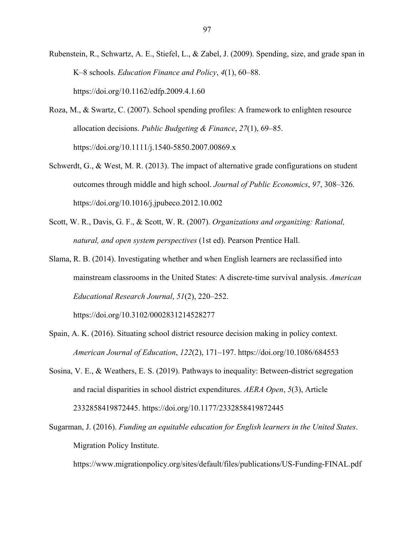Rubenstein, R., Schwartz, A. E., Stiefel, L., & Zabel, J. (2009). Spending, size, and grade span in K–8 schools. *Education Finance and Policy*, *4*(1), 60–88. https://doi.org/10.1162/edfp.2009.4.1.60

- Roza, M., & Swartz, C. (2007). School spending profiles: A framework to enlighten resource allocation decisions. *Public Budgeting & Finance*, *27*(1), 69–85. https://doi.org/10.1111/j.1540-5850.2007.00869.x
- Schwerdt, G., & West, M. R. (2013). The impact of alternative grade configurations on student outcomes through middle and high school. *Journal of Public Economics*, *97*, 308–326. https://doi.org/10.1016/j.jpubeco.2012.10.002
- Scott, W. R., Davis, G. F., & Scott, W. R. (2007). *Organizations and organizing: Rational, natural, and open system perspectives* (1st ed). Pearson Prentice Hall.
- Slama, R. B. (2014). Investigating whether and when English learners are reclassified into mainstream classrooms in the United States: A discrete-time survival analysis. *American Educational Research Journal*, *51*(2), 220–252.

https://doi.org/10.3102/0002831214528277

- Spain, A. K. (2016). Situating school district resource decision making in policy context. *American Journal of Education*, *122*(2), 171–197. https://doi.org/10.1086/684553
- Sosina, V. E., & Weathers, E. S. (2019). Pathways to inequality: Between-district segregation and racial disparities in school district expenditures. *AERA Open*, *5*(3), Article 2332858419872445. https://doi.org/10.1177/2332858419872445
- Sugarman, J. (2016). *Funding an equitable education for English learners in the United States*. Migration Policy Institute.

https://www.migrationpolicy.org/sites/default/files/publications/US-Funding-FINAL.pdf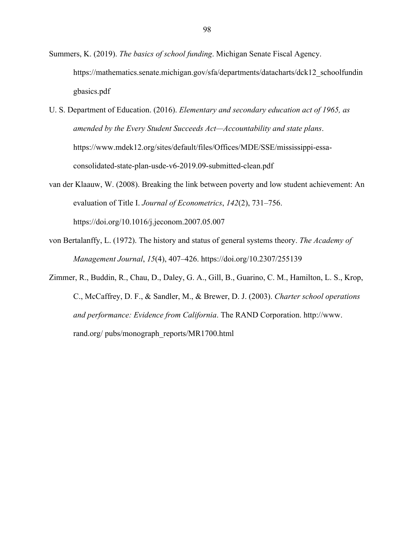Summers, K. (2019). *The basics of school funding*. Michigan Senate Fiscal Agency. https://mathematics.senate.michigan.gov/sfa/departments/datacharts/dck12\_schoolfundin gbasics.pdf

- U. S. Department of Education. (2016). *Elementary and secondary education act of 1965, as amended by the Every Student Succeeds Act—Accountability and state plans*. https://www.mdek12.org/sites/default/files/Offices/MDE/SSE/mississippi-essaconsolidated-state-plan-usde-v6-2019.09-submitted-clean.pdf
- van der Klaauw, W. (2008). Breaking the link between poverty and low student achievement: An evaluation of Title I. *Journal of Econometrics*, *142*(2), 731–756.

https://doi.org/10.1016/j.jeconom.2007.05.007

- von Bertalanffy, L. (1972). The history and status of general systems theory. *The Academy of Management Journal*, *15*(4), 407–426. https://doi.org/10.2307/255139
- Zimmer, R., Buddin, R., Chau, D., Daley, G. A., Gill, B., Guarino, C. M., Hamilton, L. S., Krop, C., McCaffrey, D. F., & Sandler, M., & Brewer, D. J. (2003). *Charter school operations and performance: Evidence from California*. The RAND Corporation. http://www. rand.org/ pubs/monograph\_reports/MR1700.html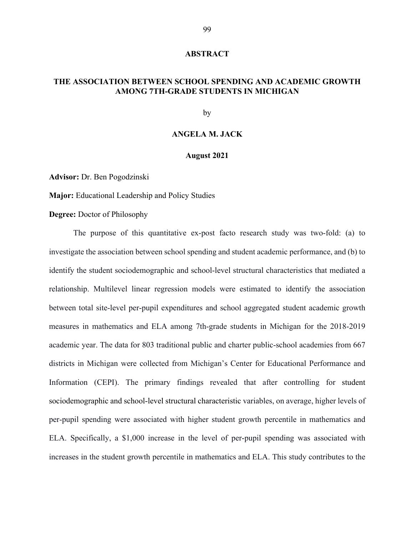#### **ABSTRACT**

# **THE ASSOCIATION BETWEEN SCHOOL SPENDING AND ACADEMIC GROWTH AMONG 7TH-GRADE STUDENTS IN MICHIGAN**

by

## **ANGELA M. JACK**

## **August 2021**

**Advisor:** Dr. Ben Pogodzinski

**Major:** Educational Leadership and Policy Studies

**Degree:** Doctor of Philosophy

The purpose of this quantitative ex-post facto research study was two-fold: (a) to investigate the association between school spending and student academic performance, and (b) to identify the student sociodemographic and school-level structural characteristics that mediated a relationship. Multilevel linear regression models were estimated to identify the association between total site-level per-pupil expenditures and school aggregated student academic growth measures in mathematics and ELA among 7th-grade students in Michigan for the 2018-2019 academic year. The data for 803 traditional public and charter public-school academies from 667 districts in Michigan were collected from Michigan's Center for Educational Performance and Information (CEPI). The primary findings revealed that after controlling for student sociodemographic and school-level structural characteristic variables, on average, higher levels of per-pupil spending were associated with higher student growth percentile in mathematics and ELA. Specifically, a \$1,000 increase in the level of per-pupil spending was associated with increases in the student growth percentile in mathematics and ELA. This study contributes to the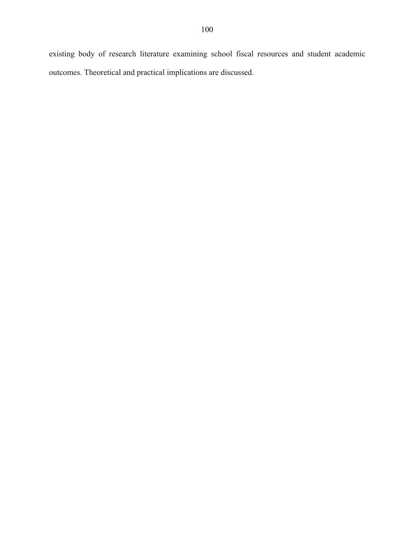existing body of research literature examining school fiscal resources and student academic outcomes. Theoretical and practical implications are discussed.